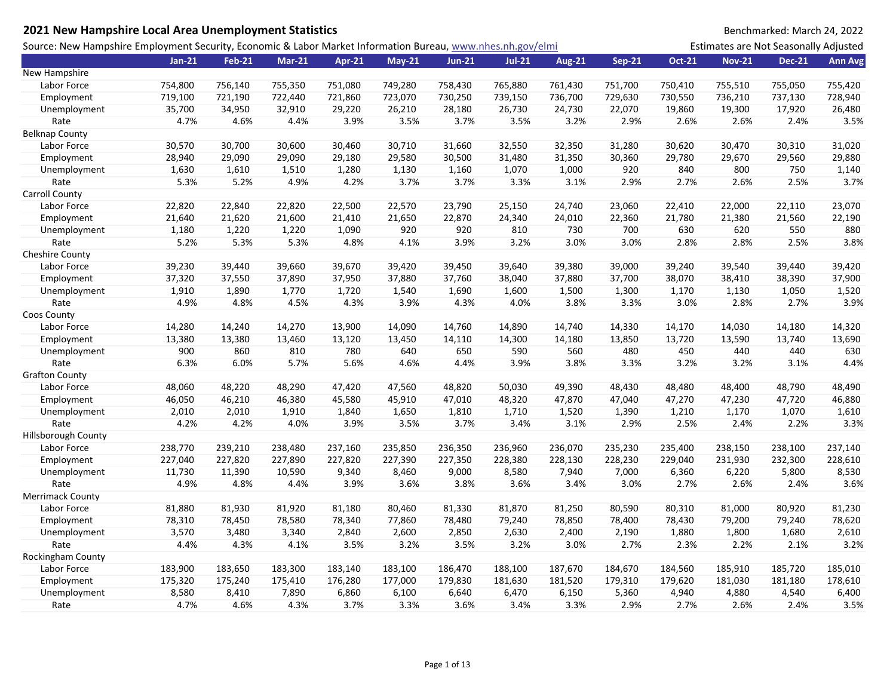| Source: New Hampshire Employment Security, Economic & Labor Market Information Bureau, www.nhes.nh.gov/elmi<br>Estimates are Not Seasonally Adjusted<br>$Jan-21$<br><b>Feb-21</b><br><b>Mar-21</b><br><b>Jul-21</b><br><b>Aug-21</b><br><b>Sep-21</b><br><b>Oct-21</b><br><b>Nov-21</b><br><b>Dec-21</b><br>Apr-21<br><b>May-21</b><br><b>Jun-21</b><br>754,800<br>756,140<br>755,350<br>751,080<br>749,280<br>758,430<br>765,880<br>761,430<br>751,700<br>750,410<br>755,510<br>755,050<br>755,420<br>Labor Force<br>721,190<br>723,070<br>729,630<br>730,550<br>736,210<br>728,940<br>Employment<br>719,100<br>722,440<br>721,860<br>730,250<br>739,150<br>736,700<br>737,130<br>35,700<br>34,950<br>32,910<br>29,220<br>26,210<br>28,180<br>26,730<br>24,730<br>22,070<br>19,860<br>19,300<br>17,920<br>Unemployment<br>26,480<br>3.9%<br>3.5%<br>Rate<br>4.7%<br>4.6%<br>4.4%<br>3.5%<br>3.7%<br>3.5%<br>3.2%<br>2.9%<br>2.6%<br>2.6%<br>2.4%<br>30,570<br>30,700<br>30,600<br>30,460<br>30,710<br>31,660<br>32,550<br>32,350<br>31,280<br>30,620<br>30,470<br>30,310<br>31,020<br>Labor Force<br>28,940<br>29,090<br>29,090<br>29,180<br>29,580<br>30,500<br>31,480<br>31,350<br>30,360<br>29,780<br>29,670<br>29,880<br>Employment<br>29,560<br>1,610<br>1,280<br>1,070<br>1,000<br>920<br>840<br>800<br>750<br>Unemployment<br>1,630<br>1,510<br>1,130<br>1,160<br>1,140<br>2.9%<br>3.7%<br>Rate<br>5.3%<br>5.2%<br>4.9%<br>4.2%<br>3.7%<br>3.7%<br>3.3%<br>3.1%<br>2.7%<br>2.6%<br>2.5%<br>22,820<br>22,840<br>22,820<br>22,500<br>22,570<br>23,790<br>24,740<br>23,060<br>23,070<br>Labor Force<br>25,150<br>22,410<br>22,000<br>22,110<br>21,640<br>21,620<br>21,600<br>21,410<br>24,340<br>22,360<br>21,380<br>21,560<br>Employment<br>21,650<br>22,870<br>24,010<br>21,780<br>22,190<br>Unemployment<br>1,180<br>1,220<br>1,220<br>1,090<br>920<br>920<br>810<br>730<br>700<br>630<br>620<br>550<br>880<br>3.9%<br>3.2%<br>3.0%<br>3.0%<br>2.8%<br>3.8%<br>Rate<br>5.2%<br>5.3%<br>5.3%<br>4.8%<br>4.1%<br>2.8%<br>2.5%<br><b>Cheshire County</b><br>39,230<br>39,660<br>39,670<br>39,420<br>39,640<br>39,380<br>39,000<br>39,240<br>39,540<br>39,440<br>39,420<br>Labor Force<br>39,440<br>39,450<br>37,320<br>37,550<br>37,950<br>37,880<br>37,760<br>38,040<br>37,700<br>38,070<br>38,410<br>37,900<br>Employment<br>37,890<br>37,880<br>38,390<br>1,910<br>1,890<br>1,770<br>1,720<br>1,540<br>1,690<br>1,600<br>1,500<br>1,300<br>1,170<br>1,130<br>1,050<br>1,520<br>Unemployment<br>3.9%<br>Rate<br>4.9%<br>4.8%<br>4.5%<br>4.3%<br>3.9%<br>4.3%<br>4.0%<br>3.8%<br>3.3%<br>3.0%<br>2.8%<br>2.7%<br>Coos County<br>14,280<br>14,240<br>13,900<br>14,090<br>14,760<br>14,890<br>14,740<br>14,330<br>14,030<br>14,320<br>Labor Force<br>14,270<br>14,170<br>14,180<br>13,120<br>14,300<br>13,850<br>13,690<br>Employment<br>13,380<br>13,380<br>13,460<br>13,450<br>14,110<br>14,180<br>13,720<br>13,590<br>13,740<br>900<br>860<br>780<br>640<br>650<br>480<br>810<br>590<br>560<br>450<br>440<br>440<br>630<br>Unemployment<br>6.3%<br>6.0%<br>5.7%<br>5.6%<br>4.6%<br>4.4%<br>3.9%<br>3.8%<br>3.3%<br>3.2%<br>3.2%<br>3.1%<br>4.4%<br>Rate<br><b>Grafton County</b><br>48,060<br>48,220<br>48,290<br>47,420<br>47,560<br>48,820<br>50,030<br>49,390<br>48,430<br>48,480<br>48,400<br>48,790<br>48,490<br>Labor Force<br>46,050<br>46,210<br>46,380<br>45,580<br>48,320<br>47,870<br>47,040<br>47,270<br>47,230<br>46,880<br>45,910<br>47,010<br>47,720<br>Employment<br>Unemployment<br>2,010<br>2,010<br>1,910<br>1,840<br>1,650<br>1,810<br>1,710<br>1,520<br>1,390<br>1,210<br>1,170<br>1,070<br>1,610<br>Rate<br>4.2%<br>4.2%<br>4.0%<br>3.9%<br>3.5%<br>3.7%<br>3.4%<br>3.1%<br>2.9%<br>2.5%<br>2.4%<br>2.2%<br>3.3%<br>Hillsborough County<br>238,770<br>239,210<br>236,350<br>236,070<br>237,140<br>Labor Force<br>238,480<br>237,160<br>235,850<br>236,960<br>235,230<br>235,400<br>238,150<br>238,100<br>227,040<br>227,820<br>227,390<br>228,380<br>228,230<br>229,040<br>231,930<br>228,610<br>Employment<br>227,890<br>227,820<br>227,350<br>228,130<br>232,300<br>7,000<br>Unemployment<br>11,730<br>11,390<br>10,590<br>9,340<br>8,460<br>9,000<br>8,580<br>7,940<br>6,220<br>5,800<br>8,530<br>6,360<br>Rate<br>4.9%<br>4.8%<br>4.4%<br>3.9%<br>3.6%<br>3.8%<br>3.6%<br>3.4%<br>3.0%<br>2.7%<br>2.6%<br>2.4%<br>3.6%<br><b>Merrimack County</b><br>81,880<br>81,930<br>81,920<br>81,330<br>81,870<br>81,250<br>80,590<br>80,310<br>80,920<br>81,230<br>Labor Force<br>81,180<br>80,460<br>81,000<br>Employment<br>78,310<br>78,450<br>78,580<br>78,340<br>77,860<br>78,480<br>79,240<br>78,850<br>78,400<br>78,430<br>79,200<br>79,240<br>78,620<br>3,570<br>3,480<br>3,340<br>2,840<br>2,600<br>2,850<br>2,630<br>2,400<br>2,190<br>1,880<br>1,800<br>1,680<br>2,610<br>Unemployment<br>Rate<br>4.4%<br>4.3%<br>4.1%<br>3.5%<br>3.2%<br>3.5%<br>3.0%<br>2.7%<br>2.3%<br>2.2%<br>2.1%<br>3.2%<br>3.2%<br><b>Rockingham County</b><br>Labor Force<br>183,900<br>183,650<br>183,300<br>183,140<br>183,100<br>186,470<br>188,100<br>187,670<br>184,670<br>184,560<br>185,910<br>185,720<br>185,010<br>177,000<br>178,610<br>Employment<br>175,320<br>175,240<br>175,410<br>176,280<br>179,830<br>181,630<br>181,520<br>179,310<br>179,620<br>181,030<br>181,180<br>8,580<br>8,410<br>7,890<br>6,860<br>6,100<br>6,640<br>6,470<br>6,150<br>5,360<br>4,940<br>4,880<br>4,540<br>6,400<br>Unemployment | 2021 New Hampshire Local Area Unemployment Statistics |  |  |  |  |  | Benchmarked: March 24, 2022 |  |
|--------------------------------------------------------------------------------------------------------------------------------------------------------------------------------------------------------------------------------------------------------------------------------------------------------------------------------------------------------------------------------------------------------------------------------------------------------------------------------------------------------------------------------------------------------------------------------------------------------------------------------------------------------------------------------------------------------------------------------------------------------------------------------------------------------------------------------------------------------------------------------------------------------------------------------------------------------------------------------------------------------------------------------------------------------------------------------------------------------------------------------------------------------------------------------------------------------------------------------------------------------------------------------------------------------------------------------------------------------------------------------------------------------------------------------------------------------------------------------------------------------------------------------------------------------------------------------------------------------------------------------------------------------------------------------------------------------------------------------------------------------------------------------------------------------------------------------------------------------------------------------------------------------------------------------------------------------------------------------------------------------------------------------------------------------------------------------------------------------------------------------------------------------------------------------------------------------------------------------------------------------------------------------------------------------------------------------------------------------------------------------------------------------------------------------------------------------------------------------------------------------------------------------------------------------------------------------------------------------------------------------------------------------------------------------------------------------------------------------------------------------------------------------------------------------------------------------------------------------------------------------------------------------------------------------------------------------------------------------------------------------------------------------------------------------------------------------------------------------------------------------------------------------------------------------------------------------------------------------------------------------------------------------------------------------------------------------------------------------------------------------------------------------------------------------------------------------------------------------------------------------------------------------------------------------------------------------------------------------------------------------------------------------------------------------------------------------------------------------------------------------------------------------------------------------------------------------------------------------------------------------------------------------------------------------------------------------------------------------------------------------------------------------------------------------------------------------------------------------------------------------------------------------------------------------------------------------------------------------------------------------------------------------------------------------------------------------------------------------------------------------------------------------------------------------------------------------------------------------------------------------------------------------------------------------------------------------------------------------------------------------------------------------------------------------------------------------------------------------------------------------------------------------------------------------------------------------------------------------------------------------------------------------------------------------------------------------------------------------------------------------------------------------------------------------------------------------------------------------------------------------------------------------------------------------------------------------------------------------------------------------------------------------------------------------------------------------------------------------------------------------------------------------------------------------------|-------------------------------------------------------|--|--|--|--|--|-----------------------------|--|
| <b>Ann Avg</b>                                                                                                                                                                                                                                                                                                                                                                                                                                                                                                                                                                                                                                                                                                                                                                                                                                                                                                                                                                                                                                                                                                                                                                                                                                                                                                                                                                                                                                                                                                                                                                                                                                                                                                                                                                                                                                                                                                                                                                                                                                                                                                                                                                                                                                                                                                                                                                                                                                                                                                                                                                                                                                                                                                                                                                                                                                                                                                                                                                                                                                                                                                                                                                                                                                                                                                                                                                                                                                                                                                                                                                                                                                                                                                                                                                                                                                                                                                                                                                                                                                                                                                                                                                                                                                                                                                                                                                                                                                                                                                                                                                                                                                                                                                                                                                                                                                                                                                                                                                                                                                                                                                                                                                                                                                                                                                                                                                                                                       |                                                       |  |  |  |  |  |                             |  |
|                                                                                                                                                                                                                                                                                                                                                                                                                                                                                                                                                                                                                                                                                                                                                                                                                                                                                                                                                                                                                                                                                                                                                                                                                                                                                                                                                                                                                                                                                                                                                                                                                                                                                                                                                                                                                                                                                                                                                                                                                                                                                                                                                                                                                                                                                                                                                                                                                                                                                                                                                                                                                                                                                                                                                                                                                                                                                                                                                                                                                                                                                                                                                                                                                                                                                                                                                                                                                                                                                                                                                                                                                                                                                                                                                                                                                                                                                                                                                                                                                                                                                                                                                                                                                                                                                                                                                                                                                                                                                                                                                                                                                                                                                                                                                                                                                                                                                                                                                                                                                                                                                                                                                                                                                                                                                                                                                                                                                                      |                                                       |  |  |  |  |  |                             |  |
|                                                                                                                                                                                                                                                                                                                                                                                                                                                                                                                                                                                                                                                                                                                                                                                                                                                                                                                                                                                                                                                                                                                                                                                                                                                                                                                                                                                                                                                                                                                                                                                                                                                                                                                                                                                                                                                                                                                                                                                                                                                                                                                                                                                                                                                                                                                                                                                                                                                                                                                                                                                                                                                                                                                                                                                                                                                                                                                                                                                                                                                                                                                                                                                                                                                                                                                                                                                                                                                                                                                                                                                                                                                                                                                                                                                                                                                                                                                                                                                                                                                                                                                                                                                                                                                                                                                                                                                                                                                                                                                                                                                                                                                                                                                                                                                                                                                                                                                                                                                                                                                                                                                                                                                                                                                                                                                                                                                                                                      | New Hampshire                                         |  |  |  |  |  |                             |  |
|                                                                                                                                                                                                                                                                                                                                                                                                                                                                                                                                                                                                                                                                                                                                                                                                                                                                                                                                                                                                                                                                                                                                                                                                                                                                                                                                                                                                                                                                                                                                                                                                                                                                                                                                                                                                                                                                                                                                                                                                                                                                                                                                                                                                                                                                                                                                                                                                                                                                                                                                                                                                                                                                                                                                                                                                                                                                                                                                                                                                                                                                                                                                                                                                                                                                                                                                                                                                                                                                                                                                                                                                                                                                                                                                                                                                                                                                                                                                                                                                                                                                                                                                                                                                                                                                                                                                                                                                                                                                                                                                                                                                                                                                                                                                                                                                                                                                                                                                                                                                                                                                                                                                                                                                                                                                                                                                                                                                                                      |                                                       |  |  |  |  |  |                             |  |
|                                                                                                                                                                                                                                                                                                                                                                                                                                                                                                                                                                                                                                                                                                                                                                                                                                                                                                                                                                                                                                                                                                                                                                                                                                                                                                                                                                                                                                                                                                                                                                                                                                                                                                                                                                                                                                                                                                                                                                                                                                                                                                                                                                                                                                                                                                                                                                                                                                                                                                                                                                                                                                                                                                                                                                                                                                                                                                                                                                                                                                                                                                                                                                                                                                                                                                                                                                                                                                                                                                                                                                                                                                                                                                                                                                                                                                                                                                                                                                                                                                                                                                                                                                                                                                                                                                                                                                                                                                                                                                                                                                                                                                                                                                                                                                                                                                                                                                                                                                                                                                                                                                                                                                                                                                                                                                                                                                                                                                      |                                                       |  |  |  |  |  |                             |  |
|                                                                                                                                                                                                                                                                                                                                                                                                                                                                                                                                                                                                                                                                                                                                                                                                                                                                                                                                                                                                                                                                                                                                                                                                                                                                                                                                                                                                                                                                                                                                                                                                                                                                                                                                                                                                                                                                                                                                                                                                                                                                                                                                                                                                                                                                                                                                                                                                                                                                                                                                                                                                                                                                                                                                                                                                                                                                                                                                                                                                                                                                                                                                                                                                                                                                                                                                                                                                                                                                                                                                                                                                                                                                                                                                                                                                                                                                                                                                                                                                                                                                                                                                                                                                                                                                                                                                                                                                                                                                                                                                                                                                                                                                                                                                                                                                                                                                                                                                                                                                                                                                                                                                                                                                                                                                                                                                                                                                                                      |                                                       |  |  |  |  |  |                             |  |
|                                                                                                                                                                                                                                                                                                                                                                                                                                                                                                                                                                                                                                                                                                                                                                                                                                                                                                                                                                                                                                                                                                                                                                                                                                                                                                                                                                                                                                                                                                                                                                                                                                                                                                                                                                                                                                                                                                                                                                                                                                                                                                                                                                                                                                                                                                                                                                                                                                                                                                                                                                                                                                                                                                                                                                                                                                                                                                                                                                                                                                                                                                                                                                                                                                                                                                                                                                                                                                                                                                                                                                                                                                                                                                                                                                                                                                                                                                                                                                                                                                                                                                                                                                                                                                                                                                                                                                                                                                                                                                                                                                                                                                                                                                                                                                                                                                                                                                                                                                                                                                                                                                                                                                                                                                                                                                                                                                                                                                      |                                                       |  |  |  |  |  |                             |  |
|                                                                                                                                                                                                                                                                                                                                                                                                                                                                                                                                                                                                                                                                                                                                                                                                                                                                                                                                                                                                                                                                                                                                                                                                                                                                                                                                                                                                                                                                                                                                                                                                                                                                                                                                                                                                                                                                                                                                                                                                                                                                                                                                                                                                                                                                                                                                                                                                                                                                                                                                                                                                                                                                                                                                                                                                                                                                                                                                                                                                                                                                                                                                                                                                                                                                                                                                                                                                                                                                                                                                                                                                                                                                                                                                                                                                                                                                                                                                                                                                                                                                                                                                                                                                                                                                                                                                                                                                                                                                                                                                                                                                                                                                                                                                                                                                                                                                                                                                                                                                                                                                                                                                                                                                                                                                                                                                                                                                                                      | <b>Belknap County</b>                                 |  |  |  |  |  |                             |  |
|                                                                                                                                                                                                                                                                                                                                                                                                                                                                                                                                                                                                                                                                                                                                                                                                                                                                                                                                                                                                                                                                                                                                                                                                                                                                                                                                                                                                                                                                                                                                                                                                                                                                                                                                                                                                                                                                                                                                                                                                                                                                                                                                                                                                                                                                                                                                                                                                                                                                                                                                                                                                                                                                                                                                                                                                                                                                                                                                                                                                                                                                                                                                                                                                                                                                                                                                                                                                                                                                                                                                                                                                                                                                                                                                                                                                                                                                                                                                                                                                                                                                                                                                                                                                                                                                                                                                                                                                                                                                                                                                                                                                                                                                                                                                                                                                                                                                                                                                                                                                                                                                                                                                                                                                                                                                                                                                                                                                                                      |                                                       |  |  |  |  |  |                             |  |
|                                                                                                                                                                                                                                                                                                                                                                                                                                                                                                                                                                                                                                                                                                                                                                                                                                                                                                                                                                                                                                                                                                                                                                                                                                                                                                                                                                                                                                                                                                                                                                                                                                                                                                                                                                                                                                                                                                                                                                                                                                                                                                                                                                                                                                                                                                                                                                                                                                                                                                                                                                                                                                                                                                                                                                                                                                                                                                                                                                                                                                                                                                                                                                                                                                                                                                                                                                                                                                                                                                                                                                                                                                                                                                                                                                                                                                                                                                                                                                                                                                                                                                                                                                                                                                                                                                                                                                                                                                                                                                                                                                                                                                                                                                                                                                                                                                                                                                                                                                                                                                                                                                                                                                                                                                                                                                                                                                                                                                      |                                                       |  |  |  |  |  |                             |  |
|                                                                                                                                                                                                                                                                                                                                                                                                                                                                                                                                                                                                                                                                                                                                                                                                                                                                                                                                                                                                                                                                                                                                                                                                                                                                                                                                                                                                                                                                                                                                                                                                                                                                                                                                                                                                                                                                                                                                                                                                                                                                                                                                                                                                                                                                                                                                                                                                                                                                                                                                                                                                                                                                                                                                                                                                                                                                                                                                                                                                                                                                                                                                                                                                                                                                                                                                                                                                                                                                                                                                                                                                                                                                                                                                                                                                                                                                                                                                                                                                                                                                                                                                                                                                                                                                                                                                                                                                                                                                                                                                                                                                                                                                                                                                                                                                                                                                                                                                                                                                                                                                                                                                                                                                                                                                                                                                                                                                                                      |                                                       |  |  |  |  |  |                             |  |
|                                                                                                                                                                                                                                                                                                                                                                                                                                                                                                                                                                                                                                                                                                                                                                                                                                                                                                                                                                                                                                                                                                                                                                                                                                                                                                                                                                                                                                                                                                                                                                                                                                                                                                                                                                                                                                                                                                                                                                                                                                                                                                                                                                                                                                                                                                                                                                                                                                                                                                                                                                                                                                                                                                                                                                                                                                                                                                                                                                                                                                                                                                                                                                                                                                                                                                                                                                                                                                                                                                                                                                                                                                                                                                                                                                                                                                                                                                                                                                                                                                                                                                                                                                                                                                                                                                                                                                                                                                                                                                                                                                                                                                                                                                                                                                                                                                                                                                                                                                                                                                                                                                                                                                                                                                                                                                                                                                                                                                      |                                                       |  |  |  |  |  |                             |  |
|                                                                                                                                                                                                                                                                                                                                                                                                                                                                                                                                                                                                                                                                                                                                                                                                                                                                                                                                                                                                                                                                                                                                                                                                                                                                                                                                                                                                                                                                                                                                                                                                                                                                                                                                                                                                                                                                                                                                                                                                                                                                                                                                                                                                                                                                                                                                                                                                                                                                                                                                                                                                                                                                                                                                                                                                                                                                                                                                                                                                                                                                                                                                                                                                                                                                                                                                                                                                                                                                                                                                                                                                                                                                                                                                                                                                                                                                                                                                                                                                                                                                                                                                                                                                                                                                                                                                                                                                                                                                                                                                                                                                                                                                                                                                                                                                                                                                                                                                                                                                                                                                                                                                                                                                                                                                                                                                                                                                                                      | <b>Carroll County</b>                                 |  |  |  |  |  |                             |  |
|                                                                                                                                                                                                                                                                                                                                                                                                                                                                                                                                                                                                                                                                                                                                                                                                                                                                                                                                                                                                                                                                                                                                                                                                                                                                                                                                                                                                                                                                                                                                                                                                                                                                                                                                                                                                                                                                                                                                                                                                                                                                                                                                                                                                                                                                                                                                                                                                                                                                                                                                                                                                                                                                                                                                                                                                                                                                                                                                                                                                                                                                                                                                                                                                                                                                                                                                                                                                                                                                                                                                                                                                                                                                                                                                                                                                                                                                                                                                                                                                                                                                                                                                                                                                                                                                                                                                                                                                                                                                                                                                                                                                                                                                                                                                                                                                                                                                                                                                                                                                                                                                                                                                                                                                                                                                                                                                                                                                                                      |                                                       |  |  |  |  |  |                             |  |
|                                                                                                                                                                                                                                                                                                                                                                                                                                                                                                                                                                                                                                                                                                                                                                                                                                                                                                                                                                                                                                                                                                                                                                                                                                                                                                                                                                                                                                                                                                                                                                                                                                                                                                                                                                                                                                                                                                                                                                                                                                                                                                                                                                                                                                                                                                                                                                                                                                                                                                                                                                                                                                                                                                                                                                                                                                                                                                                                                                                                                                                                                                                                                                                                                                                                                                                                                                                                                                                                                                                                                                                                                                                                                                                                                                                                                                                                                                                                                                                                                                                                                                                                                                                                                                                                                                                                                                                                                                                                                                                                                                                                                                                                                                                                                                                                                                                                                                                                                                                                                                                                                                                                                                                                                                                                                                                                                                                                                                      |                                                       |  |  |  |  |  |                             |  |
|                                                                                                                                                                                                                                                                                                                                                                                                                                                                                                                                                                                                                                                                                                                                                                                                                                                                                                                                                                                                                                                                                                                                                                                                                                                                                                                                                                                                                                                                                                                                                                                                                                                                                                                                                                                                                                                                                                                                                                                                                                                                                                                                                                                                                                                                                                                                                                                                                                                                                                                                                                                                                                                                                                                                                                                                                                                                                                                                                                                                                                                                                                                                                                                                                                                                                                                                                                                                                                                                                                                                                                                                                                                                                                                                                                                                                                                                                                                                                                                                                                                                                                                                                                                                                                                                                                                                                                                                                                                                                                                                                                                                                                                                                                                                                                                                                                                                                                                                                                                                                                                                                                                                                                                                                                                                                                                                                                                                                                      |                                                       |  |  |  |  |  |                             |  |
|                                                                                                                                                                                                                                                                                                                                                                                                                                                                                                                                                                                                                                                                                                                                                                                                                                                                                                                                                                                                                                                                                                                                                                                                                                                                                                                                                                                                                                                                                                                                                                                                                                                                                                                                                                                                                                                                                                                                                                                                                                                                                                                                                                                                                                                                                                                                                                                                                                                                                                                                                                                                                                                                                                                                                                                                                                                                                                                                                                                                                                                                                                                                                                                                                                                                                                                                                                                                                                                                                                                                                                                                                                                                                                                                                                                                                                                                                                                                                                                                                                                                                                                                                                                                                                                                                                                                                                                                                                                                                                                                                                                                                                                                                                                                                                                                                                                                                                                                                                                                                                                                                                                                                                                                                                                                                                                                                                                                                                      |                                                       |  |  |  |  |  |                             |  |
|                                                                                                                                                                                                                                                                                                                                                                                                                                                                                                                                                                                                                                                                                                                                                                                                                                                                                                                                                                                                                                                                                                                                                                                                                                                                                                                                                                                                                                                                                                                                                                                                                                                                                                                                                                                                                                                                                                                                                                                                                                                                                                                                                                                                                                                                                                                                                                                                                                                                                                                                                                                                                                                                                                                                                                                                                                                                                                                                                                                                                                                                                                                                                                                                                                                                                                                                                                                                                                                                                                                                                                                                                                                                                                                                                                                                                                                                                                                                                                                                                                                                                                                                                                                                                                                                                                                                                                                                                                                                                                                                                                                                                                                                                                                                                                                                                                                                                                                                                                                                                                                                                                                                                                                                                                                                                                                                                                                                                                      |                                                       |  |  |  |  |  |                             |  |
|                                                                                                                                                                                                                                                                                                                                                                                                                                                                                                                                                                                                                                                                                                                                                                                                                                                                                                                                                                                                                                                                                                                                                                                                                                                                                                                                                                                                                                                                                                                                                                                                                                                                                                                                                                                                                                                                                                                                                                                                                                                                                                                                                                                                                                                                                                                                                                                                                                                                                                                                                                                                                                                                                                                                                                                                                                                                                                                                                                                                                                                                                                                                                                                                                                                                                                                                                                                                                                                                                                                                                                                                                                                                                                                                                                                                                                                                                                                                                                                                                                                                                                                                                                                                                                                                                                                                                                                                                                                                                                                                                                                                                                                                                                                                                                                                                                                                                                                                                                                                                                                                                                                                                                                                                                                                                                                                                                                                                                      |                                                       |  |  |  |  |  |                             |  |
|                                                                                                                                                                                                                                                                                                                                                                                                                                                                                                                                                                                                                                                                                                                                                                                                                                                                                                                                                                                                                                                                                                                                                                                                                                                                                                                                                                                                                                                                                                                                                                                                                                                                                                                                                                                                                                                                                                                                                                                                                                                                                                                                                                                                                                                                                                                                                                                                                                                                                                                                                                                                                                                                                                                                                                                                                                                                                                                                                                                                                                                                                                                                                                                                                                                                                                                                                                                                                                                                                                                                                                                                                                                                                                                                                                                                                                                                                                                                                                                                                                                                                                                                                                                                                                                                                                                                                                                                                                                                                                                                                                                                                                                                                                                                                                                                                                                                                                                                                                                                                                                                                                                                                                                                                                                                                                                                                                                                                                      |                                                       |  |  |  |  |  |                             |  |
|                                                                                                                                                                                                                                                                                                                                                                                                                                                                                                                                                                                                                                                                                                                                                                                                                                                                                                                                                                                                                                                                                                                                                                                                                                                                                                                                                                                                                                                                                                                                                                                                                                                                                                                                                                                                                                                                                                                                                                                                                                                                                                                                                                                                                                                                                                                                                                                                                                                                                                                                                                                                                                                                                                                                                                                                                                                                                                                                                                                                                                                                                                                                                                                                                                                                                                                                                                                                                                                                                                                                                                                                                                                                                                                                                                                                                                                                                                                                                                                                                                                                                                                                                                                                                                                                                                                                                                                                                                                                                                                                                                                                                                                                                                                                                                                                                                                                                                                                                                                                                                                                                                                                                                                                                                                                                                                                                                                                                                      |                                                       |  |  |  |  |  |                             |  |
|                                                                                                                                                                                                                                                                                                                                                                                                                                                                                                                                                                                                                                                                                                                                                                                                                                                                                                                                                                                                                                                                                                                                                                                                                                                                                                                                                                                                                                                                                                                                                                                                                                                                                                                                                                                                                                                                                                                                                                                                                                                                                                                                                                                                                                                                                                                                                                                                                                                                                                                                                                                                                                                                                                                                                                                                                                                                                                                                                                                                                                                                                                                                                                                                                                                                                                                                                                                                                                                                                                                                                                                                                                                                                                                                                                                                                                                                                                                                                                                                                                                                                                                                                                                                                                                                                                                                                                                                                                                                                                                                                                                                                                                                                                                                                                                                                                                                                                                                                                                                                                                                                                                                                                                                                                                                                                                                                                                                                                      |                                                       |  |  |  |  |  |                             |  |
|                                                                                                                                                                                                                                                                                                                                                                                                                                                                                                                                                                                                                                                                                                                                                                                                                                                                                                                                                                                                                                                                                                                                                                                                                                                                                                                                                                                                                                                                                                                                                                                                                                                                                                                                                                                                                                                                                                                                                                                                                                                                                                                                                                                                                                                                                                                                                                                                                                                                                                                                                                                                                                                                                                                                                                                                                                                                                                                                                                                                                                                                                                                                                                                                                                                                                                                                                                                                                                                                                                                                                                                                                                                                                                                                                                                                                                                                                                                                                                                                                                                                                                                                                                                                                                                                                                                                                                                                                                                                                                                                                                                                                                                                                                                                                                                                                                                                                                                                                                                                                                                                                                                                                                                                                                                                                                                                                                                                                                      |                                                       |  |  |  |  |  |                             |  |
|                                                                                                                                                                                                                                                                                                                                                                                                                                                                                                                                                                                                                                                                                                                                                                                                                                                                                                                                                                                                                                                                                                                                                                                                                                                                                                                                                                                                                                                                                                                                                                                                                                                                                                                                                                                                                                                                                                                                                                                                                                                                                                                                                                                                                                                                                                                                                                                                                                                                                                                                                                                                                                                                                                                                                                                                                                                                                                                                                                                                                                                                                                                                                                                                                                                                                                                                                                                                                                                                                                                                                                                                                                                                                                                                                                                                                                                                                                                                                                                                                                                                                                                                                                                                                                                                                                                                                                                                                                                                                                                                                                                                                                                                                                                                                                                                                                                                                                                                                                                                                                                                                                                                                                                                                                                                                                                                                                                                                                      |                                                       |  |  |  |  |  |                             |  |
|                                                                                                                                                                                                                                                                                                                                                                                                                                                                                                                                                                                                                                                                                                                                                                                                                                                                                                                                                                                                                                                                                                                                                                                                                                                                                                                                                                                                                                                                                                                                                                                                                                                                                                                                                                                                                                                                                                                                                                                                                                                                                                                                                                                                                                                                                                                                                                                                                                                                                                                                                                                                                                                                                                                                                                                                                                                                                                                                                                                                                                                                                                                                                                                                                                                                                                                                                                                                                                                                                                                                                                                                                                                                                                                                                                                                                                                                                                                                                                                                                                                                                                                                                                                                                                                                                                                                                                                                                                                                                                                                                                                                                                                                                                                                                                                                                                                                                                                                                                                                                                                                                                                                                                                                                                                                                                                                                                                                                                      |                                                       |  |  |  |  |  |                             |  |
|                                                                                                                                                                                                                                                                                                                                                                                                                                                                                                                                                                                                                                                                                                                                                                                                                                                                                                                                                                                                                                                                                                                                                                                                                                                                                                                                                                                                                                                                                                                                                                                                                                                                                                                                                                                                                                                                                                                                                                                                                                                                                                                                                                                                                                                                                                                                                                                                                                                                                                                                                                                                                                                                                                                                                                                                                                                                                                                                                                                                                                                                                                                                                                                                                                                                                                                                                                                                                                                                                                                                                                                                                                                                                                                                                                                                                                                                                                                                                                                                                                                                                                                                                                                                                                                                                                                                                                                                                                                                                                                                                                                                                                                                                                                                                                                                                                                                                                                                                                                                                                                                                                                                                                                                                                                                                                                                                                                                                                      |                                                       |  |  |  |  |  |                             |  |
|                                                                                                                                                                                                                                                                                                                                                                                                                                                                                                                                                                                                                                                                                                                                                                                                                                                                                                                                                                                                                                                                                                                                                                                                                                                                                                                                                                                                                                                                                                                                                                                                                                                                                                                                                                                                                                                                                                                                                                                                                                                                                                                                                                                                                                                                                                                                                                                                                                                                                                                                                                                                                                                                                                                                                                                                                                                                                                                                                                                                                                                                                                                                                                                                                                                                                                                                                                                                                                                                                                                                                                                                                                                                                                                                                                                                                                                                                                                                                                                                                                                                                                                                                                                                                                                                                                                                                                                                                                                                                                                                                                                                                                                                                                                                                                                                                                                                                                                                                                                                                                                                                                                                                                                                                                                                                                                                                                                                                                      |                                                       |  |  |  |  |  |                             |  |
|                                                                                                                                                                                                                                                                                                                                                                                                                                                                                                                                                                                                                                                                                                                                                                                                                                                                                                                                                                                                                                                                                                                                                                                                                                                                                                                                                                                                                                                                                                                                                                                                                                                                                                                                                                                                                                                                                                                                                                                                                                                                                                                                                                                                                                                                                                                                                                                                                                                                                                                                                                                                                                                                                                                                                                                                                                                                                                                                                                                                                                                                                                                                                                                                                                                                                                                                                                                                                                                                                                                                                                                                                                                                                                                                                                                                                                                                                                                                                                                                                                                                                                                                                                                                                                                                                                                                                                                                                                                                                                                                                                                                                                                                                                                                                                                                                                                                                                                                                                                                                                                                                                                                                                                                                                                                                                                                                                                                                                      |                                                       |  |  |  |  |  |                             |  |
|                                                                                                                                                                                                                                                                                                                                                                                                                                                                                                                                                                                                                                                                                                                                                                                                                                                                                                                                                                                                                                                                                                                                                                                                                                                                                                                                                                                                                                                                                                                                                                                                                                                                                                                                                                                                                                                                                                                                                                                                                                                                                                                                                                                                                                                                                                                                                                                                                                                                                                                                                                                                                                                                                                                                                                                                                                                                                                                                                                                                                                                                                                                                                                                                                                                                                                                                                                                                                                                                                                                                                                                                                                                                                                                                                                                                                                                                                                                                                                                                                                                                                                                                                                                                                                                                                                                                                                                                                                                                                                                                                                                                                                                                                                                                                                                                                                                                                                                                                                                                                                                                                                                                                                                                                                                                                                                                                                                                                                      |                                                       |  |  |  |  |  |                             |  |
|                                                                                                                                                                                                                                                                                                                                                                                                                                                                                                                                                                                                                                                                                                                                                                                                                                                                                                                                                                                                                                                                                                                                                                                                                                                                                                                                                                                                                                                                                                                                                                                                                                                                                                                                                                                                                                                                                                                                                                                                                                                                                                                                                                                                                                                                                                                                                                                                                                                                                                                                                                                                                                                                                                                                                                                                                                                                                                                                                                                                                                                                                                                                                                                                                                                                                                                                                                                                                                                                                                                                                                                                                                                                                                                                                                                                                                                                                                                                                                                                                                                                                                                                                                                                                                                                                                                                                                                                                                                                                                                                                                                                                                                                                                                                                                                                                                                                                                                                                                                                                                                                                                                                                                                                                                                                                                                                                                                                                                      |                                                       |  |  |  |  |  |                             |  |
|                                                                                                                                                                                                                                                                                                                                                                                                                                                                                                                                                                                                                                                                                                                                                                                                                                                                                                                                                                                                                                                                                                                                                                                                                                                                                                                                                                                                                                                                                                                                                                                                                                                                                                                                                                                                                                                                                                                                                                                                                                                                                                                                                                                                                                                                                                                                                                                                                                                                                                                                                                                                                                                                                                                                                                                                                                                                                                                                                                                                                                                                                                                                                                                                                                                                                                                                                                                                                                                                                                                                                                                                                                                                                                                                                                                                                                                                                                                                                                                                                                                                                                                                                                                                                                                                                                                                                                                                                                                                                                                                                                                                                                                                                                                                                                                                                                                                                                                                                                                                                                                                                                                                                                                                                                                                                                                                                                                                                                      |                                                       |  |  |  |  |  |                             |  |
|                                                                                                                                                                                                                                                                                                                                                                                                                                                                                                                                                                                                                                                                                                                                                                                                                                                                                                                                                                                                                                                                                                                                                                                                                                                                                                                                                                                                                                                                                                                                                                                                                                                                                                                                                                                                                                                                                                                                                                                                                                                                                                                                                                                                                                                                                                                                                                                                                                                                                                                                                                                                                                                                                                                                                                                                                                                                                                                                                                                                                                                                                                                                                                                                                                                                                                                                                                                                                                                                                                                                                                                                                                                                                                                                                                                                                                                                                                                                                                                                                                                                                                                                                                                                                                                                                                                                                                                                                                                                                                                                                                                                                                                                                                                                                                                                                                                                                                                                                                                                                                                                                                                                                                                                                                                                                                                                                                                                                                      |                                                       |  |  |  |  |  |                             |  |
|                                                                                                                                                                                                                                                                                                                                                                                                                                                                                                                                                                                                                                                                                                                                                                                                                                                                                                                                                                                                                                                                                                                                                                                                                                                                                                                                                                                                                                                                                                                                                                                                                                                                                                                                                                                                                                                                                                                                                                                                                                                                                                                                                                                                                                                                                                                                                                                                                                                                                                                                                                                                                                                                                                                                                                                                                                                                                                                                                                                                                                                                                                                                                                                                                                                                                                                                                                                                                                                                                                                                                                                                                                                                                                                                                                                                                                                                                                                                                                                                                                                                                                                                                                                                                                                                                                                                                                                                                                                                                                                                                                                                                                                                                                                                                                                                                                                                                                                                                                                                                                                                                                                                                                                                                                                                                                                                                                                                                                      |                                                       |  |  |  |  |  |                             |  |
|                                                                                                                                                                                                                                                                                                                                                                                                                                                                                                                                                                                                                                                                                                                                                                                                                                                                                                                                                                                                                                                                                                                                                                                                                                                                                                                                                                                                                                                                                                                                                                                                                                                                                                                                                                                                                                                                                                                                                                                                                                                                                                                                                                                                                                                                                                                                                                                                                                                                                                                                                                                                                                                                                                                                                                                                                                                                                                                                                                                                                                                                                                                                                                                                                                                                                                                                                                                                                                                                                                                                                                                                                                                                                                                                                                                                                                                                                                                                                                                                                                                                                                                                                                                                                                                                                                                                                                                                                                                                                                                                                                                                                                                                                                                                                                                                                                                                                                                                                                                                                                                                                                                                                                                                                                                                                                                                                                                                                                      |                                                       |  |  |  |  |  |                             |  |
|                                                                                                                                                                                                                                                                                                                                                                                                                                                                                                                                                                                                                                                                                                                                                                                                                                                                                                                                                                                                                                                                                                                                                                                                                                                                                                                                                                                                                                                                                                                                                                                                                                                                                                                                                                                                                                                                                                                                                                                                                                                                                                                                                                                                                                                                                                                                                                                                                                                                                                                                                                                                                                                                                                                                                                                                                                                                                                                                                                                                                                                                                                                                                                                                                                                                                                                                                                                                                                                                                                                                                                                                                                                                                                                                                                                                                                                                                                                                                                                                                                                                                                                                                                                                                                                                                                                                                                                                                                                                                                                                                                                                                                                                                                                                                                                                                                                                                                                                                                                                                                                                                                                                                                                                                                                                                                                                                                                                                                      |                                                       |  |  |  |  |  |                             |  |
|                                                                                                                                                                                                                                                                                                                                                                                                                                                                                                                                                                                                                                                                                                                                                                                                                                                                                                                                                                                                                                                                                                                                                                                                                                                                                                                                                                                                                                                                                                                                                                                                                                                                                                                                                                                                                                                                                                                                                                                                                                                                                                                                                                                                                                                                                                                                                                                                                                                                                                                                                                                                                                                                                                                                                                                                                                                                                                                                                                                                                                                                                                                                                                                                                                                                                                                                                                                                                                                                                                                                                                                                                                                                                                                                                                                                                                                                                                                                                                                                                                                                                                                                                                                                                                                                                                                                                                                                                                                                                                                                                                                                                                                                                                                                                                                                                                                                                                                                                                                                                                                                                                                                                                                                                                                                                                                                                                                                                                      |                                                       |  |  |  |  |  |                             |  |
|                                                                                                                                                                                                                                                                                                                                                                                                                                                                                                                                                                                                                                                                                                                                                                                                                                                                                                                                                                                                                                                                                                                                                                                                                                                                                                                                                                                                                                                                                                                                                                                                                                                                                                                                                                                                                                                                                                                                                                                                                                                                                                                                                                                                                                                                                                                                                                                                                                                                                                                                                                                                                                                                                                                                                                                                                                                                                                                                                                                                                                                                                                                                                                                                                                                                                                                                                                                                                                                                                                                                                                                                                                                                                                                                                                                                                                                                                                                                                                                                                                                                                                                                                                                                                                                                                                                                                                                                                                                                                                                                                                                                                                                                                                                                                                                                                                                                                                                                                                                                                                                                                                                                                                                                                                                                                                                                                                                                                                      |                                                       |  |  |  |  |  |                             |  |
|                                                                                                                                                                                                                                                                                                                                                                                                                                                                                                                                                                                                                                                                                                                                                                                                                                                                                                                                                                                                                                                                                                                                                                                                                                                                                                                                                                                                                                                                                                                                                                                                                                                                                                                                                                                                                                                                                                                                                                                                                                                                                                                                                                                                                                                                                                                                                                                                                                                                                                                                                                                                                                                                                                                                                                                                                                                                                                                                                                                                                                                                                                                                                                                                                                                                                                                                                                                                                                                                                                                                                                                                                                                                                                                                                                                                                                                                                                                                                                                                                                                                                                                                                                                                                                                                                                                                                                                                                                                                                                                                                                                                                                                                                                                                                                                                                                                                                                                                                                                                                                                                                                                                                                                                                                                                                                                                                                                                                                      |                                                       |  |  |  |  |  |                             |  |
|                                                                                                                                                                                                                                                                                                                                                                                                                                                                                                                                                                                                                                                                                                                                                                                                                                                                                                                                                                                                                                                                                                                                                                                                                                                                                                                                                                                                                                                                                                                                                                                                                                                                                                                                                                                                                                                                                                                                                                                                                                                                                                                                                                                                                                                                                                                                                                                                                                                                                                                                                                                                                                                                                                                                                                                                                                                                                                                                                                                                                                                                                                                                                                                                                                                                                                                                                                                                                                                                                                                                                                                                                                                                                                                                                                                                                                                                                                                                                                                                                                                                                                                                                                                                                                                                                                                                                                                                                                                                                                                                                                                                                                                                                                                                                                                                                                                                                                                                                                                                                                                                                                                                                                                                                                                                                                                                                                                                                                      |                                                       |  |  |  |  |  |                             |  |
|                                                                                                                                                                                                                                                                                                                                                                                                                                                                                                                                                                                                                                                                                                                                                                                                                                                                                                                                                                                                                                                                                                                                                                                                                                                                                                                                                                                                                                                                                                                                                                                                                                                                                                                                                                                                                                                                                                                                                                                                                                                                                                                                                                                                                                                                                                                                                                                                                                                                                                                                                                                                                                                                                                                                                                                                                                                                                                                                                                                                                                                                                                                                                                                                                                                                                                                                                                                                                                                                                                                                                                                                                                                                                                                                                                                                                                                                                                                                                                                                                                                                                                                                                                                                                                                                                                                                                                                                                                                                                                                                                                                                                                                                                                                                                                                                                                                                                                                                                                                                                                                                                                                                                                                                                                                                                                                                                                                                                                      |                                                       |  |  |  |  |  |                             |  |
|                                                                                                                                                                                                                                                                                                                                                                                                                                                                                                                                                                                                                                                                                                                                                                                                                                                                                                                                                                                                                                                                                                                                                                                                                                                                                                                                                                                                                                                                                                                                                                                                                                                                                                                                                                                                                                                                                                                                                                                                                                                                                                                                                                                                                                                                                                                                                                                                                                                                                                                                                                                                                                                                                                                                                                                                                                                                                                                                                                                                                                                                                                                                                                                                                                                                                                                                                                                                                                                                                                                                                                                                                                                                                                                                                                                                                                                                                                                                                                                                                                                                                                                                                                                                                                                                                                                                                                                                                                                                                                                                                                                                                                                                                                                                                                                                                                                                                                                                                                                                                                                                                                                                                                                                                                                                                                                                                                                                                                      |                                                       |  |  |  |  |  |                             |  |
|                                                                                                                                                                                                                                                                                                                                                                                                                                                                                                                                                                                                                                                                                                                                                                                                                                                                                                                                                                                                                                                                                                                                                                                                                                                                                                                                                                                                                                                                                                                                                                                                                                                                                                                                                                                                                                                                                                                                                                                                                                                                                                                                                                                                                                                                                                                                                                                                                                                                                                                                                                                                                                                                                                                                                                                                                                                                                                                                                                                                                                                                                                                                                                                                                                                                                                                                                                                                                                                                                                                                                                                                                                                                                                                                                                                                                                                                                                                                                                                                                                                                                                                                                                                                                                                                                                                                                                                                                                                                                                                                                                                                                                                                                                                                                                                                                                                                                                                                                                                                                                                                                                                                                                                                                                                                                                                                                                                                                                      |                                                       |  |  |  |  |  |                             |  |
|                                                                                                                                                                                                                                                                                                                                                                                                                                                                                                                                                                                                                                                                                                                                                                                                                                                                                                                                                                                                                                                                                                                                                                                                                                                                                                                                                                                                                                                                                                                                                                                                                                                                                                                                                                                                                                                                                                                                                                                                                                                                                                                                                                                                                                                                                                                                                                                                                                                                                                                                                                                                                                                                                                                                                                                                                                                                                                                                                                                                                                                                                                                                                                                                                                                                                                                                                                                                                                                                                                                                                                                                                                                                                                                                                                                                                                                                                                                                                                                                                                                                                                                                                                                                                                                                                                                                                                                                                                                                                                                                                                                                                                                                                                                                                                                                                                                                                                                                                                                                                                                                                                                                                                                                                                                                                                                                                                                                                                      |                                                       |  |  |  |  |  |                             |  |
|                                                                                                                                                                                                                                                                                                                                                                                                                                                                                                                                                                                                                                                                                                                                                                                                                                                                                                                                                                                                                                                                                                                                                                                                                                                                                                                                                                                                                                                                                                                                                                                                                                                                                                                                                                                                                                                                                                                                                                                                                                                                                                                                                                                                                                                                                                                                                                                                                                                                                                                                                                                                                                                                                                                                                                                                                                                                                                                                                                                                                                                                                                                                                                                                                                                                                                                                                                                                                                                                                                                                                                                                                                                                                                                                                                                                                                                                                                                                                                                                                                                                                                                                                                                                                                                                                                                                                                                                                                                                                                                                                                                                                                                                                                                                                                                                                                                                                                                                                                                                                                                                                                                                                                                                                                                                                                                                                                                                                                      |                                                       |  |  |  |  |  |                             |  |
|                                                                                                                                                                                                                                                                                                                                                                                                                                                                                                                                                                                                                                                                                                                                                                                                                                                                                                                                                                                                                                                                                                                                                                                                                                                                                                                                                                                                                                                                                                                                                                                                                                                                                                                                                                                                                                                                                                                                                                                                                                                                                                                                                                                                                                                                                                                                                                                                                                                                                                                                                                                                                                                                                                                                                                                                                                                                                                                                                                                                                                                                                                                                                                                                                                                                                                                                                                                                                                                                                                                                                                                                                                                                                                                                                                                                                                                                                                                                                                                                                                                                                                                                                                                                                                                                                                                                                                                                                                                                                                                                                                                                                                                                                                                                                                                                                                                                                                                                                                                                                                                                                                                                                                                                                                                                                                                                                                                                                                      |                                                       |  |  |  |  |  |                             |  |
|                                                                                                                                                                                                                                                                                                                                                                                                                                                                                                                                                                                                                                                                                                                                                                                                                                                                                                                                                                                                                                                                                                                                                                                                                                                                                                                                                                                                                                                                                                                                                                                                                                                                                                                                                                                                                                                                                                                                                                                                                                                                                                                                                                                                                                                                                                                                                                                                                                                                                                                                                                                                                                                                                                                                                                                                                                                                                                                                                                                                                                                                                                                                                                                                                                                                                                                                                                                                                                                                                                                                                                                                                                                                                                                                                                                                                                                                                                                                                                                                                                                                                                                                                                                                                                                                                                                                                                                                                                                                                                                                                                                                                                                                                                                                                                                                                                                                                                                                                                                                                                                                                                                                                                                                                                                                                                                                                                                                                                      |                                                       |  |  |  |  |  |                             |  |
| 4.7%<br>4.6%<br>3.7%<br>3.6%<br>3.4%<br>3.3%<br>2.9%<br>2.6%<br>3.5%<br>Rate<br>4.3%<br>3.3%<br>2.7%<br>2.4%                                                                                                                                                                                                                                                                                                                                                                                                                                                                                                                                                                                                                                                                                                                                                                                                                                                                                                                                                                                                                                                                                                                                                                                                                                                                                                                                                                                                                                                                                                                                                                                                                                                                                                                                                                                                                                                                                                                                                                                                                                                                                                                                                                                                                                                                                                                                                                                                                                                                                                                                                                                                                                                                                                                                                                                                                                                                                                                                                                                                                                                                                                                                                                                                                                                                                                                                                                                                                                                                                                                                                                                                                                                                                                                                                                                                                                                                                                                                                                                                                                                                                                                                                                                                                                                                                                                                                                                                                                                                                                                                                                                                                                                                                                                                                                                                                                                                                                                                                                                                                                                                                                                                                                                                                                                                                                                         |                                                       |  |  |  |  |  |                             |  |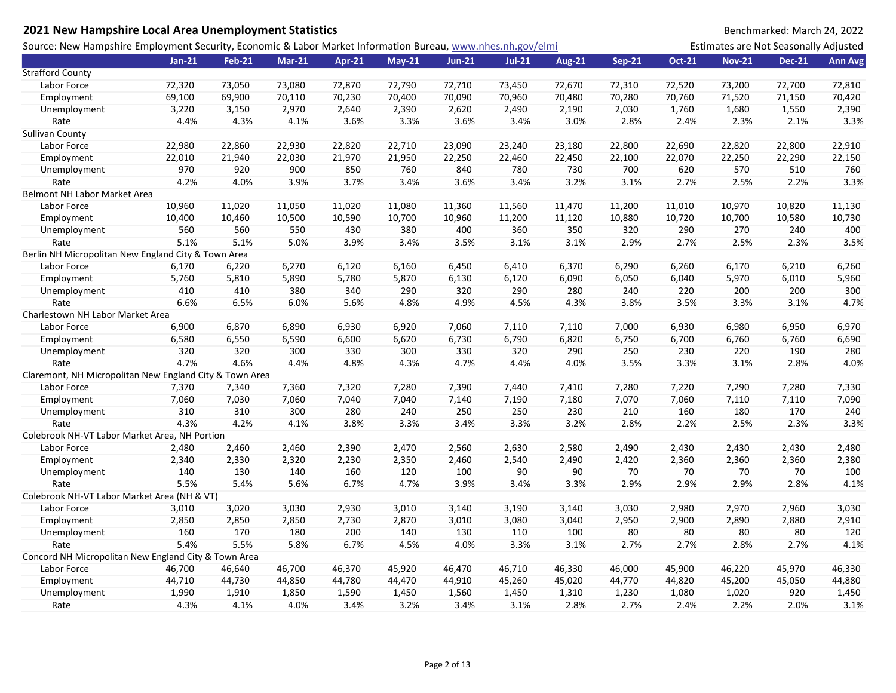| 2021 New Hampshire Local Area Unemployment Statistics                                                       |          |               |               |        |          |               |               |               |               |               |                                       | Benchmarked: March 24, 2022 |                |
|-------------------------------------------------------------------------------------------------------------|----------|---------------|---------------|--------|----------|---------------|---------------|---------------|---------------|---------------|---------------------------------------|-----------------------------|----------------|
| Source: New Hampshire Employment Security, Economic & Labor Market Information Bureau, www.nhes.nh.gov/elmi |          |               |               |        |          |               |               |               |               |               | Estimates are Not Seasonally Adjusted |                             |                |
|                                                                                                             | $Jan-21$ | <b>Feb-21</b> | <b>Mar-21</b> | Apr-21 | $May-21$ | <b>Jun-21</b> | <b>Jul-21</b> | <b>Aug-21</b> | <b>Sep-21</b> | <b>Oct-21</b> | <b>Nov-21</b>                         | <b>Dec-21</b>               | <b>Ann Avg</b> |
| <b>Strafford County</b>                                                                                     |          |               |               |        |          |               |               |               |               |               |                                       |                             |                |
| Labor Force                                                                                                 | 72,320   | 73,050        | 73,080        | 72,870 | 72,790   | 72,710        | 73,450        | 72,670        | 72,310        | 72,520        | 73,200                                | 72,700                      | 72,810         |
| Employment                                                                                                  | 69,100   | 69,900        | 70,110        | 70,230 | 70,400   | 70,090        | 70,960        | 70,480        | 70,280        | 70,760        | 71,520                                | 71,150                      | 70,420         |
| Unemployment                                                                                                | 3,220    | 3,150         | 2,970         | 2,640  | 2,390    | 2,620         | 2,490         | 2,190         | 2,030         | 1,760         | 1,680                                 | 1,550                       | 2,390          |
| Rate                                                                                                        | 4.4%     | 4.3%          | 4.1%          | 3.6%   | 3.3%     | 3.6%          | 3.4%          | 3.0%          | 2.8%          | 2.4%          | 2.3%                                  | 2.1%                        | 3.3%           |
| Sullivan County                                                                                             |          |               |               |        |          |               |               |               |               |               |                                       |                             |                |
| Labor Force                                                                                                 | 22,980   | 22,860        | 22,930        | 22,820 | 22,710   | 23,090        | 23,240        | 23,180        | 22,800        | 22,690        | 22,820                                | 22,800                      | 22,910         |
| Employment                                                                                                  | 22,010   | 21,940        | 22,030        | 21,970 | 21,950   | 22,250        | 22,460        | 22,450        | 22,100        | 22,070        | 22,250                                | 22,290                      | 22,150         |
| Unemployment                                                                                                | 970      | 920           | 900           | 850    | 760      | 840           | 780           | 730           | 700           | 620           | 570                                   | 510                         | 760            |
| Rate                                                                                                        | 4.2%     | 4.0%          | 3.9%          | 3.7%   | 3.4%     | 3.6%          | 3.4%          | 3.2%          | 3.1%          | 2.7%          | 2.5%                                  | 2.2%                        | 3.3%           |
| Belmont NH Labor Market Area                                                                                |          |               |               |        |          |               |               |               |               |               |                                       |                             |                |
| Labor Force                                                                                                 | 10,960   | 11,020        | 11,050        | 11,020 | 11,080   | 11,360        | 11,560        | 11,470        | 11,200        | 11,010        | 10,970                                | 10,820                      | 11,130         |
| Employment                                                                                                  | 10,400   | 10,460        | 10,500        | 10,590 | 10,700   | 10,960        | 11,200        | 11,120        | 10,880        | 10,720        | 10,700                                | 10,580                      | 10,730         |
| Unemployment                                                                                                | 560      | 560           | 550           | 430    | 380      | 400           | 360           | 350           | 320           | 290           | 270                                   | 240                         | 400            |
| Rate                                                                                                        | 5.1%     | 5.1%          | 5.0%          | 3.9%   | 3.4%     | 3.5%          | 3.1%          | 3.1%          | 2.9%          | 2.7%          | 2.5%                                  | 2.3%                        | 3.5%           |
| Berlin NH Micropolitan New England City & Town Area                                                         |          |               |               |        |          |               |               |               |               |               |                                       |                             |                |
| Labor Force                                                                                                 | 6,170    | 6,220         | 6,270         | 6,120  | 6,160    | 6,450         | 6,410         | 6,370         | 6,290         | 6,260         | 6,170                                 | 6,210                       | 6,260          |
| Employment                                                                                                  | 5,760    | 5,810         | 5,890         | 5,780  | 5,870    | 6,130         | 6,120         | 6,090         | 6,050         | 6,040         | 5,970                                 | 6,010                       | 5,960          |
| Unemployment                                                                                                | 410      | 410           | 380           | 340    | 290      | 320           | 290           | 280           | 240           | 220           | 200                                   | 200                         | 300            |
| Rate                                                                                                        | 6.6%     | 6.5%          | 6.0%          | 5.6%   | 4.8%     | 4.9%          | 4.5%          | 4.3%          | 3.8%          | 3.5%          | 3.3%                                  | 3.1%                        | 4.7%           |
| Charlestown NH Labor Market Area                                                                            |          |               |               |        |          |               |               |               |               |               |                                       |                             |                |
| Labor Force                                                                                                 | 6,900    | 6,870         | 6,890         | 6,930  | 6,920    | 7,060         | 7,110         | 7,110         | 7,000         | 6,930         | 6,980                                 | 6,950                       | 6,970          |
| Employment                                                                                                  | 6,580    | 6,550         | 6,590         | 6,600  | 6,620    | 6,730         | 6,790         | 6,820         | 6,750         | 6,700         | 6,760                                 | 6,760                       | 6,690          |
| Unemployment                                                                                                | 320      | 320           | 300           | 330    | 300      | 330           | 320           | 290           | 250           | 230           | 220                                   | 190                         | 280            |
| Rate                                                                                                        | 4.7%     | 4.6%          | 4.4%          | 4.8%   | 4.3%     | 4.7%          | 4.4%          | 4.0%          | 3.5%          | 3.3%          | 3.1%                                  | 2.8%                        | 4.0%           |
| Claremont, NH Micropolitan New England City & Town Area                                                     |          |               |               |        |          |               |               |               |               |               |                                       |                             |                |
| Labor Force                                                                                                 | 7,370    | 7,340         | 7,360         | 7,320  | 7,280    | 7,390         | 7,440         | 7,410         | 7,280         | 7,220         | 7,290                                 | 7,280                       | 7,330          |
| Employment                                                                                                  | 7,060    | 7,030         | 7,060         | 7,040  | 7,040    | 7,140         | 7,190         | 7,180         | 7,070         | 7,060         | 7,110                                 | 7,110                       | 7,090          |
| Unemployment                                                                                                | 310      | 310           | 300           | 280    | 240      | 250           | 250           | 230           | 210           | 160           | 180                                   | 170                         | 240            |
| Rate                                                                                                        | 4.3%     | 4.2%          | 4.1%          | 3.8%   | 3.3%     | 3.4%          | 3.3%          | 3.2%          | 2.8%          | 2.2%          | 2.5%                                  | 2.3%                        | 3.3%           |
| Colebrook NH-VT Labor Market Area, NH Portion                                                               |          |               |               |        |          |               |               |               |               |               |                                       |                             |                |
| Labor Force                                                                                                 | 2,480    | 2,460         | 2,460         | 2,390  | 2,470    | 2,560         | 2,630         | 2,580         | 2,490         | 2,430         | 2,430                                 | 2,430                       | 2,480          |
| Employment                                                                                                  | 2,340    | 2,330         | 2,320         | 2,230  | 2,350    | 2,460         | 2,540         | 2,490         | 2,420         | 2,360         | 2,360                                 | 2,360                       | 2,380          |
| Unemployment                                                                                                | 140      | 130           | 140           | 160    | 120      | 100           | 90            | 90            | 70            | 70            | 70                                    | 70                          | 100            |
| Rate                                                                                                        | 5.5%     | 5.4%          | 5.6%          | 6.7%   | 4.7%     | 3.9%          | 3.4%          | 3.3%          | 2.9%          | 2.9%          | 2.9%                                  | 2.8%                        | 4.1%           |
| Colebrook NH-VT Labor Market Area (NH & VT)                                                                 |          |               |               |        |          |               |               |               |               |               |                                       |                             |                |
| Labor Force                                                                                                 | 3,010    | 3,020         | 3,030         | 2,930  | 3,010    | 3,140         | 3,190         | 3,140         | 3,030         | 2,980         | 2,970                                 | 2,960                       | 3,030          |
| Employment                                                                                                  | 2,850    | 2,850         | 2,850         | 2,730  | 2,870    | 3,010         | 3,080         | 3,040         | 2,950         | 2,900         | 2,890                                 | 2,880                       | 2,910          |
| Unemployment                                                                                                | 160      | 170           | 180           | 200    | 140      | 130           | 110           | 100           | 80            | 80            | 80                                    | 80                          | 120            |
| Rate                                                                                                        | 5.4%     | 5.5%          | 5.8%          | 6.7%   | 4.5%     | 4.0%          | 3.3%          | 3.1%          | 2.7%          | 2.7%          | 2.8%                                  | 2.7%                        | 4.1%           |
| Concord NH Micropolitan New England City & Town Area                                                        |          |               |               |        |          |               |               |               |               |               |                                       |                             |                |
| Labor Force                                                                                                 | 46,700   | 46,640        | 46,700        | 46,370 | 45,920   | 46,470        | 46,710        | 46,330        | 46,000        | 45,900        | 46,220                                | 45,970                      | 46,330         |
| Employment                                                                                                  | 44,710   | 44,730        | 44,850        | 44,780 | 44,470   | 44,910        | 45,260        | 45,020        | 44,770        | 44,820        | 45,200                                | 45,050                      | 44,880         |
| Unemployment                                                                                                | 1,990    | 1,910         | 1,850         | 1,590  | 1,450    | 1,560         | 1,450         | 1,310         | 1,230         | 1,080         | 1,020                                 | 920                         | 1,450          |
| Rate                                                                                                        | 4.3%     | 4.1%          | 4.0%          | 3.4%   | 3.2%     | 3.4%          | 3.1%          | 2.8%          | 2.7%          | 2.4%          | 2.2%                                  | 2.0%                        | 3.1%           |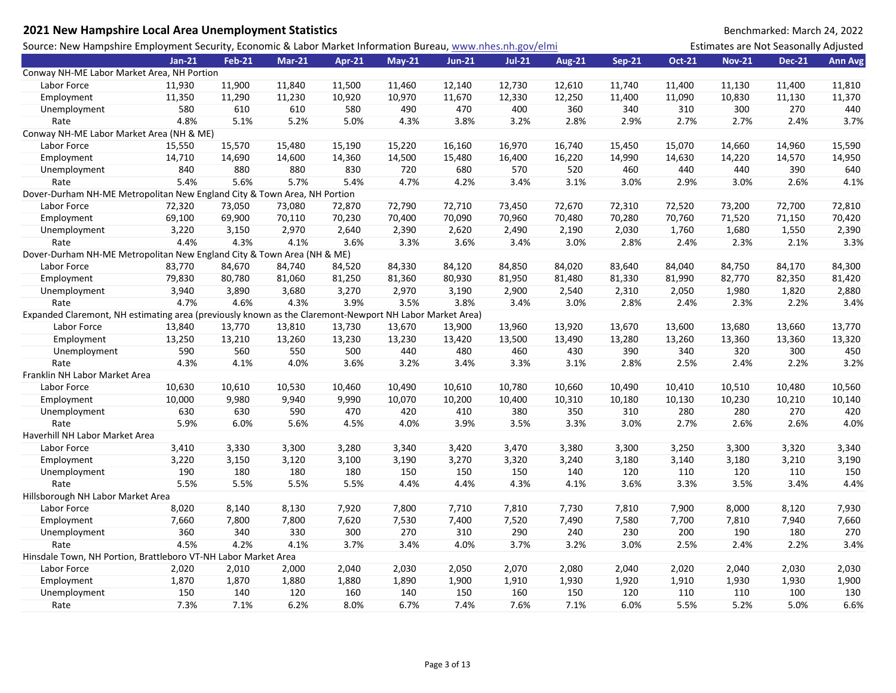| 2021 New Hampshire Local Area Unemployment Statistics                                                       |          |               |               |        |          |               |               |               |               |               |                                       | Benchmarked: March 24, 2022 |                |
|-------------------------------------------------------------------------------------------------------------|----------|---------------|---------------|--------|----------|---------------|---------------|---------------|---------------|---------------|---------------------------------------|-----------------------------|----------------|
| Source: New Hampshire Employment Security, Economic & Labor Market Information Bureau, www.nhes.nh.gov/elmi |          |               |               |        |          |               |               |               |               |               | Estimates are Not Seasonally Adjusted |                             |                |
|                                                                                                             | $Jan-21$ | <b>Feb-21</b> | <b>Mar-21</b> | Apr-21 | $May-21$ | <b>Jun-21</b> | <b>Jul-21</b> | <b>Aug-21</b> | <b>Sep-21</b> | <b>Oct-21</b> | <b>Nov-21</b>                         | <b>Dec-21</b>               | <b>Ann Avg</b> |
| Conway NH-ME Labor Market Area, NH Portion                                                                  |          |               |               |        |          |               |               |               |               |               |                                       |                             |                |
| Labor Force                                                                                                 | 11,930   | 11,900        | 11,840        | 11,500 | 11,460   | 12,140        | 12,730        | 12,610        | 11,740        | 11,400        | 11,130                                | 11,400                      | 11,810         |
| Employment                                                                                                  | 11,350   | 11,290        | 11,230        | 10,920 | 10,970   | 11,670        | 12,330        | 12,250        | 11,400        | 11,090        | 10,830                                | 11,130                      | 11,370         |
| Unemployment                                                                                                | 580      | 610           | 610           | 580    | 490      | 470           | 400           | 360           | 340           | 310           | 300                                   | 270                         | 440            |
| Rate                                                                                                        | 4.8%     | 5.1%          | 5.2%          | 5.0%   | 4.3%     | 3.8%          | 3.2%          | 2.8%          | 2.9%          | 2.7%          | 2.7%                                  | 2.4%                        | 3.7%           |
| Conway NH-ME Labor Market Area (NH & ME)                                                                    |          |               |               |        |          |               |               |               |               |               |                                       |                             |                |
| Labor Force                                                                                                 | 15,550   | 15,570        | 15,480        | 15,190 | 15,220   | 16,160        | 16,970        | 16,740        | 15,450        | 15,070        | 14,660                                | 14,960                      | 15,590         |
| Employment                                                                                                  | 14,710   | 14,690        | 14,600        | 14,360 | 14,500   | 15,480        | 16,400        | 16,220        | 14,990        | 14,630        | 14,220                                | 14,570                      | 14,950         |
| Unemployment                                                                                                | 840      | 880           | 880           | 830    | 720      | 680           | 570           | 520           | 460           | 440           | 440                                   | 390                         | 640            |
| Rate                                                                                                        | 5.4%     | 5.6%          | 5.7%          | 5.4%   | 4.7%     | 4.2%          | 3.4%          | 3.1%          | 3.0%          | 2.9%          | 3.0%                                  | 2.6%                        | 4.1%           |
| Dover-Durham NH-ME Metropolitan New England City & Town Area, NH Portion                                    |          |               |               |        |          |               |               |               |               |               |                                       |                             |                |
| Labor Force                                                                                                 | 72,320   | 73,050        | 73,080        | 72,870 | 72,790   | 72,710        | 73,450        | 72,670        | 72,310        | 72,520        | 73,200                                | 72,700                      | 72,810         |
| Employment                                                                                                  | 69,100   | 69,900        | 70,110        | 70,230 | 70,400   | 70,090        | 70,960        | 70,480        | 70,280        | 70,760        | 71,520                                | 71,150                      | 70,420         |
| Unemployment                                                                                                | 3,220    | 3,150         | 2,970         | 2,640  | 2,390    | 2,620         | 2,490         | 2,190         | 2,030         | 1,760         | 1,680                                 | 1,550                       | 2,390          |
| Rate                                                                                                        | 4.4%     | 4.3%          | 4.1%          | 3.6%   | 3.3%     | 3.6%          | 3.4%          | 3.0%          | 2.8%          | 2.4%          | 2.3%                                  | 2.1%                        | 3.3%           |
| Dover-Durham NH-ME Metropolitan New England City & Town Area (NH & ME)                                      |          |               |               |        |          |               |               |               |               |               |                                       |                             |                |
| Labor Force                                                                                                 | 83,770   | 84,670        | 84,740        | 84,520 | 84,330   | 84,120        | 84,850        | 84,020        | 83,640        | 84,040        | 84,750                                | 84,170                      | 84,300         |
| Employment                                                                                                  | 79,830   | 80,780        | 81,060        | 81,250 | 81,360   | 80,930        | 81,950        | 81,480        | 81,330        | 81,990        | 82,770                                | 82,350                      | 81,420         |
| Unemployment                                                                                                | 3,940    | 3,890         | 3,680         | 3,270  | 2,970    | 3,190         | 2,900         | 2,540         | 2,310         | 2,050         | 1,980                                 | 1,820                       | 2,880          |
| Rate                                                                                                        | 4.7%     | 4.6%          | 4.3%          | 3.9%   | 3.5%     | 3.8%          | 3.4%          | 3.0%          | 2.8%          | 2.4%          | 2.3%                                  | 2.2%                        | 3.4%           |
| Expanded Claremont, NH estimating area (previously known as the Claremont-Newport NH Labor Market Area)     |          |               |               |        |          |               |               |               |               |               |                                       |                             |                |
| Labor Force                                                                                                 | 13,840   | 13,770        | 13,810        | 13,730 | 13,670   | 13,900        | 13,960        | 13,920        | 13,670        | 13,600        | 13,680                                | 13,660                      | 13,770         |
| Employment                                                                                                  | 13,250   | 13,210        | 13,260        | 13,230 | 13,230   | 13,420        | 13,500        | 13,490        | 13,280        | 13,260        | 13,360                                | 13,360                      | 13,320         |
| Unemployment                                                                                                | 590      | 560           | 550           | 500    | 440      | 480           | 460           | 430           | 390           | 340           | 320                                   | 300                         | 450            |
| Rate                                                                                                        | 4.3%     | 4.1%          | 4.0%          | 3.6%   | 3.2%     | 3.4%          | 3.3%          | 3.1%          | 2.8%          | 2.5%          | 2.4%                                  | 2.2%                        | 3.2%           |
| Franklin NH Labor Market Area                                                                               |          |               |               |        |          |               |               |               |               |               |                                       |                             |                |
| Labor Force                                                                                                 | 10,630   | 10,610        | 10,530        | 10,460 | 10,490   | 10,610        | 10,780        | 10,660        | 10,490        | 10,410        | 10,510                                | 10,480                      | 10,560         |
| Employment                                                                                                  | 10,000   | 9,980         | 9,940         | 9,990  | 10,070   | 10,200        | 10,400        | 10,310        | 10,180        | 10,130        | 10,230                                | 10,210                      | 10,140         |
| Unemployment                                                                                                | 630      | 630           | 590           | 470    | 420      | 410           | 380           | 350           | 310           | 280           | 280                                   | 270                         | 420            |
| Rate                                                                                                        | 5.9%     | 6.0%          | 5.6%          | 4.5%   | 4.0%     | 3.9%          | 3.5%          | 3.3%          | 3.0%          | 2.7%          | 2.6%                                  | 2.6%                        | 4.0%           |
| Haverhill NH Labor Market Area                                                                              |          |               |               |        |          |               |               |               |               |               |                                       |                             |                |
| Labor Force                                                                                                 | 3,410    | 3,330         | 3,300         | 3,280  | 3,340    | 3,420         | 3,470         | 3,380         | 3,300         | 3,250         | 3,300                                 | 3,320                       | 3,340          |
| Employment                                                                                                  | 3,220    | 3,150         | 3,120         | 3,100  | 3,190    | 3,270         | 3,320         | 3,240         | 3,180         | 3,140         | 3,180                                 | 3,210                       | 3,190          |
| Unemployment                                                                                                | 190      | 180           | 180           | 180    | 150      | 150           | 150           | 140           | 120           | 110           | 120                                   | 110                         | 150            |
| Rate                                                                                                        | 5.5%     | 5.5%          | 5.5%          | 5.5%   | 4.4%     | 4.4%          | 4.3%          | 4.1%          | 3.6%          | 3.3%          | 3.5%                                  | 3.4%                        | 4.4%           |
| Hillsborough NH Labor Market Area                                                                           |          |               |               |        |          |               |               |               |               |               |                                       |                             |                |
| Labor Force                                                                                                 | 8,020    | 8,140         | 8,130         | 7,920  | 7,800    | 7,710         | 7,810         | 7,730         | 7,810         | 7,900         | 8,000                                 | 8,120                       | 7,930          |
| Employment                                                                                                  | 7,660    | 7,800         | 7,800         | 7,620  | 7,530    | 7,400         | 7,520         | 7,490         | 7,580         | 7,700         | 7,810                                 | 7,940                       | 7,660          |
| Unemployment                                                                                                | 360      | 340           | 330           | 300    | 270      | 310           | 290           | 240           | 230           | 200           | 190                                   | 180                         | 270            |
| Rate                                                                                                        | 4.5%     | 4.2%          | 4.1%          | 3.7%   | 3.4%     | 4.0%          | 3.7%          | 3.2%          | 3.0%          | 2.5%          | 2.4%                                  | 2.2%                        | 3.4%           |
| Hinsdale Town, NH Portion, Brattleboro VT-NH Labor Market Area                                              |          |               |               |        |          |               |               |               |               |               |                                       |                             |                |
| Labor Force                                                                                                 | 2,020    | 2,010         | 2,000         | 2,040  | 2,030    | 2,050         | 2,070         | 2,080         | 2,040         | 2,020         | 2,040                                 | 2,030                       | 2,030          |
| Employment                                                                                                  | 1,870    | 1,870         | 1,880         | 1,880  | 1,890    | 1,900         | 1,910         | 1,930         | 1,920         | 1,910         | 1,930                                 | 1,930                       | 1,900          |
| Unemployment                                                                                                | 150      | 140           | 120           | 160    | 140      | 150           | 160           | 150           | 120           | 110           | 110                                   | 100                         | 130            |
| Rate                                                                                                        | 7.3%     | 7.1%          | 6.2%          | 8.0%   | 6.7%     | 7.4%          | 7.6%          | 7.1%          | 6.0%          | 5.5%          | 5.2%                                  | 5.0%                        | 6.6%           |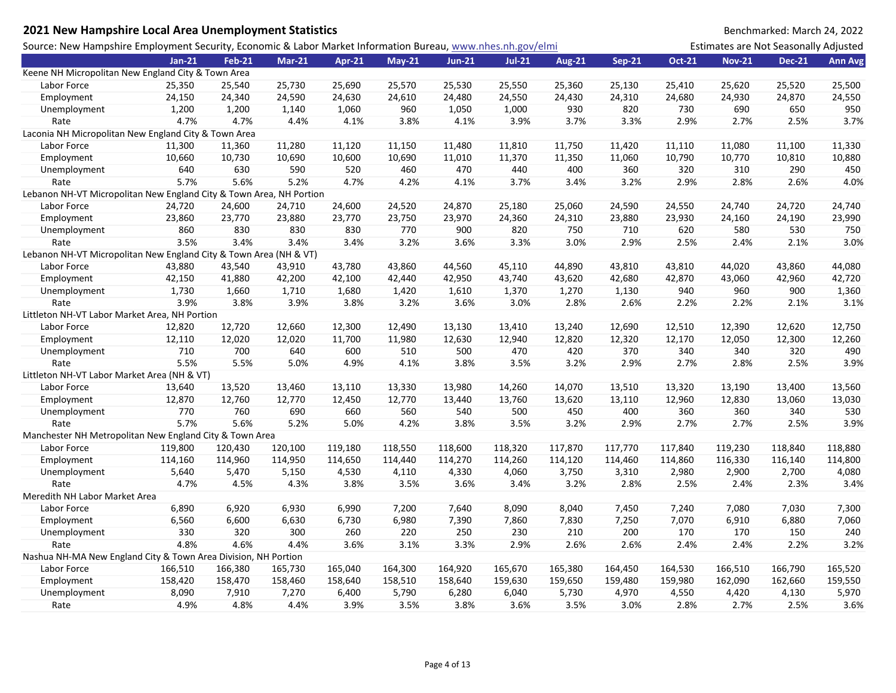| 2021 New Hampshire Local Area Unemployment Statistics                                                       |          |               |               |         |          |               |          |               |               |               |                                       | Benchmarked: March 24, 2022 |                |
|-------------------------------------------------------------------------------------------------------------|----------|---------------|---------------|---------|----------|---------------|----------|---------------|---------------|---------------|---------------------------------------|-----------------------------|----------------|
| Source: New Hampshire Employment Security, Economic & Labor Market Information Bureau, www.nhes.nh.gov/elmi |          |               |               |         |          |               |          |               |               |               | Estimates are Not Seasonally Adjusted |                             |                |
|                                                                                                             | $Jan-21$ | <b>Feb-21</b> | <b>Mar-21</b> | Apr-21  | $May-21$ | <b>Jun-21</b> | $Jul-21$ | <b>Aug-21</b> | <b>Sep-21</b> | <b>Oct-21</b> | <b>Nov-21</b>                         | <b>Dec-21</b>               | <b>Ann Avg</b> |
| Keene NH Micropolitan New England City & Town Area                                                          |          |               |               |         |          |               |          |               |               |               |                                       |                             |                |
| Labor Force                                                                                                 | 25,350   | 25,540        | 25,730        | 25,690  | 25,570   | 25,530        | 25,550   | 25,360        | 25,130        | 25,410        | 25,620                                | 25,520                      | 25,500         |
| Employment                                                                                                  | 24,150   | 24,340        | 24,590        | 24,630  | 24,610   | 24,480        | 24,550   | 24,430        | 24,310        | 24,680        | 24,930                                | 24,870                      | 24,550         |
| Unemployment                                                                                                | 1,200    | 1,200         | 1,140         | 1,060   | 960      | 1,050         | 1,000    | 930           | 820           | 730           | 690                                   | 650                         | 950            |
| Rate                                                                                                        | 4.7%     | 4.7%          | 4.4%          | 4.1%    | 3.8%     | 4.1%          | 3.9%     | 3.7%          | 3.3%          | 2.9%          | 2.7%                                  | 2.5%                        | 3.7%           |
| Laconia NH Micropolitan New England City & Town Area                                                        |          |               |               |         |          |               |          |               |               |               |                                       |                             |                |
| Labor Force                                                                                                 | 11,300   | 11,360        | 11,280        | 11,120  | 11,150   | 11,480        | 11,810   | 11,750        | 11,420        | 11,110        | 11,080                                | 11,100                      | 11,330         |
| Employment                                                                                                  | 10,660   | 10,730        | 10,690        | 10,600  | 10,690   | 11,010        | 11,370   | 11,350        | 11,060        | 10,790        | 10,770                                | 10,810                      | 10,880         |
| Unemployment                                                                                                | 640      | 630           | 590           | 520     | 460      | 470           | 440      | 400           | 360           | 320           | 310                                   | 290                         | 450            |
| Rate                                                                                                        | 5.7%     | 5.6%          | 5.2%          | 4.7%    | 4.2%     | 4.1%          | 3.7%     | 3.4%          | 3.2%          | 2.9%          | 2.8%                                  | 2.6%                        | 4.0%           |
| Lebanon NH-VT Micropolitan New England City & Town Area, NH Portion                                         |          |               |               |         |          |               |          |               |               |               |                                       |                             |                |
| Labor Force                                                                                                 | 24,720   | 24,600        | 24,710        | 24,600  | 24,520   | 24,870        | 25,180   | 25,060        | 24,590        | 24,550        | 24,740                                | 24,720                      | 24,740         |
| Employment                                                                                                  | 23,860   | 23,770        | 23,880        | 23,770  | 23,750   | 23,970        | 24,360   | 24,310        | 23,880        | 23,930        | 24,160                                | 24,190                      | 23,990         |
| Unemployment                                                                                                | 860      | 830           | 830           | 830     | 770      | 900           | 820      | 750           | 710           | 620           | 580                                   | 530                         | 750            |
| Rate                                                                                                        | 3.5%     | 3.4%          | 3.4%          | 3.4%    | 3.2%     | 3.6%          | 3.3%     | 3.0%          | 2.9%          | 2.5%          | 2.4%                                  | 2.1%                        | 3.0%           |
| Lebanon NH-VT Micropolitan New England City & Town Area (NH & VT)                                           |          |               |               |         |          |               |          |               |               |               |                                       |                             |                |
| Labor Force                                                                                                 | 43,880   | 43,540        | 43,910        | 43,780  | 43,860   | 44,560        | 45,110   | 44,890        | 43,810        | 43,810        | 44,020                                | 43,860                      | 44,080         |
| Employment                                                                                                  | 42,150   | 41,880        | 42,200        | 42,100  | 42,440   | 42,950        | 43,740   | 43,620        | 42,680        | 42,870        | 43,060                                | 42,960                      | 42,720         |
| Unemployment                                                                                                | 1,730    | 1,660         | 1,710         | 1,680   | 1,420    | 1,610         | 1,370    | 1,270         | 1,130         | 940           | 960                                   | 900                         | 1,360          |
| Rate                                                                                                        | 3.9%     | 3.8%          | 3.9%          | 3.8%    | 3.2%     | 3.6%          | 3.0%     | 2.8%          | 2.6%          | 2.2%          | 2.2%                                  | 2.1%                        | 3.1%           |
| Littleton NH-VT Labor Market Area, NH Portion                                                               |          |               |               |         |          |               |          |               |               |               |                                       |                             |                |
| Labor Force                                                                                                 | 12,820   | 12,720        | 12,660        | 12,300  | 12,490   | 13,130        | 13,410   | 13,240        | 12,690        | 12,510        | 12,390                                | 12,620                      | 12,750         |
| Employment                                                                                                  | 12,110   | 12,020        | 12,020        | 11,700  | 11,980   | 12,630        | 12,940   | 12,820        | 12,320        | 12,170        | 12,050                                | 12,300                      | 12,260         |
| Unemployment                                                                                                | 710      | 700           | 640           | 600     | 510      | 500           | 470      | 420           | 370           | 340           | 340                                   | 320                         | 490            |
| Rate                                                                                                        | 5.5%     | 5.5%          | 5.0%          | 4.9%    | 4.1%     | 3.8%          | 3.5%     | 3.2%          | 2.9%          | 2.7%          | 2.8%                                  | 2.5%                        | 3.9%           |
| Littleton NH-VT Labor Market Area (NH & VT)                                                                 |          |               |               |         |          |               |          |               |               |               |                                       |                             |                |
| Labor Force                                                                                                 | 13,640   | 13,520        | 13,460        | 13,110  | 13,330   | 13,980        | 14,260   | 14,070        | 13,510        | 13,320        | 13,190                                | 13,400                      | 13,560         |
| Employment                                                                                                  | 12,870   | 12,760        | 12,770        | 12,450  | 12,770   | 13,440        | 13,760   | 13,620        | 13,110        | 12,960        | 12,830                                | 13,060                      | 13,030         |
| Unemployment                                                                                                | 770      | 760           | 690           | 660     | 560      | 540           | 500      | 450           | 400           | 360           | 360                                   | 340                         | 530            |
| Rate                                                                                                        | 5.7%     | 5.6%          | 5.2%          | 5.0%    | 4.2%     | 3.8%          | 3.5%     | 3.2%          | 2.9%          | 2.7%          | 2.7%                                  | 2.5%                        | 3.9%           |
| Manchester NH Metropolitan New England City & Town Area                                                     |          |               |               |         |          |               |          |               |               |               |                                       |                             |                |
| Labor Force                                                                                                 | 119,800  | 120,430       | 120,100       | 119,180 | 118,550  | 118,600       | 118,320  | 117,870       | 117,770       | 117,840       | 119,230                               | 118,840                     | 118,880        |
| Employment                                                                                                  | 114,160  | 114,960       | 114,950       | 114,650 | 114,440  | 114,270       | 114,260  | 114,120       | 114,460       | 114,860       | 116,330                               | 116,140                     | 114,800        |
| Unemployment                                                                                                | 5,640    | 5,470         | 5,150         | 4,530   | 4,110    | 4,330         | 4,060    | 3,750         | 3,310         | 2,980         | 2,900                                 | 2,700                       | 4,080          |
| Rate                                                                                                        | 4.7%     | 4.5%          | 4.3%          | 3.8%    | 3.5%     | 3.6%          | 3.4%     | 3.2%          | 2.8%          | 2.5%          | 2.4%                                  | 2.3%                        | 3.4%           |
| Meredith NH Labor Market Area                                                                               |          |               |               |         |          |               |          |               |               |               |                                       |                             |                |
| Labor Force                                                                                                 | 6,890    | 6,920         | 6,930         | 6,990   | 7,200    | 7,640         | 8,090    | 8,040         | 7,450         | 7,240         | 7,080                                 | 7,030                       | 7,300          |
| Employment                                                                                                  | 6,560    | 6,600         | 6,630         | 6,730   | 6,980    | 7,390         | 7,860    | 7,830         | 7,250         | 7,070         | 6,910                                 | 6,880                       | 7,060          |
| Unemployment                                                                                                | 330      | 320           | 300           | 260     | 220      | 250           | 230      | 210           | 200           | 170           | 170                                   | 150                         | 240            |
| Rate                                                                                                        | 4.8%     | 4.6%          | 4.4%          | 3.6%    | 3.1%     | 3.3%          | 2.9%     | 2.6%          | 2.6%          | 2.4%          | 2.4%                                  | 2.2%                        | 3.2%           |
| Nashua NH-MA New England City & Town Area Division, NH Portion                                              |          |               |               |         |          |               |          |               |               |               |                                       |                             |                |
| Labor Force                                                                                                 | 166,510  | 166,380       | 165,730       | 165,040 | 164,300  | 164,920       | 165,670  | 165,380       | 164,450       | 164,530       | 166,510                               | 166,790                     | 165,520        |
| Employment                                                                                                  | 158,420  | 158,470       | 158,460       | 158,640 | 158,510  | 158,640       | 159,630  | 159,650       | 159,480       | 159,980       | 162,090                               | 162,660                     | 159,550        |
| Unemployment                                                                                                | 8,090    | 7,910         | 7,270         | 6,400   | 5,790    | 6,280         | 6,040    | 5,730         | 4,970         | 4,550         | 4,420                                 | 4,130                       | 5,970          |
| Rate                                                                                                        | 4.9%     | 4.8%          | 4.4%          | 3.9%    | 3.5%     | 3.8%          | 3.6%     | 3.5%          | 3.0%          | 2.8%          | 2.7%                                  | 2.5%                        | 3.6%           |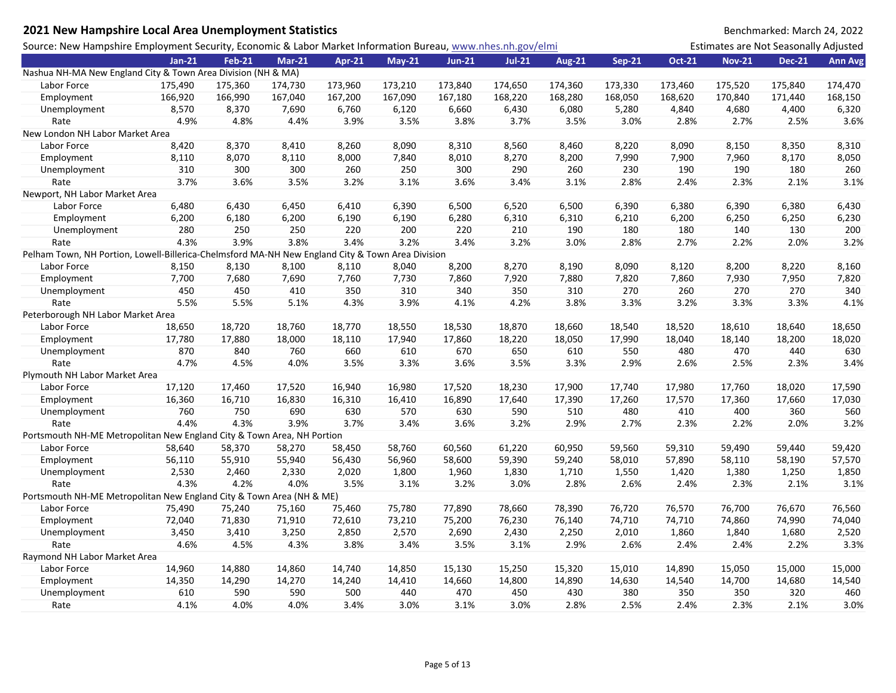| 2021 New Hampshire Local Area Unemployment Statistics                                                       |          |               |               |               |               |               |          |               |               |               |                                       | Benchmarked: March 24, 2022 |                |
|-------------------------------------------------------------------------------------------------------------|----------|---------------|---------------|---------------|---------------|---------------|----------|---------------|---------------|---------------|---------------------------------------|-----------------------------|----------------|
| Source: New Hampshire Employment Security, Economic & Labor Market Information Bureau, www.nhes.nh.gov/elmi |          |               |               |               |               |               |          |               |               |               | Estimates are Not Seasonally Adjusted |                             |                |
|                                                                                                             | $Jan-21$ | <b>Feb-21</b> | <b>Mar-21</b> | <b>Apr-21</b> | <b>May-21</b> | <b>Jun-21</b> | $Jul-21$ | <b>Aug-21</b> | <b>Sep-21</b> | <b>Oct-21</b> | <b>Nov-21</b>                         | <b>Dec-21</b>               | <b>Ann Avg</b> |
| Nashua NH-MA New England City & Town Area Division (NH & MA)                                                |          |               |               |               |               |               |          |               |               |               |                                       |                             |                |
| Labor Force                                                                                                 | 175,490  | 175,360       | 174,730       | 173,960       | 173,210       | 173,840       | 174,650  | 174,360       | 173,330       | 173,460       | 175,520                               | 175,840                     | 174,470        |
| Employment                                                                                                  | 166,920  | 166,990       | 167,040       | 167,200       | 167,090       | 167,180       | 168,220  | 168,280       | 168,050       | 168,620       | 170,840                               | 171,440                     | 168,150        |
| Unemployment                                                                                                | 8,570    | 8,370         | 7,690         | 6,760         | 6,120         | 6,660         | 6,430    | 6,080         | 5,280         | 4,840         | 4,680                                 | 4,400                       | 6,320          |
| Rate                                                                                                        | 4.9%     | 4.8%          | 4.4%          | 3.9%          | 3.5%          | 3.8%          | 3.7%     | 3.5%          | 3.0%          | 2.8%          | 2.7%                                  | 2.5%                        | 3.6%           |
| New London NH Labor Market Area                                                                             |          |               |               |               |               |               |          |               |               |               |                                       |                             |                |
| Labor Force                                                                                                 | 8,420    | 8,370         | 8,410         | 8,260         | 8,090         | 8,310         | 8,560    | 8,460         | 8,220         | 8,090         | 8,150                                 | 8,350                       | 8,310          |
| Employment                                                                                                  | 8,110    | 8,070         | 8,110         | 8,000         | 7,840         | 8,010         | 8,270    | 8,200         | 7,990         | 7,900         | 7,960                                 | 8,170                       | 8,050          |
| Unemployment                                                                                                | 310      | 300           | 300           | 260           | 250           | 300           | 290      | 260           | 230           | 190           | 190                                   | 180                         | 260            |
| Rate                                                                                                        | 3.7%     | 3.6%          | 3.5%          | 3.2%          | 3.1%          | 3.6%          | 3.4%     | 3.1%          | 2.8%          | 2.4%          | 2.3%                                  | 2.1%                        | 3.1%           |
| Newport, NH Labor Market Area                                                                               |          |               |               |               |               |               |          |               |               |               |                                       |                             |                |
| Labor Force                                                                                                 | 6,480    | 6,430         | 6,450         | 6,410         | 6,390         | 6,500         | 6,520    | 6,500         | 6,390         | 6,380         | 6,390                                 | 6,380                       | 6,430          |
| Employment                                                                                                  | 6,200    | 6,180         | 6,200         | 6,190         | 6,190         | 6,280         | 6,310    | 6,310         | 6,210         | 6,200         | 6,250                                 | 6,250                       | 6,230          |
| Unemployment                                                                                                | 280      | 250           | 250           | 220           | 200           | 220           | 210      | 190           | 180           | 180           | 140                                   | 130                         | 200            |
| Rate                                                                                                        | 4.3%     | 3.9%          | 3.8%          | 3.4%          | 3.2%          | 3.4%          | 3.2%     | 3.0%          | 2.8%          | 2.7%          | 2.2%                                  | 2.0%                        | 3.2%           |
| Pelham Town, NH Portion, Lowell-Billerica-Chelmsford MA-NH New England City & Town Area Division            |          |               |               |               |               |               |          |               |               |               |                                       |                             |                |
| Labor Force                                                                                                 | 8,150    | 8,130         | 8,100         | 8,110         | 8,040         | 8,200         | 8,270    | 8,190         | 8,090         | 8,120         | 8,200                                 | 8,220                       | 8,160          |
| Employment                                                                                                  | 7,700    | 7,680         | 7,690         | 7,760         | 7,730         | 7,860         | 7,920    | 7,880         | 7,820         | 7,860         | 7,930                                 | 7,950                       | 7,820          |
| Unemployment                                                                                                | 450      | 450           | 410           | 350           | 310           | 340           | 350      | 310           | 270           | 260           | 270                                   | 270                         | 340            |
| Rate                                                                                                        | 5.5%     | 5.5%          | 5.1%          | 4.3%          | 3.9%          | 4.1%          | 4.2%     | 3.8%          | 3.3%          | 3.2%          | 3.3%                                  | 3.3%                        | 4.1%           |
| Peterborough NH Labor Market Area                                                                           |          |               |               |               |               |               |          |               |               |               |                                       |                             |                |
| Labor Force                                                                                                 | 18,650   | 18,720        | 18,760        | 18,770        | 18,550        | 18,530        | 18,870   | 18,660        | 18,540        | 18,520        | 18,610                                | 18,640                      | 18,650         |
| Employment                                                                                                  | 17,780   | 17,880        | 18,000        | 18,110        | 17,940        | 17,860        | 18,220   | 18,050        | 17,990        | 18,040        | 18,140                                | 18,200                      | 18,020         |
| Unemployment                                                                                                | 870      | 840           | 760           | 660           | 610           | 670           | 650      | 610           | 550           | 480           | 470                                   | 440                         | 630            |
| Rate                                                                                                        | 4.7%     | 4.5%          | 4.0%          | 3.5%          | 3.3%          | 3.6%          | 3.5%     | 3.3%          | 2.9%          | 2.6%          | 2.5%                                  | 2.3%                        | 3.4%           |
| Plymouth NH Labor Market Area                                                                               |          |               |               |               |               |               |          |               |               |               |                                       |                             |                |
| Labor Force                                                                                                 | 17,120   | 17,460        | 17,520        | 16,940        | 16,980        | 17,520        | 18,230   | 17,900        | 17,740        | 17,980        | 17,760                                | 18,020                      | 17,590         |
| Employment                                                                                                  | 16,360   | 16,710        | 16,830        | 16,310        | 16,410        | 16,890        | 17,640   | 17,390        | 17,260        | 17,570        | 17,360                                | 17,660                      | 17,030         |
| Unemployment                                                                                                | 760      | 750           | 690           | 630           | 570           | 630           | 590      | 510           | 480           | 410           | 400                                   | 360                         | 560            |
| Rate                                                                                                        | 4.4%     | 4.3%          | 3.9%          | 3.7%          | 3.4%          | 3.6%          | 3.2%     | 2.9%          | 2.7%          | 2.3%          | 2.2%                                  | 2.0%                        | 3.2%           |
| Portsmouth NH-ME Metropolitan New England City & Town Area, NH Portion                                      |          |               |               |               |               |               |          |               |               |               |                                       |                             |                |
| Labor Force                                                                                                 | 58,640   | 58,370        | 58,270        | 58,450        | 58,760        | 60,560        | 61,220   | 60,950        | 59,560        | 59,310        | 59,490                                | 59,440                      | 59,420         |
| Employment                                                                                                  | 56,110   | 55,910        | 55,940        | 56,430        | 56,960        | 58,600        | 59,390   | 59,240        | 58,010        | 57,890        | 58,110                                | 58,190                      | 57,570         |
| Unemployment                                                                                                | 2,530    | 2,460         | 2,330         | 2,020         | 1,800         | 1,960         | 1,830    | 1,710         | 1,550         | 1,420         | 1,380                                 | 1,250                       | 1,850          |
| Rate                                                                                                        | 4.3%     | 4.2%          | 4.0%          | 3.5%          | 3.1%          | 3.2%          | 3.0%     | 2.8%          | 2.6%          | 2.4%          | 2.3%                                  | 2.1%                        | 3.1%           |
| Portsmouth NH-ME Metropolitan New England City & Town Area (NH & ME)                                        |          |               |               |               |               |               |          |               |               |               |                                       |                             |                |
| Labor Force                                                                                                 | 75,490   | 75,240        | 75,160        | 75,460        | 75,780        | 77,890        | 78,660   | 78,390        | 76,720        | 76,570        | 76,700                                | 76,670                      | 76,560         |
| Employment                                                                                                  | 72,040   | 71,830        | 71,910        | 72,610        | 73,210        | 75,200        | 76,230   | 76,140        | 74,710        | 74,710        | 74,860                                | 74,990                      | 74,040         |
| Unemployment                                                                                                | 3,450    | 3,410         | 3,250         | 2,850         | 2,570         | 2,690         | 2,430    | 2,250         | 2,010         | 1,860         | 1,840                                 | 1,680                       | 2,520          |
| Rate                                                                                                        | 4.6%     | 4.5%          | 4.3%          | 3.8%          | 3.4%          | 3.5%          | 3.1%     | 2.9%          | 2.6%          | 2.4%          | 2.4%                                  | 2.2%                        | 3.3%           |
| Raymond NH Labor Market Area                                                                                |          |               |               |               |               |               |          |               |               |               |                                       |                             |                |
| Labor Force                                                                                                 | 14,960   | 14,880        | 14,860        | 14,740        | 14,850        | 15,130        | 15,250   | 15,320        | 15,010        | 14,890        | 15,050                                | 15,000                      | 15,000         |
| Employment                                                                                                  | 14,350   | 14,290        | 14,270        | 14,240        | 14,410        | 14,660        | 14,800   | 14,890        | 14,630        | 14,540        | 14,700                                | 14,680                      | 14,540         |
| Unemployment                                                                                                | 610      | 590           | 590           | 500           | 440           | 470           | 450      | 430           | 380           | 350           | 350                                   | 320                         | 460            |
| Rate                                                                                                        | 4.1%     | 4.0%          | 4.0%          | 3.4%          | 3.0%          | 3.1%          | 3.0%     | 2.8%          | 2.5%          | 2.4%          | 2.3%                                  | 2.1%                        | 3.0%           |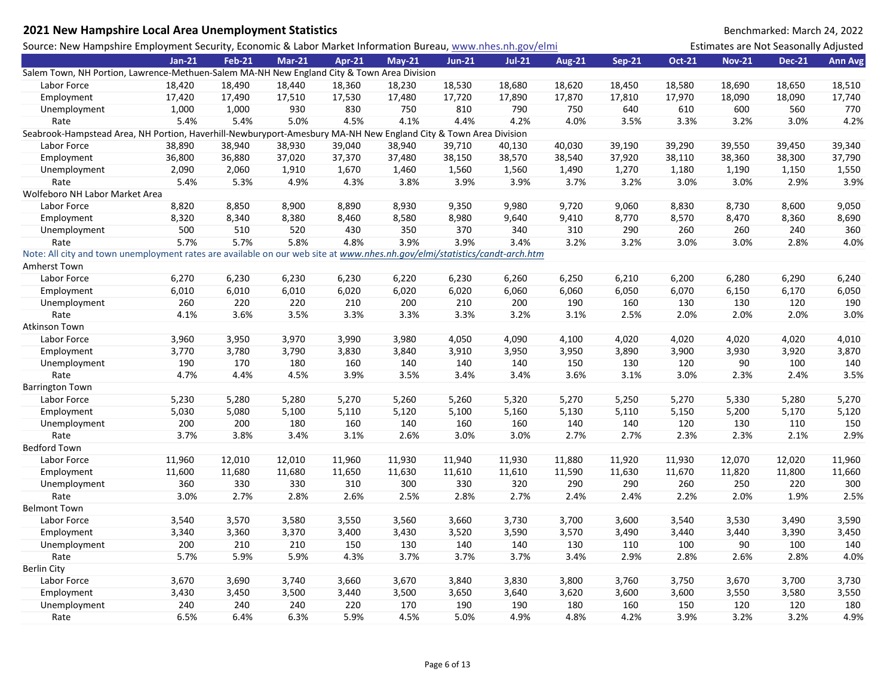## **2021 New Hampshire Local Area Unemployment Statistics** Benchmarked: March 24, 2022

| Source: New Hampshire Employment Security, Economic & Labor Market Information Bureau, www.nhes.nh.gov/elmi                |          |               |               |        |               |               |          |               |               |               | Estimates are Not Seasonally Adjusted |               |                |
|----------------------------------------------------------------------------------------------------------------------------|----------|---------------|---------------|--------|---------------|---------------|----------|---------------|---------------|---------------|---------------------------------------|---------------|----------------|
|                                                                                                                            | $Jan-21$ | <b>Feb-21</b> | <b>Mar-21</b> | Apr-21 | <b>May-21</b> | <b>Jun-21</b> | $Jul-21$ | <b>Aug-21</b> | <b>Sep-21</b> | <b>Oct-21</b> | <b>Nov-21</b>                         | <b>Dec-21</b> | <b>Ann Avg</b> |
| Salem Town, NH Portion, Lawrence-Methuen-Salem MA-NH New England City & Town Area Division                                 |          |               |               |        |               |               |          |               |               |               |                                       |               |                |
| Labor Force                                                                                                                | 18,420   | 18,490        | 18,440        | 18,360 | 18,230        | 18,530        | 18,680   | 18,620        | 18,450        | 18,580        | 18,690                                | 18,650        | 18,510         |
| Employment                                                                                                                 | 17,420   | 17,490        | 17,510        | 17,530 | 17,480        | 17,720        | 17,890   | 17,870        | 17,810        | 17,970        | 18,090                                | 18,090        | 17,740         |
| Unemployment                                                                                                               | 1,000    | 1,000         | 930           | 830    | 750           | 810           | 790      | 750           | 640           | 610           | 600                                   | 560           | 770            |
| Rate                                                                                                                       | 5.4%     | 5.4%          | 5.0%          | 4.5%   | 4.1%          | 4.4%          | 4.2%     | 4.0%          | 3.5%          | 3.3%          | 3.2%                                  | 3.0%          | 4.2%           |
| Seabrook-Hampstead Area, NH Portion, Haverhill-Newburyport-Amesbury MA-NH New England City & Town Area Division            |          |               |               |        |               |               |          |               |               |               |                                       |               |                |
| Labor Force                                                                                                                | 38,890   | 38,940        | 38,930        | 39,040 | 38,940        | 39,710        | 40,130   | 40,030        | 39,190        | 39,290        | 39,550                                | 39,450        | 39,340         |
| Employment                                                                                                                 | 36,800   | 36,880        | 37,020        | 37,370 | 37,480        | 38,150        | 38,570   | 38,540        | 37,920        | 38,110        | 38,360                                | 38,300        | 37,790         |
| Unemployment                                                                                                               | 2,090    | 2,060         | 1,910         | 1,670  | 1,460         | 1,560         | 1,560    | 1,490         | 1,270         | 1,180         | 1,190                                 | 1,150         | 1,550          |
| Rate                                                                                                                       | 5.4%     | 5.3%          | 4.9%          | 4.3%   | 3.8%          | 3.9%          | 3.9%     | 3.7%          | 3.2%          | 3.0%          | 3.0%                                  | 2.9%          | 3.9%           |
| Wolfeboro NH Labor Market Area                                                                                             |          |               |               |        |               |               |          |               |               |               |                                       |               |                |
| Labor Force                                                                                                                | 8,820    | 8,850         | 8,900         | 8,890  | 8,930         | 9,350         | 9,980    | 9,720         | 9,060         | 8,830         | 8,730                                 | 8,600         | 9,050          |
| Employment                                                                                                                 | 8,320    | 8,340         | 8,380         | 8,460  | 8,580         | 8,980         | 9,640    | 9,410         | 8,770         | 8,570         | 8,470                                 | 8,360         | 8,690          |
| Unemployment                                                                                                               | 500      | 510           | 520           | 430    | 350           | 370           | 340      | 310           | 290           | 260           | 260                                   | 240           | 360            |
| Rate                                                                                                                       | 5.7%     | 5.7%          | 5.8%          | 4.8%   | 3.9%          | 3.9%          | 3.4%     | 3.2%          | 3.2%          | 3.0%          | 3.0%                                  | 2.8%          | 4.0%           |
| Note: All city and town unemployment rates are available on our web site at www.nhes.nh.gov/elmi/statistics/candt-arch.htm |          |               |               |        |               |               |          |               |               |               |                                       |               |                |
| Amherst Town                                                                                                               |          |               |               |        |               |               |          |               |               |               |                                       |               |                |
| Labor Force                                                                                                                | 6,270    | 6,230         | 6,230         | 6,230  | 6,220         | 6,230         | 6,260    | 6,250         | 6,210         | 6,200         | 6,280                                 | 6,290         | 6,240          |
| Employment                                                                                                                 | 6,010    | 6,010         | 6,010         | 6,020  | 6,020         | 6,020         | 6,060    | 6,060         | 6,050         | 6,070         | 6,150                                 | 6,170         | 6,050          |
| Unemployment                                                                                                               | 260      | 220           | 220           | 210    | 200           | 210           | 200      | 190           | 160           | 130           | 130                                   | 120           | 190            |
| Rate                                                                                                                       | 4.1%     | 3.6%          | 3.5%          | 3.3%   | 3.3%          | 3.3%          | 3.2%     | 3.1%          | 2.5%          | 2.0%          | 2.0%                                  | 2.0%          | 3.0%           |
| Atkinson Town                                                                                                              |          |               |               |        |               |               |          |               |               |               |                                       |               |                |
| Labor Force                                                                                                                | 3,960    | 3,950         | 3,970         | 3,990  | 3,980         | 4,050         | 4,090    | 4,100         | 4,020         | 4,020         | 4,020                                 | 4,020         | 4,010          |
| Employment                                                                                                                 | 3,770    | 3,780         | 3,790         | 3,830  | 3,840         | 3,910         | 3,950    | 3,950         | 3,890         | 3,900         | 3,930                                 | 3,920         | 3,870          |
| Unemployment                                                                                                               | 190      | 170           | 180           | 160    | 140           | 140           | 140      | 150           | 130           | 120           | 90                                    | 100           | 140            |
| Rate                                                                                                                       | 4.7%     | 4.4%          | 4.5%          | 3.9%   | 3.5%          | 3.4%          | 3.4%     | 3.6%          | 3.1%          | 3.0%          | 2.3%                                  | 2.4%          | 3.5%           |
| <b>Barrington Town</b>                                                                                                     |          |               |               |        |               |               |          |               |               |               |                                       |               |                |
| Labor Force                                                                                                                | 5,230    | 5,280         | 5,280         | 5,270  | 5,260         | 5,260         | 5,320    | 5,270         | 5,250         | 5,270         | 5,330                                 | 5,280         | 5,270          |
| Employment                                                                                                                 | 5,030    | 5,080         | 5,100         | 5,110  | 5,120         | 5,100         | 5,160    | 5,130         | 5,110         | 5,150         | 5,200                                 | 5,170         | 5,120          |
| Unemployment                                                                                                               | 200      | 200           | 180           | 160    | 140           | 160           | 160      | 140           | 140           | 120           | 130                                   | 110           | 150            |
| Rate                                                                                                                       | 3.7%     | 3.8%          | 3.4%          | 3.1%   | 2.6%          | 3.0%          | 3.0%     | 2.7%          | 2.7%          | 2.3%          | 2.3%                                  | 2.1%          | 2.9%           |
| <b>Bedford Town</b>                                                                                                        |          |               |               |        |               |               |          |               |               |               |                                       |               |                |
| Labor Force                                                                                                                | 11,960   | 12,010        | 12,010        | 11,960 | 11,930        | 11,940        | 11,930   | 11,880        | 11,920        | 11,930        | 12,070                                | 12,020        | 11,960         |
| Employment                                                                                                                 | 11,600   | 11,680        | 11,680        | 11,650 | 11,630        | 11,610        | 11,610   | 11,590        | 11,630        | 11,670        | 11,820                                | 11,800        | 11,660         |
| Unemployment                                                                                                               | 360      | 330           | 330           | 310    | 300           | 330           | 320      | 290           | 290           | 260           | 250                                   | 220           | 300            |
| Rate                                                                                                                       | 3.0%     | 2.7%          | 2.8%          | 2.6%   | 2.5%          | 2.8%          | 2.7%     | 2.4%          | 2.4%          | 2.2%          | 2.0%                                  | 1.9%          | 2.5%           |
| <b>Belmont Town</b>                                                                                                        |          |               |               |        |               |               |          |               |               |               |                                       |               |                |
| Labor Force                                                                                                                | 3,540    | 3,570         | 3,580         | 3,550  | 3,560         | 3,660         | 3,730    | 3,700         | 3,600         | 3,540         | 3,530                                 | 3,490         | 3,590          |
| Employment                                                                                                                 | 3,340    | 3,360         | 3,370         | 3,400  | 3,430         | 3,520         | 3,590    | 3,570         | 3,490         | 3,440         | 3,440                                 | 3,390         | 3,450          |
| Unemployment                                                                                                               | 200      | 210           | 210           | 150    | 130           | 140           | 140      | 130           | 110           | 100           | 90                                    | 100           | 140            |
| Rate                                                                                                                       | 5.7%     | 5.9%          | 5.9%          | 4.3%   | 3.7%          | 3.7%          | 3.7%     | 3.4%          | 2.9%          | 2.8%          | 2.6%                                  | 2.8%          | 4.0%           |
| <b>Berlin City</b>                                                                                                         |          |               |               |        |               |               |          |               |               |               |                                       |               |                |
| Labor Force                                                                                                                | 3,670    | 3,690         | 3,740         | 3,660  | 3,670         | 3,840         | 3,830    | 3,800         | 3,760         | 3,750         | 3,670                                 | 3,700         | 3,730          |
| Employment                                                                                                                 | 3,430    | 3,450         | 3,500         | 3,440  | 3,500         | 3,650         | 3,640    | 3,620         | 3,600         | 3,600         | 3,550                                 | 3,580         | 3,550          |
| Unemployment                                                                                                               | 240      | 240           | 240           | 220    | 170           | 190           | 190      | 180           | 160           | 150           | 120                                   | 120           | 180            |
| Rate                                                                                                                       | 6.5%     | 6.4%          | 6.3%          | 5.9%   | 4.5%          | 5.0%          | 4.9%     | 4.8%          | 4.2%          | 3.9%          | 3.2%                                  | 3.2%          | 4.9%           |
|                                                                                                                            |          |               |               |        |               |               |          |               |               |               |                                       |               |                |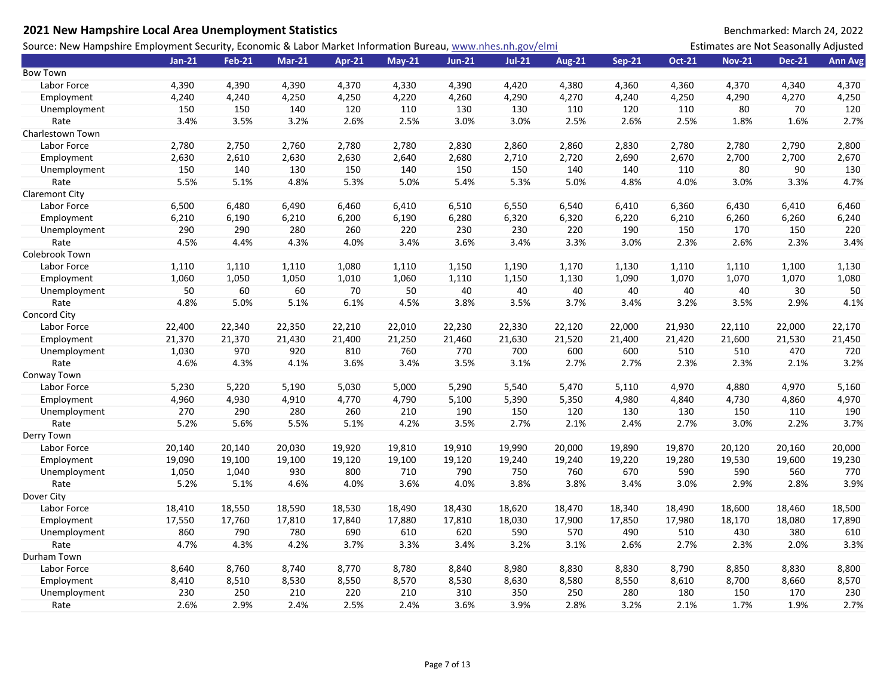| 2021 New Hampshire Local Area Unemployment Statistics                                                       |          |               |               |        |          |               |          |               |               |               |                                       | Benchmarked: March 24, 2022 |                |
|-------------------------------------------------------------------------------------------------------------|----------|---------------|---------------|--------|----------|---------------|----------|---------------|---------------|---------------|---------------------------------------|-----------------------------|----------------|
| Source: New Hampshire Employment Security, Economic & Labor Market Information Bureau, www.nhes.nh.gov/elmi |          |               |               |        |          |               |          |               |               |               | Estimates are Not Seasonally Adjusted |                             |                |
|                                                                                                             | $Jan-21$ | <b>Feb-21</b> | <b>Mar-21</b> | Apr-21 | $May-21$ | <b>Jun-21</b> | $Jul-21$ | <b>Aug-21</b> | <b>Sep-21</b> | <b>Oct-21</b> | <b>Nov-21</b>                         | <b>Dec-21</b>               | <b>Ann Avg</b> |
| <b>Bow Town</b>                                                                                             |          |               |               |        |          |               |          |               |               |               |                                       |                             |                |
| Labor Force                                                                                                 | 4,390    | 4,390         | 4,390         | 4,370  | 4,330    | 4,390         | 4,420    | 4,380         | 4,360         | 4,360         | 4,370                                 | 4,340                       | 4,370          |
| Employment                                                                                                  | 4,240    | 4,240         | 4,250         | 4,250  | 4,220    | 4,260         | 4,290    | 4,270         | 4,240         | 4,250         | 4,290                                 | 4,270                       | 4,250          |
| Unemployment                                                                                                | 150      | 150           | 140           | 120    | 110      | 130           | 130      | 110           | 120           | 110           | 80                                    | 70                          | 120            |
| Rate                                                                                                        | 3.4%     | 3.5%          | 3.2%          | 2.6%   | 2.5%     | 3.0%          | 3.0%     | 2.5%          | 2.6%          | 2.5%          | 1.8%                                  | 1.6%                        | 2.7%           |
| Charlestown Town                                                                                            |          |               |               |        |          |               |          |               |               |               |                                       |                             |                |
| Labor Force                                                                                                 | 2,780    | 2,750         | 2,760         | 2,780  | 2,780    | 2,830         | 2,860    | 2,860         | 2,830         | 2,780         | 2,780                                 | 2,790                       | 2,800          |
| Employment                                                                                                  | 2,630    | 2,610         | 2,630         | 2,630  | 2,640    | 2,680         | 2,710    | 2,720         | 2,690         | 2,670         | 2,700                                 | 2,700                       | 2,670          |
| Unemployment                                                                                                | 150      | 140           | 130           | 150    | 140      | 150           | 150      | 140           | 140           | 110           | 80                                    | 90                          | 130            |
| Rate                                                                                                        | 5.5%     | 5.1%          | 4.8%          | 5.3%   | 5.0%     | 5.4%          | 5.3%     | 5.0%          | 4.8%          | 4.0%          | 3.0%                                  | 3.3%                        | 4.7%           |
| Claremont City                                                                                              |          |               |               |        |          |               |          |               |               |               |                                       |                             |                |
| Labor Force                                                                                                 | 6,500    | 6,480         | 6,490         | 6,460  | 6,410    | 6,510         | 6,550    | 6,540         | 6,410         | 6,360         | 6,430                                 | 6,410                       | 6,460          |
| Employment                                                                                                  | 6,210    | 6,190         | 6,210         | 6,200  | 6,190    | 6,280         | 6,320    | 6,320         | 6,220         | 6,210         | 6,260                                 | 6,260                       | 6,240          |
| Unemployment                                                                                                | 290      | 290           | 280           | 260    | 220      | 230           | 230      | 220           | 190           | 150           | 170                                   | 150                         | 220            |
| Rate                                                                                                        | 4.5%     | 4.4%          | 4.3%          | 4.0%   | 3.4%     | 3.6%          | 3.4%     | 3.3%          | 3.0%          | 2.3%          | 2.6%                                  | 2.3%                        | 3.4%           |
| Colebrook Town                                                                                              |          |               |               |        |          |               |          |               |               |               |                                       |                             |                |
| Labor Force                                                                                                 | 1,110    | 1,110         | 1,110         | 1,080  | 1,110    | 1,150         | 1,190    | 1,170         | 1,130         | 1,110         | 1,110                                 | 1,100                       | 1,130          |
| Employment                                                                                                  | 1,060    | 1,050         | 1,050         | 1,010  | 1,060    | 1,110         | 1,150    | 1,130         | 1,090         | 1,070         | 1,070                                 | 1,070                       | 1,080          |
| Unemployment                                                                                                | 50       | 60            | 60            | 70     | 50       | 40            | 40       | 40            | 40            | 40            | 40                                    | 30                          | 50             |
| Rate                                                                                                        | 4.8%     | 5.0%          | 5.1%          | 6.1%   | 4.5%     | 3.8%          | 3.5%     | 3.7%          | 3.4%          | 3.2%          | 3.5%                                  | 2.9%                        | 4.1%           |
| Concord City                                                                                                |          |               |               |        |          |               |          |               |               |               |                                       |                             |                |
| Labor Force                                                                                                 | 22,400   | 22,340        | 22,350        | 22,210 | 22,010   | 22,230        | 22,330   | 22,120        | 22,000        | 21,930        | 22,110                                | 22,000                      | 22,170         |
| Employment                                                                                                  | 21,370   | 21,370        | 21,430        | 21,400 | 21,250   | 21,460        | 21,630   | 21,520        | 21,400        | 21,420        | 21,600                                | 21,530                      | 21,450         |
| Unemployment                                                                                                | 1,030    | 970           | 920           | 810    | 760      | 770           | 700      | 600           | 600           | 510           | 510                                   | 470                         | 720            |
| Rate                                                                                                        | 4.6%     | 4.3%          | 4.1%          | 3.6%   | 3.4%     | 3.5%          | 3.1%     | 2.7%          | 2.7%          | 2.3%          | 2.3%                                  | 2.1%                        | 3.2%           |
| Conway Town                                                                                                 |          |               |               |        |          |               |          |               |               |               |                                       |                             |                |
| Labor Force                                                                                                 | 5,230    | 5,220         | 5,190         | 5,030  | 5,000    | 5,290         | 5,540    | 5,470         | 5,110         | 4,970         | 4,880                                 | 4,970                       | 5,160          |
| Employment                                                                                                  | 4,960    | 4,930         | 4,910         | 4,770  | 4,790    | 5,100         | 5,390    | 5,350         | 4,980         | 4,840         | 4,730                                 | 4,860                       | 4,970          |
| Unemployment                                                                                                | 270      | 290           | 280           | 260    | 210      | 190           | 150      | 120           | 130           | 130           | 150                                   | 110                         | 190            |
| Rate                                                                                                        | 5.2%     | 5.6%          | 5.5%          | 5.1%   | 4.2%     | 3.5%          | 2.7%     | 2.1%          | 2.4%          | 2.7%          | 3.0%                                  | 2.2%                        | 3.7%           |
| Derry Town                                                                                                  |          |               |               |        |          |               |          |               |               |               |                                       |                             |                |
| Labor Force                                                                                                 | 20,140   | 20,140        | 20,030        | 19,920 | 19,810   | 19,910        | 19,990   | 20,000        | 19,890        | 19,870        | 20,120                                | 20,160                      | 20,000         |
| Employment                                                                                                  | 19,090   | 19,100        | 19,100        | 19,120 | 19,100   | 19,120        | 19,240   | 19,240        | 19,220        | 19,280        | 19,530                                | 19,600                      | 19,230         |
| Unemployment                                                                                                | 1,050    | 1,040         | 930           | 800    | 710      | 790           | 750      | 760           | 670           | 590           | 590                                   | 560                         | 770            |
| Rate                                                                                                        | 5.2%     | 5.1%          | 4.6%          | 4.0%   | 3.6%     | 4.0%          | 3.8%     | 3.8%          | 3.4%          | 3.0%          | 2.9%                                  | 2.8%                        | 3.9%           |
| Dover City                                                                                                  |          |               |               |        |          |               |          |               |               |               |                                       |                             |                |
| Labor Force                                                                                                 | 18,410   | 18,550        | 18,590        | 18,530 | 18,490   | 18,430        | 18,620   | 18,470        | 18,340        | 18,490        | 18,600                                | 18,460                      | 18,500         |
| Employment                                                                                                  | 17,550   | 17,760        | 17,810        | 17,840 | 17,880   | 17,810        | 18,030   | 17,900        | 17,850        | 17,980        | 18,170                                | 18,080                      | 17,890         |
| Unemployment                                                                                                | 860      | 790           | 780           | 690    | 610      | 620           | 590      | 570           | 490           | 510           | 430                                   | 380                         | 610            |
| Rate                                                                                                        | 4.7%     | 4.3%          | 4.2%          | 3.7%   | 3.3%     | 3.4%          | 3.2%     | 3.1%          | 2.6%          | 2.7%          | 2.3%                                  | 2.0%                        | 3.3%           |
| Durham Town                                                                                                 |          |               |               |        |          |               |          |               |               |               |                                       |                             |                |
| Labor Force                                                                                                 | 8,640    | 8,760         | 8,740         | 8,770  | 8,780    | 8,840         | 8,980    | 8,830         | 8,830         | 8,790         | 8,850                                 | 8,830                       | 8,800          |
| Employment                                                                                                  | 8,410    | 8,510         | 8,530         | 8,550  | 8,570    | 8,530         | 8,630    | 8,580         | 8,550         | 8,610         | 8,700                                 | 8,660                       | 8,570          |
| Unemployment                                                                                                | 230      | 250           | 210           | 220    | 210      | 310           | 350      | 250           | 280           | 180           | 150                                   | 170                         | 230            |
| Rate                                                                                                        | 2.6%     | 2.9%          | 2.4%          | 2.5%   | 2.4%     | 3.6%          | 3.9%     | 2.8%          | 3.2%          | 2.1%          | 1.7%                                  | 1.9%                        | 2.7%           |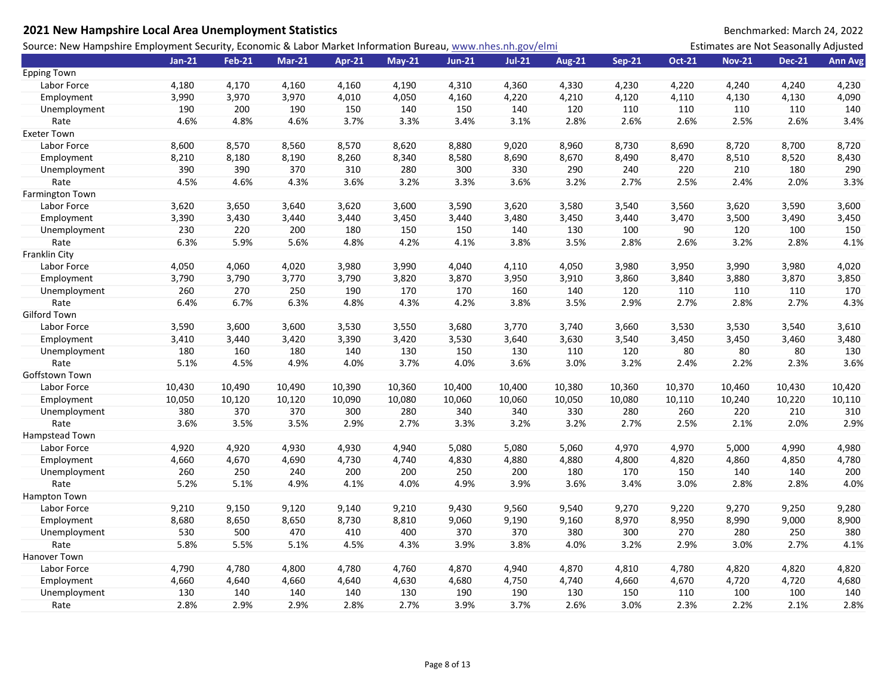| 2021 New Hampshire Local Area Unemployment Statistics                                                       |          |               |          |               |          |               |          |               |               |               |                                       | Benchmarked: March 24, 2022 |                |
|-------------------------------------------------------------------------------------------------------------|----------|---------------|----------|---------------|----------|---------------|----------|---------------|---------------|---------------|---------------------------------------|-----------------------------|----------------|
| Source: New Hampshire Employment Security, Economic & Labor Market Information Bureau, www.nhes.nh.gov/elmi |          |               |          |               |          |               |          |               |               |               | Estimates are Not Seasonally Adjusted |                             |                |
|                                                                                                             | $Jan-21$ | <b>Feb-21</b> | $Mar-21$ | <b>Apr-21</b> | $May-21$ | <b>Jun-21</b> | $Jul-21$ | <b>Aug-21</b> | <b>Sep-21</b> | <b>Oct-21</b> | <b>Nov-21</b>                         | <b>Dec-21</b>               | <b>Ann Avg</b> |
| <b>Epping Town</b>                                                                                          |          |               |          |               |          |               |          |               |               |               |                                       |                             |                |
| Labor Force                                                                                                 | 4,180    | 4,170         | 4,160    | 4,160         | 4,190    | 4,310         | 4,360    | 4,330         | 4,230         | 4,220         | 4,240                                 | 4,240                       | 4,230          |
| Employment                                                                                                  | 3,990    | 3,970         | 3,970    | 4,010         | 4,050    | 4,160         | 4,220    | 4,210         | 4,120         | 4,110         | 4,130                                 | 4,130                       | 4,090          |
| Unemployment                                                                                                | 190      | 200           | 190      | 150           | 140      | 150           | 140      | 120           | 110           | 110           | 110                                   | 110                         | 140            |
| Rate                                                                                                        | 4.6%     | 4.8%          | 4.6%     | 3.7%          | 3.3%     | 3.4%          | 3.1%     | 2.8%          | 2.6%          | 2.6%          | 2.5%                                  | 2.6%                        | 3.4%           |
| <b>Exeter Town</b>                                                                                          |          |               |          |               |          |               |          |               |               |               |                                       |                             |                |
| Labor Force                                                                                                 | 8,600    | 8,570         | 8,560    | 8,570         | 8,620    | 8,880         | 9,020    | 8,960         | 8,730         | 8,690         | 8,720                                 | 8,700                       | 8,720          |
| Employment                                                                                                  | 8,210    | 8,180         | 8,190    | 8,260         | 8,340    | 8,580         | 8,690    | 8,670         | 8,490         | 8,470         | 8,510                                 | 8,520                       | 8,430          |
| Unemployment                                                                                                | 390      | 390           | 370      | 310           | 280      | 300           | 330      | 290           | 240           | 220           | 210                                   | 180                         | 290            |
| Rate                                                                                                        | 4.5%     | 4.6%          | 4.3%     | 3.6%          | 3.2%     | 3.3%          | 3.6%     | 3.2%          | 2.7%          | 2.5%          | 2.4%                                  | 2.0%                        | 3.3%           |
| <b>Farmington Town</b>                                                                                      |          |               |          |               |          |               |          |               |               |               |                                       |                             |                |
| Labor Force                                                                                                 | 3,620    | 3,650         | 3,640    | 3,620         | 3,600    | 3,590         | 3,620    | 3,580         | 3,540         | 3,560         | 3,620                                 | 3,590                       | 3,600          |
| Employment                                                                                                  | 3,390    | 3,430         | 3,440    | 3,440         | 3,450    | 3,440         | 3,480    | 3,450         | 3,440         | 3,470         | 3,500                                 | 3,490                       | 3,450          |
| Unemployment                                                                                                | 230      | 220           | 200      | 180           | 150      | 150           | 140      | 130           | 100           | 90            | 120                                   | 100                         | 150            |
| Rate                                                                                                        | 6.3%     | 5.9%          | 5.6%     | 4.8%          | 4.2%     | 4.1%          | 3.8%     | 3.5%          | 2.8%          | 2.6%          | 3.2%                                  | 2.8%                        | 4.1%           |
| Franklin City                                                                                               |          |               |          |               |          |               |          |               |               |               |                                       |                             |                |
| Labor Force                                                                                                 | 4,050    | 4,060         | 4,020    | 3,980         | 3,990    | 4,040         | 4,110    | 4,050         | 3,980         | 3,950         | 3,990                                 | 3,980                       | 4,020          |
| Employment                                                                                                  | 3,790    | 3,790         | 3,770    | 3,790         | 3,820    | 3,870         | 3,950    | 3,910         | 3,860         | 3,840         | 3,880                                 | 3,870                       | 3,850          |
| Unemployment                                                                                                | 260      | 270           | 250      | 190           | 170      | 170           | 160      | 140           | 120           | 110           | 110                                   | 110                         | 170            |
| Rate                                                                                                        | 6.4%     | 6.7%          | 6.3%     | 4.8%          | 4.3%     | 4.2%          | 3.8%     | 3.5%          | 2.9%          | 2.7%          | 2.8%                                  | 2.7%                        | 4.3%           |
| Gilford Town                                                                                                |          |               |          |               |          |               |          |               |               |               |                                       |                             |                |
| Labor Force                                                                                                 | 3,590    | 3,600         | 3,600    | 3,530         | 3,550    | 3,680         | 3,770    | 3,740         | 3,660         | 3,530         | 3,530                                 | 3,540                       | 3,610          |
| Employment                                                                                                  | 3,410    | 3,440         | 3,420    | 3,390         | 3,420    | 3,530         | 3,640    | 3,630         | 3,540         | 3,450         | 3,450                                 | 3,460                       | 3,480          |
| Unemployment                                                                                                | 180      | 160           | 180      | 140           | 130      | 150           | 130      | 110           | 120           | 80            | 80                                    | 80                          | 130            |
| Rate                                                                                                        | 5.1%     | 4.5%          | 4.9%     | 4.0%          | 3.7%     | 4.0%          | 3.6%     | 3.0%          | 3.2%          | 2.4%          | 2.2%                                  | 2.3%                        | 3.6%           |
| Goffstown Town                                                                                              |          |               |          |               |          |               |          |               |               |               |                                       |                             |                |
| Labor Force                                                                                                 | 10,430   | 10,490        | 10,490   | 10,390        | 10,360   | 10,400        | 10,400   | 10,380        | 10,360        | 10,370        | 10,460                                | 10,430                      | 10,420         |
| Employment                                                                                                  | 10,050   | 10,120        | 10,120   | 10,090        | 10,080   | 10,060        | 10,060   | 10,050        | 10,080        | 10,110        | 10,240                                | 10,220                      | 10,110         |
| Unemployment                                                                                                | 380      | 370           | 370      | 300           | 280      | 340           | 340      | 330           | 280           | 260           | 220                                   | 210                         | 310            |
| Rate                                                                                                        | 3.6%     | 3.5%          | 3.5%     | 2.9%          | 2.7%     | 3.3%          | 3.2%     | 3.2%          | 2.7%          | 2.5%          | 2.1%                                  | 2.0%                        | 2.9%           |
| Hampstead Town                                                                                              |          |               |          |               |          |               |          |               |               |               |                                       |                             |                |
| Labor Force                                                                                                 | 4,920    | 4,920         | 4,930    | 4,930         | 4,940    | 5,080         | 5,080    | 5,060         | 4,970         | 4,970         | 5,000                                 | 4,990                       | 4,980          |
| Employment                                                                                                  | 4,660    | 4,670         | 4,690    | 4,730         | 4,740    | 4,830         | 4,880    | 4,880         | 4,800         | 4,820         | 4,860                                 | 4,850                       | 4,780          |
| Unemployment                                                                                                | 260      | 250           | 240      | 200           | 200      | 250           | 200      | 180           | 170           | 150           | 140                                   | 140                         | 200            |
| Rate                                                                                                        | 5.2%     | 5.1%          | 4.9%     | 4.1%          | 4.0%     | 4.9%          | 3.9%     | 3.6%          | 3.4%          | 3.0%          | 2.8%                                  | 2.8%                        | 4.0%           |
| <b>Hampton Town</b>                                                                                         |          |               |          |               |          |               |          |               |               |               |                                       |                             |                |
| Labor Force                                                                                                 | 9,210    | 9,150         | 9,120    | 9,140         | 9,210    | 9,430         | 9,560    | 9,540         | 9,270         | 9,220         | 9,270                                 | 9,250                       | 9,280          |
| Employment                                                                                                  | 8,680    | 8,650         | 8,650    | 8,730         | 8,810    | 9,060         | 9,190    | 9,160         | 8,970         | 8,950         | 8,990                                 | 9,000                       | 8,900          |
| Unemployment                                                                                                | 530      | 500           | 470      | 410           | 400      | 370           | 370      | 380           | 300           | 270           | 280                                   | 250                         | 380            |
| Rate                                                                                                        | 5.8%     | 5.5%          | 5.1%     | 4.5%          | 4.3%     | 3.9%          | 3.8%     | 4.0%          | 3.2%          | 2.9%          | 3.0%                                  | 2.7%                        | 4.1%           |
| Hanover Town                                                                                                |          |               |          |               |          |               |          |               |               |               |                                       |                             |                |
| Labor Force                                                                                                 | 4,790    | 4,780         | 4,800    | 4,780         | 4,760    | 4,870         | 4,940    | 4,870         | 4,810         | 4,780         | 4,820                                 | 4,820                       | 4,820          |
| Employment                                                                                                  | 4,660    | 4,640         | 4,660    | 4,640         | 4,630    | 4,680         | 4,750    | 4,740         | 4,660         | 4,670         | 4,720                                 | 4,720                       | 4,680          |
| Unemployment                                                                                                | 130      | 140           | 140      | 140           | 130      | 190           | 190      | 130           | 150           | 110           | 100                                   | 100                         | 140            |
| Rate                                                                                                        | 2.8%     | 2.9%          | 2.9%     | 2.8%          | 2.7%     | 3.9%          | 3.7%     | 2.6%          | 3.0%          | 2.3%          | 2.2%                                  | 2.1%                        | 2.8%           |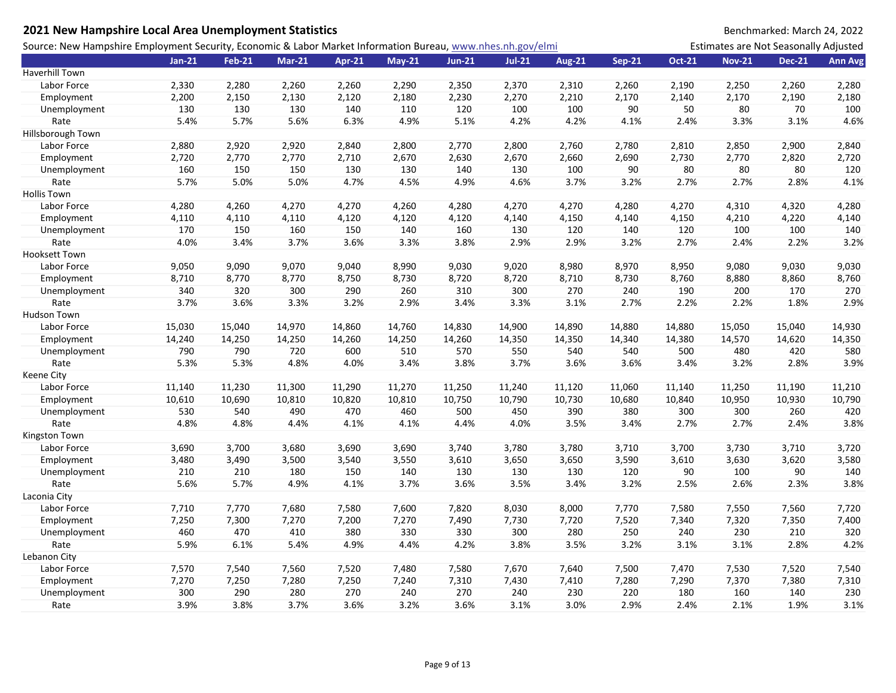| 2021 New Hampshire Local Area Unemployment Statistics                                                       |          |               |               |        |          |          |          |               |               |               |                                       | Benchmarked: March 24, 2022 |                |
|-------------------------------------------------------------------------------------------------------------|----------|---------------|---------------|--------|----------|----------|----------|---------------|---------------|---------------|---------------------------------------|-----------------------------|----------------|
| Source: New Hampshire Employment Security, Economic & Labor Market Information Bureau, www.nhes.nh.gov/elmi |          |               |               |        |          |          |          |               |               |               | Estimates are Not Seasonally Adjusted |                             |                |
|                                                                                                             | $Jan-21$ | <b>Feb-21</b> | <b>Mar-21</b> | Apr-21 | $May-21$ | $Jun-21$ | $Jul-21$ | <b>Aug-21</b> | <b>Sep-21</b> | <b>Oct-21</b> | <b>Nov-21</b>                         | <b>Dec-21</b>               | <b>Ann Avg</b> |
| Haverhill Town                                                                                              |          |               |               |        |          |          |          |               |               |               |                                       |                             |                |
| Labor Force                                                                                                 | 2,330    | 2,280         | 2,260         | 2,260  | 2,290    | 2,350    | 2,370    | 2,310         | 2,260         | 2,190         | 2,250                                 | 2,260                       | 2,280          |
| Employment                                                                                                  | 2,200    | 2,150         | 2,130         | 2,120  | 2,180    | 2,230    | 2,270    | 2,210         | 2,170         | 2,140         | 2,170                                 | 2,190                       | 2,180          |
| Unemployment                                                                                                | 130      | 130           | 130           | 140    | 110      | 120      | 100      | 100           | 90            | 50            | 80                                    | 70                          | 100            |
| Rate                                                                                                        | 5.4%     | 5.7%          | 5.6%          | 6.3%   | 4.9%     | 5.1%     | 4.2%     | 4.2%          | 4.1%          | 2.4%          | 3.3%                                  | 3.1%                        | 4.6%           |
| Hillsborough Town                                                                                           |          |               |               |        |          |          |          |               |               |               |                                       |                             |                |
| Labor Force                                                                                                 | 2,880    | 2,920         | 2,920         | 2,840  | 2,800    | 2,770    | 2,800    | 2,760         | 2,780         | 2,810         | 2,850                                 | 2,900                       | 2,840          |
| Employment                                                                                                  | 2,720    | 2,770         | 2,770         | 2,710  | 2,670    | 2,630    | 2,670    | 2,660         | 2,690         | 2,730         | 2,770                                 | 2,820                       | 2,720          |
| Unemployment                                                                                                | 160      | 150           | 150           | 130    | 130      | 140      | 130      | 100           | 90            | 80            | 80                                    | 80                          | 120            |
| Rate                                                                                                        | 5.7%     | 5.0%          | 5.0%          | 4.7%   | 4.5%     | 4.9%     | 4.6%     | 3.7%          | 3.2%          | 2.7%          | 2.7%                                  | 2.8%                        | 4.1%           |
| <b>Hollis Town</b>                                                                                          |          |               |               |        |          |          |          |               |               |               |                                       |                             |                |
| Labor Force                                                                                                 | 4,280    | 4,260         | 4,270         | 4,270  | 4,260    | 4,280    | 4,270    | 4,270         | 4,280         | 4,270         | 4,310                                 | 4,320                       | 4,280          |
| Employment                                                                                                  | 4,110    | 4,110         | 4,110         | 4,120  | 4,120    | 4,120    | 4,140    | 4,150         | 4,140         | 4,150         | 4,210                                 | 4,220                       | 4,140          |
| Unemployment                                                                                                | 170      | 150           | 160           | 150    | 140      | 160      | 130      | 120           | 140           | 120           | 100                                   | 100                         | 140            |
| Rate                                                                                                        | 4.0%     | 3.4%          | 3.7%          | 3.6%   | 3.3%     | 3.8%     | 2.9%     | 2.9%          | 3.2%          | 2.7%          | 2.4%                                  | 2.2%                        | 3.2%           |
| <b>Hooksett Town</b>                                                                                        |          |               |               |        |          |          |          |               |               |               |                                       |                             |                |
| Labor Force                                                                                                 | 9,050    | 9,090         | 9,070         | 9,040  | 8,990    | 9,030    | 9,020    | 8,980         | 8,970         | 8,950         | 9,080                                 | 9,030                       | 9,030          |
| Employment                                                                                                  | 8,710    | 8,770         | 8,770         | 8,750  | 8,730    | 8,720    | 8,720    | 8,710         | 8,730         | 8,760         | 8,880                                 | 8,860                       | 8,760          |
| Unemployment                                                                                                | 340      | 320           | 300           | 290    | 260      | 310      | 300      | 270           | 240           | 190           | 200                                   | 170                         | 270            |
| Rate                                                                                                        | 3.7%     | 3.6%          | 3.3%          | 3.2%   | 2.9%     | 3.4%     | 3.3%     | 3.1%          | 2.7%          | 2.2%          | 2.2%                                  | 1.8%                        | 2.9%           |
| Hudson Town                                                                                                 |          |               |               |        |          |          |          |               |               |               |                                       |                             |                |
| Labor Force                                                                                                 | 15,030   | 15,040        | 14,970        | 14,860 | 14,760   | 14,830   | 14,900   | 14,890        | 14,880        | 14,880        | 15,050                                | 15,040                      | 14,930         |
| Employment                                                                                                  | 14,240   | 14,250        | 14,250        | 14,260 | 14,250   | 14,260   | 14,350   | 14,350        | 14,340        | 14,380        | 14,570                                | 14,620                      | 14,350         |
| Unemployment                                                                                                | 790      | 790           | 720           | 600    | 510      | 570      | 550      | 540           | 540           | 500           | 480                                   | 420                         | 580            |
| Rate                                                                                                        | 5.3%     | 5.3%          | 4.8%          | 4.0%   | 3.4%     | 3.8%     | 3.7%     | 3.6%          | 3.6%          | 3.4%          | 3.2%                                  | 2.8%                        | 3.9%           |
| Keene City                                                                                                  |          |               |               |        |          |          |          |               |               |               |                                       |                             |                |
| Labor Force                                                                                                 | 11,140   | 11,230        | 11,300        | 11,290 | 11,270   | 11,250   | 11,240   | 11,120        | 11,060        | 11,140        | 11,250                                | 11,190                      | 11,210         |
| Employment                                                                                                  | 10,610   | 10,690        | 10,810        | 10,820 | 10,810   | 10,750   | 10,790   | 10,730        | 10,680        | 10,840        | 10,950                                | 10,930                      | 10,790         |
| Unemployment                                                                                                | 530      | 540           | 490           | 470    | 460      | 500      | 450      | 390           | 380           | 300           | 300                                   | 260                         | 420            |
| Rate                                                                                                        | 4.8%     | 4.8%          | 4.4%          | 4.1%   | 4.1%     | 4.4%     | 4.0%     | 3.5%          | 3.4%          | 2.7%          | 2.7%                                  | 2.4%                        | 3.8%           |
| Kingston Town                                                                                               |          |               |               |        |          |          |          |               |               |               |                                       |                             |                |
| Labor Force                                                                                                 | 3,690    | 3,700         | 3,680         | 3,690  | 3,690    | 3,740    | 3,780    | 3,780         | 3,710         | 3,700         | 3,730                                 | 3,710                       | 3,720          |
| Employment                                                                                                  | 3,480    | 3,490         | 3,500         | 3,540  | 3,550    | 3,610    | 3,650    | 3,650         | 3,590         | 3,610         | 3,630                                 | 3,620                       | 3,580          |
| Unemployment                                                                                                | 210      | 210           | 180           | 150    | 140      | 130      | 130      | 130           | 120           | 90            | 100                                   | 90                          | 140            |
| Rate                                                                                                        | 5.6%     | 5.7%          | 4.9%          | 4.1%   | 3.7%     | 3.6%     | 3.5%     | 3.4%          | 3.2%          | 2.5%          | 2.6%                                  | 2.3%                        | 3.8%           |
| Laconia City                                                                                                |          |               |               |        |          |          |          |               |               |               |                                       |                             |                |
| Labor Force                                                                                                 | 7,710    | 7,770         | 7,680         | 7,580  | 7,600    | 7,820    | 8,030    | 8,000         | 7,770         | 7,580         | 7,550                                 | 7,560                       | 7,720          |
| Employment                                                                                                  | 7,250    | 7,300         | 7,270         | 7,200  | 7,270    | 7,490    | 7,730    | 7,720         | 7,520         | 7,340         | 7,320                                 | 7,350                       | 7,400          |
| Unemployment                                                                                                | 460      | 470           | 410           | 380    | 330      | 330      | 300      | 280           | 250           | 240           | 230                                   | 210                         | 320            |
| Rate                                                                                                        | 5.9%     | 6.1%          | 5.4%          | 4.9%   | 4.4%     | 4.2%     | 3.8%     | 3.5%          | 3.2%          | 3.1%          | 3.1%                                  | 2.8%                        | 4.2%           |
| Lebanon City                                                                                                |          |               |               |        |          |          |          |               |               |               |                                       |                             |                |
| Labor Force                                                                                                 | 7,570    | 7,540         | 7,560         | 7,520  | 7,480    | 7,580    | 7,670    | 7,640         | 7,500         | 7,470         | 7,530                                 | 7,520                       | 7,540          |
| Employment                                                                                                  | 7,270    | 7,250         | 7,280         | 7,250  | 7,240    | 7,310    | 7,430    | 7,410         | 7,280         | 7,290         | 7,370                                 | 7,380                       | 7,310          |
| Unemployment                                                                                                | 300      | 290           | 280           | 270    | 240      | 270      | 240      | 230           | 220           | 180           | 160                                   | 140                         | 230            |
| Rate                                                                                                        | 3.9%     | 3.8%          | 3.7%          | 3.6%   | 3.2%     | 3.6%     | 3.1%     | 3.0%          | 2.9%          | 2.4%          | 2.1%                                  | 1.9%                        | 3.1%           |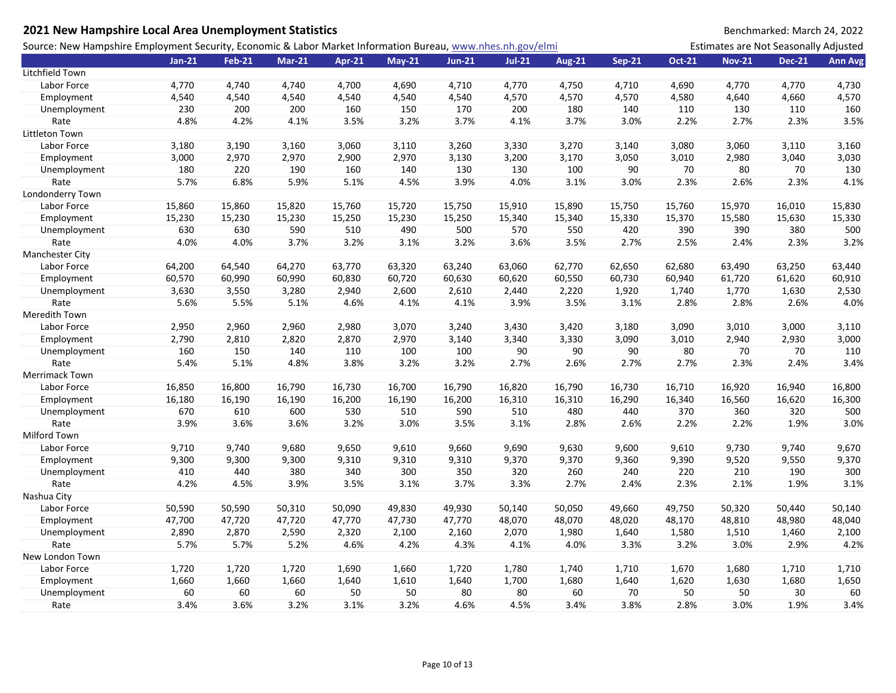| 2021 New Hampshire Local Area Unemployment Statistics                                                       |          |               |               |        |          |               |          |               |               |               |                                       | Benchmarked: March 24, 2022 |                |
|-------------------------------------------------------------------------------------------------------------|----------|---------------|---------------|--------|----------|---------------|----------|---------------|---------------|---------------|---------------------------------------|-----------------------------|----------------|
| Source: New Hampshire Employment Security, Economic & Labor Market Information Bureau, www.nhes.nh.gov/elmi |          |               |               |        |          |               |          |               |               |               | Estimates are Not Seasonally Adjusted |                             |                |
|                                                                                                             | $Jan-21$ | <b>Feb-21</b> | <b>Mar-21</b> | Apr-21 | $May-21$ | <b>Jun-21</b> | $Jul-21$ | <b>Aug-21</b> | <b>Sep-21</b> | <b>Oct-21</b> | <b>Nov-21</b>                         | <b>Dec-21</b>               | <b>Ann Avg</b> |
| Litchfield Town                                                                                             |          |               |               |        |          |               |          |               |               |               |                                       |                             |                |
| Labor Force                                                                                                 | 4,770    | 4,740         | 4,740         | 4,700  | 4,690    | 4,710         | 4,770    | 4,750         | 4,710         | 4,690         | 4,770                                 | 4,770                       | 4,730          |
| Employment                                                                                                  | 4,540    | 4,540         | 4,540         | 4,540  | 4,540    | 4,540         | 4,570    | 4,570         | 4,570         | 4,580         | 4,640                                 | 4,660                       | 4,570          |
| Unemployment                                                                                                | 230      | 200           | 200           | 160    | 150      | 170           | 200      | 180           | 140           | 110           | 130                                   | 110                         | 160            |
| Rate                                                                                                        | 4.8%     | 4.2%          | 4.1%          | 3.5%   | 3.2%     | 3.7%          | 4.1%     | 3.7%          | 3.0%          | 2.2%          | 2.7%                                  | 2.3%                        | 3.5%           |
| Littleton Town                                                                                              |          |               |               |        |          |               |          |               |               |               |                                       |                             |                |
| Labor Force                                                                                                 | 3,180    | 3,190         | 3,160         | 3,060  | 3,110    | 3,260         | 3,330    | 3,270         | 3,140         | 3,080         | 3,060                                 | 3,110                       | 3,160          |
| Employment                                                                                                  | 3,000    | 2,970         | 2,970         | 2,900  | 2,970    | 3,130         | 3,200    | 3,170         | 3,050         | 3,010         | 2,980                                 | 3,040                       | 3,030          |
| Unemployment                                                                                                | 180      | 220           | 190           | 160    | 140      | 130           | 130      | 100           | 90            | 70            | 80                                    | 70                          | 130            |
| Rate                                                                                                        | 5.7%     | 6.8%          | 5.9%          | 5.1%   | 4.5%     | 3.9%          | 4.0%     | 3.1%          | 3.0%          | 2.3%          | 2.6%                                  | 2.3%                        | 4.1%           |
| Londonderry Town                                                                                            |          |               |               |        |          |               |          |               |               |               |                                       |                             |                |
| Labor Force                                                                                                 | 15,860   | 15,860        | 15,820        | 15,760 | 15,720   | 15,750        | 15,910   | 15,890        | 15,750        | 15,760        | 15,970                                | 16,010                      | 15,830         |
| Employment                                                                                                  | 15,230   | 15,230        | 15,230        | 15,250 | 15,230   | 15,250        | 15,340   | 15,340        | 15,330        | 15,370        | 15,580                                | 15,630                      | 15,330         |
| Unemployment                                                                                                | 630      | 630           | 590           | 510    | 490      | 500           | 570      | 550           | 420           | 390           | 390                                   | 380                         | 500            |
| Rate                                                                                                        | 4.0%     | 4.0%          | 3.7%          | 3.2%   | 3.1%     | 3.2%          | 3.6%     | 3.5%          | 2.7%          | 2.5%          | 2.4%                                  | 2.3%                        | 3.2%           |
| <b>Manchester City</b>                                                                                      |          |               |               |        |          |               |          |               |               |               |                                       |                             |                |
| Labor Force                                                                                                 | 64,200   | 64,540        | 64,270        | 63,770 | 63,320   | 63,240        | 63,060   | 62,770        | 62,650        | 62,680        | 63,490                                | 63,250                      | 63,440         |
| Employment                                                                                                  | 60,570   | 60,990        | 60,990        | 60,830 | 60,720   | 60,630        | 60,620   | 60,550        | 60,730        | 60,940        | 61,720                                | 61,620                      | 60,910         |
| Unemployment                                                                                                | 3,630    | 3,550         | 3,280         | 2,940  | 2,600    | 2,610         | 2,440    | 2,220         | 1,920         | 1,740         | 1,770                                 | 1,630                       | 2,530          |
| Rate                                                                                                        | 5.6%     | 5.5%          | 5.1%          | 4.6%   | 4.1%     | 4.1%          | 3.9%     | 3.5%          | 3.1%          | 2.8%          | 2.8%                                  | 2.6%                        | 4.0%           |
| Meredith Town                                                                                               |          |               |               |        |          |               |          |               |               |               |                                       |                             |                |
| Labor Force                                                                                                 | 2,950    | 2,960         | 2,960         | 2,980  | 3,070    | 3,240         | 3,430    | 3,420         | 3,180         | 3,090         | 3,010                                 | 3,000                       | 3,110          |
| Employment                                                                                                  | 2,790    | 2,810         | 2,820         | 2,870  | 2,970    | 3,140         | 3,340    | 3,330         | 3,090         | 3,010         | 2,940                                 | 2,930                       | 3,000          |
| Unemployment                                                                                                | 160      | 150           | 140           | 110    | 100      | 100           | 90       | 90            | 90            | 80            | 70                                    | 70                          | 110            |
| Rate                                                                                                        | 5.4%     | 5.1%          | 4.8%          | 3.8%   | 3.2%     | 3.2%          | 2.7%     | 2.6%          | 2.7%          | 2.7%          | 2.3%                                  | 2.4%                        | 3.4%           |
| Merrimack Town                                                                                              |          |               |               |        |          |               |          |               |               |               |                                       |                             |                |
| Labor Force                                                                                                 | 16,850   | 16,800        | 16,790        | 16,730 | 16,700   | 16,790        | 16,820   | 16,790        | 16,730        | 16,710        | 16,920                                | 16,940                      | 16,800         |
| Employment                                                                                                  | 16,180   | 16,190        | 16,190        | 16,200 | 16,190   | 16,200        | 16,310   | 16,310        | 16,290        | 16,340        | 16,560                                | 16,620                      | 16,300         |
| Unemployment                                                                                                | 670      | 610           | 600           | 530    | 510      | 590           | 510      | 480           | 440           | 370           | 360                                   | 320                         | 500            |
| Rate                                                                                                        | 3.9%     | 3.6%          | 3.6%          | 3.2%   | 3.0%     | 3.5%          | 3.1%     | 2.8%          | 2.6%          | 2.2%          | 2.2%                                  | 1.9%                        | 3.0%           |
| Milford Town                                                                                                |          |               |               |        |          |               |          |               |               |               |                                       |                             |                |
| Labor Force                                                                                                 | 9,710    | 9,740         | 9,680         | 9,650  | 9,610    | 9,660         | 9,690    | 9,630         | 9,600         | 9,610         | 9,730                                 | 9,740                       | 9,670          |
| Employment                                                                                                  | 9,300    | 9,300         | 9,300         | 9,310  | 9,310    | 9,310         | 9,370    | 9,370         | 9,360         | 9,390         | 9,520                                 | 9,550                       | 9,370          |
| Unemployment                                                                                                | 410      | 440           | 380           | 340    | 300      | 350           | 320      | 260           | 240           | 220           | 210                                   | 190                         | 300            |
| Rate                                                                                                        | 4.2%     | 4.5%          | 3.9%          | 3.5%   | 3.1%     | 3.7%          | 3.3%     | 2.7%          | 2.4%          | 2.3%          | 2.1%                                  | 1.9%                        | 3.1%           |
| Nashua City                                                                                                 |          |               |               |        |          |               |          |               |               |               |                                       |                             |                |
| Labor Force                                                                                                 | 50,590   | 50,590        | 50,310        | 50,090 | 49,830   | 49,930        | 50,140   | 50,050        | 49,660        | 49,750        | 50,320                                | 50,440                      | 50,140         |
| Employment                                                                                                  | 47,700   | 47,720        | 47,720        | 47,770 | 47,730   | 47,770        | 48,070   | 48,070        | 48,020        | 48,170        | 48,810                                | 48,980                      | 48,040         |
| Unemployment                                                                                                | 2,890    | 2,870         | 2,590         | 2,320  | 2,100    | 2,160         | 2,070    | 1,980         | 1,640         | 1,580         | 1,510                                 | 1,460                       | 2,100          |
| Rate                                                                                                        | 5.7%     | 5.7%          | 5.2%          | 4.6%   | 4.2%     | 4.3%          | 4.1%     | 4.0%          | 3.3%          | 3.2%          | 3.0%                                  | 2.9%                        | 4.2%           |
| New London Town                                                                                             |          |               |               |        |          |               |          |               |               |               |                                       |                             |                |
| Labor Force                                                                                                 | 1,720    | 1,720         | 1,720         | 1,690  | 1,660    | 1,720         | 1,780    | 1,740         | 1,710         | 1,670         | 1,680                                 | 1,710                       | 1,710          |
| Employment                                                                                                  | 1,660    | 1,660         | 1,660         | 1,640  | 1,610    | 1,640         | 1,700    | 1,680         | 1,640         | 1,620         | 1,630                                 | 1,680                       | 1,650          |
| Unemployment                                                                                                | 60       | 60            | 60            | 50     | 50       | 80            | 80       | 60            | 70            | 50            | 50                                    | 30                          | 60             |
| Rate                                                                                                        | 3.4%     | 3.6%          | 3.2%          | 3.1%   | 3.2%     | 4.6%          | 4.5%     | 3.4%          | 3.8%          | 2.8%          | 3.0%                                  | 1.9%                        | 3.4%           |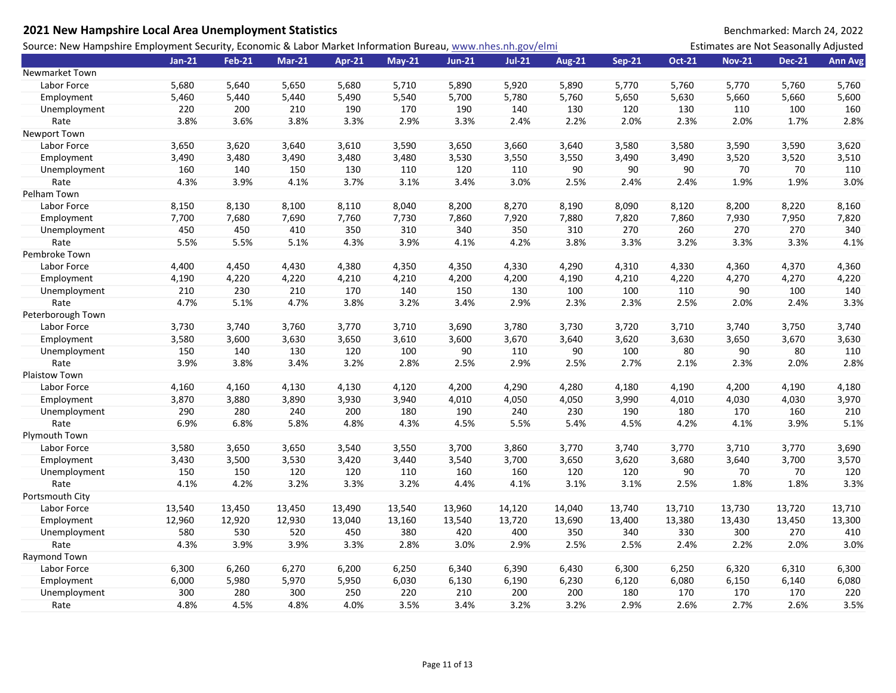| 2021 New Hampshire Local Area Unemployment Statistics                                                       |          |               |               |        |          |               |          |               |               |               |                                       | Benchmarked: March 24, 2022 |                |
|-------------------------------------------------------------------------------------------------------------|----------|---------------|---------------|--------|----------|---------------|----------|---------------|---------------|---------------|---------------------------------------|-----------------------------|----------------|
| Source: New Hampshire Employment Security, Economic & Labor Market Information Bureau, www.nhes.nh.gov/elmi |          |               |               |        |          |               |          |               |               |               | Estimates are Not Seasonally Adjusted |                             |                |
|                                                                                                             | $Jan-21$ | <b>Feb-21</b> | <b>Mar-21</b> | Apr-21 | $May-21$ | <b>Jun-21</b> | $Jul-21$ | <b>Aug-21</b> | <b>Sep-21</b> | <b>Oct-21</b> | <b>Nov-21</b>                         | <b>Dec-21</b>               | <b>Ann Avg</b> |
| <b>Newmarket Town</b>                                                                                       |          |               |               |        |          |               |          |               |               |               |                                       |                             |                |
| Labor Force                                                                                                 | 5,680    | 5,640         | 5,650         | 5,680  | 5,710    | 5,890         | 5,920    | 5,890         | 5,770         | 5,760         | 5,770                                 | 5,760                       | 5,760          |
| Employment                                                                                                  | 5,460    | 5,440         | 5,440         | 5,490  | 5,540    | 5,700         | 5,780    | 5,760         | 5,650         | 5,630         | 5,660                                 | 5,660                       | 5,600          |
| Unemployment                                                                                                | 220      | 200           | 210           | 190    | 170      | 190           | 140      | 130           | 120           | 130           | 110                                   | 100                         | 160            |
| Rate                                                                                                        | 3.8%     | 3.6%          | 3.8%          | 3.3%   | 2.9%     | 3.3%          | 2.4%     | 2.2%          | 2.0%          | 2.3%          | 2.0%                                  | 1.7%                        | 2.8%           |
| Newport Town                                                                                                |          |               |               |        |          |               |          |               |               |               |                                       |                             |                |
| Labor Force                                                                                                 | 3,650    | 3,620         | 3,640         | 3,610  | 3,590    | 3,650         | 3,660    | 3,640         | 3,580         | 3,580         | 3,590                                 | 3,590                       | 3,620          |
| Employment                                                                                                  | 3,490    | 3,480         | 3,490         | 3,480  | 3,480    | 3,530         | 3,550    | 3,550         | 3,490         | 3,490         | 3,520                                 | 3,520                       | 3,510          |
| Unemployment                                                                                                | 160      | 140           | 150           | 130    | 110      | 120           | 110      | 90            | 90            | 90            | 70                                    | 70                          | 110            |
| Rate                                                                                                        | 4.3%     | 3.9%          | 4.1%          | 3.7%   | 3.1%     | 3.4%          | 3.0%     | 2.5%          | 2.4%          | 2.4%          | 1.9%                                  | 1.9%                        | 3.0%           |
| Pelham Town                                                                                                 |          |               |               |        |          |               |          |               |               |               |                                       |                             |                |
| Labor Force                                                                                                 | 8,150    | 8,130         | 8,100         | 8,110  | 8,040    | 8,200         | 8,270    | 8,190         | 8,090         | 8,120         | 8,200                                 | 8,220                       | 8,160          |
| Employment                                                                                                  | 7,700    | 7,680         | 7,690         | 7,760  | 7,730    | 7,860         | 7,920    | 7,880         | 7,820         | 7,860         | 7,930                                 | 7,950                       | 7,820          |
| Unemployment                                                                                                | 450      | 450           | 410           | 350    | 310      | 340           | 350      | 310           | 270           | 260           | 270                                   | 270                         | 340            |
| Rate                                                                                                        | 5.5%     | 5.5%          | 5.1%          | 4.3%   | 3.9%     | 4.1%          | 4.2%     | 3.8%          | 3.3%          | 3.2%          | 3.3%                                  | 3.3%                        | 4.1%           |
| Pembroke Town                                                                                               |          |               |               |        |          |               |          |               |               |               |                                       |                             |                |
| Labor Force                                                                                                 | 4,400    | 4,450         | 4,430         | 4,380  | 4,350    | 4,350         | 4,330    | 4,290         | 4,310         | 4,330         | 4,360                                 | 4,370                       | 4,360          |
| Employment                                                                                                  | 4,190    | 4,220         | 4,220         | 4,210  | 4,210    | 4,200         | 4,200    | 4,190         | 4,210         | 4,220         | 4,270                                 | 4,270                       | 4,220          |
| Unemployment                                                                                                | 210      | 230           | 210           | 170    | 140      | 150           | 130      | 100           | 100           | 110           | 90                                    | 100                         | 140            |
| Rate                                                                                                        | 4.7%     | 5.1%          | 4.7%          | 3.8%   | 3.2%     | 3.4%          | 2.9%     | 2.3%          | 2.3%          | 2.5%          | 2.0%                                  | 2.4%                        | 3.3%           |
| Peterborough Town                                                                                           |          |               |               |        |          |               |          |               |               |               |                                       |                             |                |
| Labor Force                                                                                                 | 3,730    | 3,740         | 3,760         | 3,770  | 3,710    | 3,690         | 3,780    | 3,730         | 3,720         | 3,710         | 3,740                                 | 3,750                       | 3,740          |
| Employment                                                                                                  | 3,580    | 3,600         | 3,630         | 3,650  | 3,610    | 3,600         | 3,670    | 3,640         | 3,620         | 3,630         | 3,650                                 | 3,670                       | 3,630          |
| Unemployment                                                                                                | 150      | 140           | 130           | 120    | 100      | 90            | 110      | 90            | 100           | 80            | 90                                    | 80                          | 110            |
| Rate                                                                                                        | 3.9%     | 3.8%          | 3.4%          | 3.2%   | 2.8%     | 2.5%          | 2.9%     | 2.5%          | 2.7%          | 2.1%          | 2.3%                                  | 2.0%                        | 2.8%           |
| Plaistow Town                                                                                               |          |               |               |        |          |               |          |               |               |               |                                       |                             |                |
| Labor Force                                                                                                 | 4,160    | 4,160         | 4,130         | 4,130  | 4,120    | 4,200         | 4,290    | 4,280         | 4,180         | 4,190         | 4,200                                 | 4,190                       | 4,180          |
| Employment                                                                                                  | 3,870    | 3,880         | 3,890         | 3,930  | 3,940    | 4,010         | 4,050    | 4,050         | 3,990         | 4,010         | 4,030                                 | 4,030                       | 3,970          |
| Unemployment                                                                                                | 290      | 280           | 240           | 200    | 180      | 190           | 240      | 230           | 190           | 180           | 170                                   | 160                         | 210            |
| Rate                                                                                                        | 6.9%     | 6.8%          | 5.8%          | 4.8%   | 4.3%     | 4.5%          | 5.5%     | 5.4%          | 4.5%          | 4.2%          | 4.1%                                  | 3.9%                        | 5.1%           |
| Plymouth Town                                                                                               |          |               |               |        |          |               |          |               |               |               |                                       |                             |                |
| Labor Force                                                                                                 | 3,580    | 3,650         | 3,650         | 3,540  | 3,550    | 3,700         | 3,860    | 3,770         | 3,740         | 3,770         | 3,710                                 | 3,770                       | 3,690          |
| Employment                                                                                                  | 3,430    | 3,500         | 3,530         | 3,420  | 3,440    | 3,540         | 3,700    | 3,650         | 3,620         | 3,680         | 3,640                                 | 3,700                       | 3,570          |
| Unemployment                                                                                                | 150      | 150           | 120           | 120    | 110      | 160           | 160      | 120           | 120           | 90            | 70                                    | 70                          | 120            |
| Rate                                                                                                        | 4.1%     | 4.2%          | 3.2%          | 3.3%   | 3.2%     | 4.4%          | 4.1%     | 3.1%          | 3.1%          | 2.5%          | 1.8%                                  | 1.8%                        | 3.3%           |
| Portsmouth City                                                                                             |          |               |               |        |          |               |          |               |               |               |                                       |                             |                |
| Labor Force                                                                                                 | 13,540   | 13,450        | 13,450        | 13,490 | 13,540   | 13,960        | 14,120   | 14,040        | 13,740        | 13,710        | 13,730                                | 13,720                      | 13,710         |
| Employment                                                                                                  | 12,960   | 12,920        | 12,930        | 13,040 | 13,160   | 13,540        | 13,720   | 13,690        | 13,400        | 13,380        | 13,430                                | 13,450                      | 13,300         |
| Unemployment                                                                                                | 580      | 530           | 520           | 450    | 380      | 420           | 400      | 350           | 340           | 330           | 300                                   | 270                         | 410            |
| Rate                                                                                                        | 4.3%     | 3.9%          | 3.9%          | 3.3%   | 2.8%     | 3.0%          | 2.9%     | 2.5%          | 2.5%          | 2.4%          | 2.2%                                  | 2.0%                        | 3.0%           |
| Raymond Town                                                                                                |          |               |               |        |          |               |          |               |               |               |                                       |                             |                |
| Labor Force                                                                                                 | 6,300    | 6,260         | 6,270         | 6,200  | 6,250    | 6,340         | 6,390    | 6,430         | 6,300         | 6,250         | 6,320                                 | 6,310                       | 6,300          |
| Employment                                                                                                  | 6,000    | 5,980         | 5,970         | 5,950  | 6,030    | 6,130         | 6,190    | 6,230         | 6,120         | 6,080         | 6,150                                 | 6,140                       | 6,080          |
| Unemployment                                                                                                | 300      | 280           | 300           | 250    | 220      | 210           | 200      | 200           | 180           | 170           | 170                                   | 170                         | 220            |
| Rate                                                                                                        | 4.8%     | 4.5%          | 4.8%          | 4.0%   | 3.5%     | 3.4%          | 3.2%     | 3.2%          | 2.9%          | 2.6%          | 2.7%                                  | 2.6%                        | 3.5%           |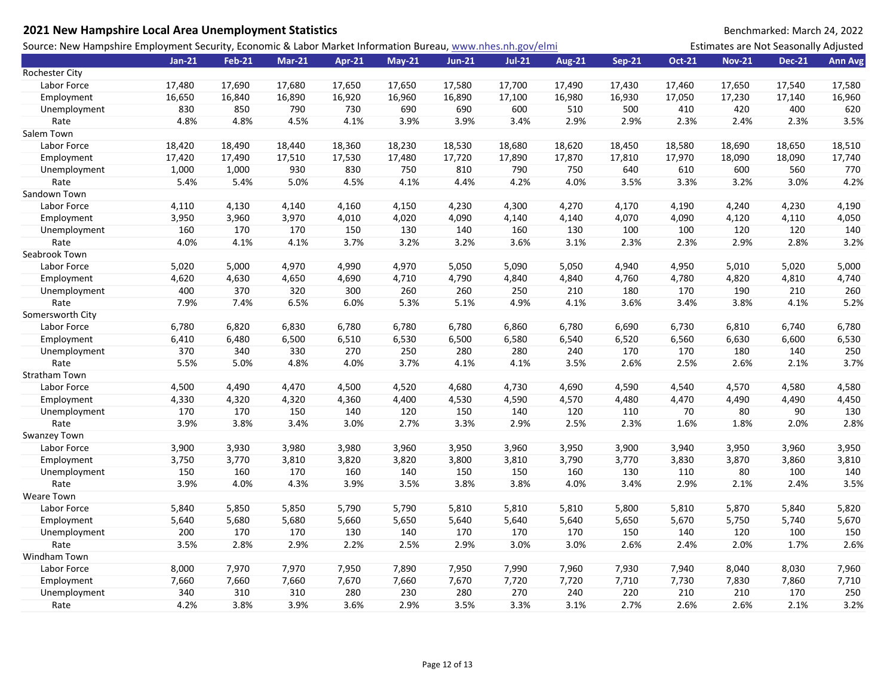| Source: New Hampshire Employment Security, Economic & Labor Market Information Bureau, www.nhes.nh.gov/elmi<br>Estimates are Not Seasonally Adjusted<br>$Jan-21$<br><b>Feb-21</b><br><b>Mar-21</b><br>$Jul-21$<br><b>Aug-21</b><br><b>Sep-21</b><br><b>Oct-21</b><br><b>Nov-21</b><br><b>Dec-21</b><br><b>Ann Avg</b><br><b>Apr-21</b><br><b>May-21</b><br><b>Jun-21</b><br>Rochester City<br>Labor Force<br>17,480<br>17,690<br>17,680<br>17,650<br>17,650<br>17,580<br>17,700<br>17,490<br>17,430<br>17,460<br>17,650<br>17,540<br>17,580<br>16,840<br>16,920<br>16,960<br>16,890<br>17,100<br>16,980<br>16,930<br>16,960<br>Employment<br>16,650<br>16,890<br>17,050<br>17,230<br>17,140<br>830<br>850<br>790<br>730<br>690<br>690<br>600<br>510<br>500<br>410<br>420<br>400<br>620<br>Unemployment<br>4.8%<br>4.8%<br>4.1%<br>3.9%<br>3.9%<br>2.9%<br>2.9%<br>2.3%<br>2.4%<br>2.3%<br>3.5%<br>Rate<br>4.5%<br>3.4%<br>Salem Town<br>18,420<br>18,440<br>18,230<br>18,530<br>18,620<br>18,580<br>18,650<br>18,510<br>Labor Force<br>18,490<br>18,360<br>18,680<br>18,450<br>18,690<br>17,420<br>17,490<br>17,510<br>17,530<br>17,480<br>17,720<br>17,890<br>17,870<br>17,810<br>17,970<br>18,090<br>18,090<br>17,740<br>Employment<br>1,000<br>930<br>830<br>750<br>810<br>790<br>750<br>640<br>610<br>600<br>560<br>770<br>Unemployment<br>1,000<br>4.5%<br>4.4%<br>4.2%<br>4.0%<br>3.5%<br>3.3%<br>4.2%<br>Rate<br>5.4%<br>5.4%<br>5.0%<br>4.1%<br>3.2%<br>3.0%<br>Sandown Town<br>4,130<br>4,140<br>4,160<br>4,230<br>4,270<br>4,170<br>4,190<br>4,240<br>4,230<br>4,190<br>Labor Force<br>4,110<br>4,150<br>4,300<br>3,950<br>3,960<br>3,970<br>4,010<br>4,020<br>4,090<br>4,070<br>4,090<br>4,120<br>4,110<br>4,050<br>Employment<br>4,140<br>4,140<br>160<br>170<br>170<br>150<br>130<br>140<br>160<br>130<br>100<br>100<br>120<br>120<br>140<br>Unemployment<br>4.0%<br>3.7%<br>3.2%<br>3.1%<br>2.3%<br>2.3%<br>2.9%<br>3.2%<br>Rate<br>4.1%<br>4.1%<br>3.2%<br>3.6%<br>2.8%<br>Seabrook Town<br>5,020<br>5,000<br>4,970<br>4,990<br>4,970<br>5,050<br>5,090<br>5,050<br>4,940<br>4,950<br>5,010<br>5,020<br>5,000<br>Labor Force<br>4,620<br>4,630<br>4,690<br>4,790<br>4,840<br>4,840<br>4,760<br>4,780<br>4,820<br>4,810<br>4,740<br>Employment<br>4,650<br>4,710<br>370<br>300<br>260<br>210<br>190<br>260<br>400<br>320<br>260<br>250<br>180<br>170<br>210<br>Unemployment<br>5.2%<br>Rate<br>7.9%<br>7.4%<br>6.5%<br>6.0%<br>5.3%<br>5.1%<br>4.9%<br>4.1%<br>3.6%<br>3.4%<br>3.8%<br>4.1%<br>Somersworth City<br>6,780<br>6,820<br>6,830<br>6,780<br>6,780<br>6,780<br>6,860<br>6,780<br>6,690<br>6,730<br>6,810<br>6,740<br>6,780<br>Labor Force<br>6,530<br>6,410<br>6,480<br>6,510<br>6,530<br>6,500<br>6,580<br>6,540<br>6,520<br>6,560<br>6,630<br>6,600<br>Employment<br>6,500<br>370<br>340<br>270<br>280<br>330<br>250<br>280<br>240<br>170<br>170<br>180<br>140<br>250<br>Unemployment<br>3.7%<br>5.5%<br>5.0%<br>4.8%<br>4.0%<br>3.7%<br>4.1%<br>4.1%<br>3.5%<br>2.6%<br>2.5%<br>2.6%<br>2.1%<br>Rate<br><b>Stratham Town</b><br>Labor Force<br>4,500<br>4,490<br>4,470<br>4,500<br>4,520<br>4,680<br>4,690<br>4,590<br>4,540<br>4,570<br>4,580<br>4,580<br>4,730<br>4,330<br>4,320<br>4,320<br>4,360<br>4,400<br>4,530<br>4,570<br>4,470<br>4,490<br>4,490<br>4,450<br>Employment<br>4,590<br>4,480<br>170<br>150<br>120<br>90<br>130<br>170<br>150<br>140<br>120<br>140<br>110<br>70<br>80<br>Unemployment<br>2.5%<br>Rate<br>3.9%<br>3.8%<br>3.4%<br>3.0%<br>2.7%<br>3.3%<br>2.9%<br>2.3%<br>1.6%<br>1.8%<br>2.0%<br>2.8% |
|--------------------------------------------------------------------------------------------------------------------------------------------------------------------------------------------------------------------------------------------------------------------------------------------------------------------------------------------------------------------------------------------------------------------------------------------------------------------------------------------------------------------------------------------------------------------------------------------------------------------------------------------------------------------------------------------------------------------------------------------------------------------------------------------------------------------------------------------------------------------------------------------------------------------------------------------------------------------------------------------------------------------------------------------------------------------------------------------------------------------------------------------------------------------------------------------------------------------------------------------------------------------------------------------------------------------------------------------------------------------------------------------------------------------------------------------------------------------------------------------------------------------------------------------------------------------------------------------------------------------------------------------------------------------------------------------------------------------------------------------------------------------------------------------------------------------------------------------------------------------------------------------------------------------------------------------------------------------------------------------------------------------------------------------------------------------------------------------------------------------------------------------------------------------------------------------------------------------------------------------------------------------------------------------------------------------------------------------------------------------------------------------------------------------------------------------------------------------------------------------------------------------------------------------------------------------------------------------------------------------------------------------------------------------------------------------------------------------------------------------------------------------------------------------------------------------------------------------------------------------------------------------------------------------------------------------------------------------------------------------------------------------------------------------------------------------------------------------------------------------------------------------------------------------------------------------------------------------------------------------------------------------------------------------------------------------------------------------------------------------------------------------------------------------------------------------------------------------------------------------------------------------------------------------------------|
|                                                                                                                                                                                                                                                                                                                                                                                                                                                                                                                                                                                                                                                                                                                                                                                                                                                                                                                                                                                                                                                                                                                                                                                                                                                                                                                                                                                                                                                                                                                                                                                                                                                                                                                                                                                                                                                                                                                                                                                                                                                                                                                                                                                                                                                                                                                                                                                                                                                                                                                                                                                                                                                                                                                                                                                                                                                                                                                                                                                                                                                                                                                                                                                                                                                                                                                                                                                                                                                                                                                                                        |
|                                                                                                                                                                                                                                                                                                                                                                                                                                                                                                                                                                                                                                                                                                                                                                                                                                                                                                                                                                                                                                                                                                                                                                                                                                                                                                                                                                                                                                                                                                                                                                                                                                                                                                                                                                                                                                                                                                                                                                                                                                                                                                                                                                                                                                                                                                                                                                                                                                                                                                                                                                                                                                                                                                                                                                                                                                                                                                                                                                                                                                                                                                                                                                                                                                                                                                                                                                                                                                                                                                                                                        |
|                                                                                                                                                                                                                                                                                                                                                                                                                                                                                                                                                                                                                                                                                                                                                                                                                                                                                                                                                                                                                                                                                                                                                                                                                                                                                                                                                                                                                                                                                                                                                                                                                                                                                                                                                                                                                                                                                                                                                                                                                                                                                                                                                                                                                                                                                                                                                                                                                                                                                                                                                                                                                                                                                                                                                                                                                                                                                                                                                                                                                                                                                                                                                                                                                                                                                                                                                                                                                                                                                                                                                        |
|                                                                                                                                                                                                                                                                                                                                                                                                                                                                                                                                                                                                                                                                                                                                                                                                                                                                                                                                                                                                                                                                                                                                                                                                                                                                                                                                                                                                                                                                                                                                                                                                                                                                                                                                                                                                                                                                                                                                                                                                                                                                                                                                                                                                                                                                                                                                                                                                                                                                                                                                                                                                                                                                                                                                                                                                                                                                                                                                                                                                                                                                                                                                                                                                                                                                                                                                                                                                                                                                                                                                                        |
|                                                                                                                                                                                                                                                                                                                                                                                                                                                                                                                                                                                                                                                                                                                                                                                                                                                                                                                                                                                                                                                                                                                                                                                                                                                                                                                                                                                                                                                                                                                                                                                                                                                                                                                                                                                                                                                                                                                                                                                                                                                                                                                                                                                                                                                                                                                                                                                                                                                                                                                                                                                                                                                                                                                                                                                                                                                                                                                                                                                                                                                                                                                                                                                                                                                                                                                                                                                                                                                                                                                                                        |
|                                                                                                                                                                                                                                                                                                                                                                                                                                                                                                                                                                                                                                                                                                                                                                                                                                                                                                                                                                                                                                                                                                                                                                                                                                                                                                                                                                                                                                                                                                                                                                                                                                                                                                                                                                                                                                                                                                                                                                                                                                                                                                                                                                                                                                                                                                                                                                                                                                                                                                                                                                                                                                                                                                                                                                                                                                                                                                                                                                                                                                                                                                                                                                                                                                                                                                                                                                                                                                                                                                                                                        |
|                                                                                                                                                                                                                                                                                                                                                                                                                                                                                                                                                                                                                                                                                                                                                                                                                                                                                                                                                                                                                                                                                                                                                                                                                                                                                                                                                                                                                                                                                                                                                                                                                                                                                                                                                                                                                                                                                                                                                                                                                                                                                                                                                                                                                                                                                                                                                                                                                                                                                                                                                                                                                                                                                                                                                                                                                                                                                                                                                                                                                                                                                                                                                                                                                                                                                                                                                                                                                                                                                                                                                        |
|                                                                                                                                                                                                                                                                                                                                                                                                                                                                                                                                                                                                                                                                                                                                                                                                                                                                                                                                                                                                                                                                                                                                                                                                                                                                                                                                                                                                                                                                                                                                                                                                                                                                                                                                                                                                                                                                                                                                                                                                                                                                                                                                                                                                                                                                                                                                                                                                                                                                                                                                                                                                                                                                                                                                                                                                                                                                                                                                                                                                                                                                                                                                                                                                                                                                                                                                                                                                                                                                                                                                                        |
|                                                                                                                                                                                                                                                                                                                                                                                                                                                                                                                                                                                                                                                                                                                                                                                                                                                                                                                                                                                                                                                                                                                                                                                                                                                                                                                                                                                                                                                                                                                                                                                                                                                                                                                                                                                                                                                                                                                                                                                                                                                                                                                                                                                                                                                                                                                                                                                                                                                                                                                                                                                                                                                                                                                                                                                                                                                                                                                                                                                                                                                                                                                                                                                                                                                                                                                                                                                                                                                                                                                                                        |
|                                                                                                                                                                                                                                                                                                                                                                                                                                                                                                                                                                                                                                                                                                                                                                                                                                                                                                                                                                                                                                                                                                                                                                                                                                                                                                                                                                                                                                                                                                                                                                                                                                                                                                                                                                                                                                                                                                                                                                                                                                                                                                                                                                                                                                                                                                                                                                                                                                                                                                                                                                                                                                                                                                                                                                                                                                                                                                                                                                                                                                                                                                                                                                                                                                                                                                                                                                                                                                                                                                                                                        |
|                                                                                                                                                                                                                                                                                                                                                                                                                                                                                                                                                                                                                                                                                                                                                                                                                                                                                                                                                                                                                                                                                                                                                                                                                                                                                                                                                                                                                                                                                                                                                                                                                                                                                                                                                                                                                                                                                                                                                                                                                                                                                                                                                                                                                                                                                                                                                                                                                                                                                                                                                                                                                                                                                                                                                                                                                                                                                                                                                                                                                                                                                                                                                                                                                                                                                                                                                                                                                                                                                                                                                        |
|                                                                                                                                                                                                                                                                                                                                                                                                                                                                                                                                                                                                                                                                                                                                                                                                                                                                                                                                                                                                                                                                                                                                                                                                                                                                                                                                                                                                                                                                                                                                                                                                                                                                                                                                                                                                                                                                                                                                                                                                                                                                                                                                                                                                                                                                                                                                                                                                                                                                                                                                                                                                                                                                                                                                                                                                                                                                                                                                                                                                                                                                                                                                                                                                                                                                                                                                                                                                                                                                                                                                                        |
|                                                                                                                                                                                                                                                                                                                                                                                                                                                                                                                                                                                                                                                                                                                                                                                                                                                                                                                                                                                                                                                                                                                                                                                                                                                                                                                                                                                                                                                                                                                                                                                                                                                                                                                                                                                                                                                                                                                                                                                                                                                                                                                                                                                                                                                                                                                                                                                                                                                                                                                                                                                                                                                                                                                                                                                                                                                                                                                                                                                                                                                                                                                                                                                                                                                                                                                                                                                                                                                                                                                                                        |
|                                                                                                                                                                                                                                                                                                                                                                                                                                                                                                                                                                                                                                                                                                                                                                                                                                                                                                                                                                                                                                                                                                                                                                                                                                                                                                                                                                                                                                                                                                                                                                                                                                                                                                                                                                                                                                                                                                                                                                                                                                                                                                                                                                                                                                                                                                                                                                                                                                                                                                                                                                                                                                                                                                                                                                                                                                                                                                                                                                                                                                                                                                                                                                                                                                                                                                                                                                                                                                                                                                                                                        |
|                                                                                                                                                                                                                                                                                                                                                                                                                                                                                                                                                                                                                                                                                                                                                                                                                                                                                                                                                                                                                                                                                                                                                                                                                                                                                                                                                                                                                                                                                                                                                                                                                                                                                                                                                                                                                                                                                                                                                                                                                                                                                                                                                                                                                                                                                                                                                                                                                                                                                                                                                                                                                                                                                                                                                                                                                                                                                                                                                                                                                                                                                                                                                                                                                                                                                                                                                                                                                                                                                                                                                        |
|                                                                                                                                                                                                                                                                                                                                                                                                                                                                                                                                                                                                                                                                                                                                                                                                                                                                                                                                                                                                                                                                                                                                                                                                                                                                                                                                                                                                                                                                                                                                                                                                                                                                                                                                                                                                                                                                                                                                                                                                                                                                                                                                                                                                                                                                                                                                                                                                                                                                                                                                                                                                                                                                                                                                                                                                                                                                                                                                                                                                                                                                                                                                                                                                                                                                                                                                                                                                                                                                                                                                                        |
|                                                                                                                                                                                                                                                                                                                                                                                                                                                                                                                                                                                                                                                                                                                                                                                                                                                                                                                                                                                                                                                                                                                                                                                                                                                                                                                                                                                                                                                                                                                                                                                                                                                                                                                                                                                                                                                                                                                                                                                                                                                                                                                                                                                                                                                                                                                                                                                                                                                                                                                                                                                                                                                                                                                                                                                                                                                                                                                                                                                                                                                                                                                                                                                                                                                                                                                                                                                                                                                                                                                                                        |
|                                                                                                                                                                                                                                                                                                                                                                                                                                                                                                                                                                                                                                                                                                                                                                                                                                                                                                                                                                                                                                                                                                                                                                                                                                                                                                                                                                                                                                                                                                                                                                                                                                                                                                                                                                                                                                                                                                                                                                                                                                                                                                                                                                                                                                                                                                                                                                                                                                                                                                                                                                                                                                                                                                                                                                                                                                                                                                                                                                                                                                                                                                                                                                                                                                                                                                                                                                                                                                                                                                                                                        |
|                                                                                                                                                                                                                                                                                                                                                                                                                                                                                                                                                                                                                                                                                                                                                                                                                                                                                                                                                                                                                                                                                                                                                                                                                                                                                                                                                                                                                                                                                                                                                                                                                                                                                                                                                                                                                                                                                                                                                                                                                                                                                                                                                                                                                                                                                                                                                                                                                                                                                                                                                                                                                                                                                                                                                                                                                                                                                                                                                                                                                                                                                                                                                                                                                                                                                                                                                                                                                                                                                                                                                        |
|                                                                                                                                                                                                                                                                                                                                                                                                                                                                                                                                                                                                                                                                                                                                                                                                                                                                                                                                                                                                                                                                                                                                                                                                                                                                                                                                                                                                                                                                                                                                                                                                                                                                                                                                                                                                                                                                                                                                                                                                                                                                                                                                                                                                                                                                                                                                                                                                                                                                                                                                                                                                                                                                                                                                                                                                                                                                                                                                                                                                                                                                                                                                                                                                                                                                                                                                                                                                                                                                                                                                                        |
|                                                                                                                                                                                                                                                                                                                                                                                                                                                                                                                                                                                                                                                                                                                                                                                                                                                                                                                                                                                                                                                                                                                                                                                                                                                                                                                                                                                                                                                                                                                                                                                                                                                                                                                                                                                                                                                                                                                                                                                                                                                                                                                                                                                                                                                                                                                                                                                                                                                                                                                                                                                                                                                                                                                                                                                                                                                                                                                                                                                                                                                                                                                                                                                                                                                                                                                                                                                                                                                                                                                                                        |
|                                                                                                                                                                                                                                                                                                                                                                                                                                                                                                                                                                                                                                                                                                                                                                                                                                                                                                                                                                                                                                                                                                                                                                                                                                                                                                                                                                                                                                                                                                                                                                                                                                                                                                                                                                                                                                                                                                                                                                                                                                                                                                                                                                                                                                                                                                                                                                                                                                                                                                                                                                                                                                                                                                                                                                                                                                                                                                                                                                                                                                                                                                                                                                                                                                                                                                                                                                                                                                                                                                                                                        |
|                                                                                                                                                                                                                                                                                                                                                                                                                                                                                                                                                                                                                                                                                                                                                                                                                                                                                                                                                                                                                                                                                                                                                                                                                                                                                                                                                                                                                                                                                                                                                                                                                                                                                                                                                                                                                                                                                                                                                                                                                                                                                                                                                                                                                                                                                                                                                                                                                                                                                                                                                                                                                                                                                                                                                                                                                                                                                                                                                                                                                                                                                                                                                                                                                                                                                                                                                                                                                                                                                                                                                        |
|                                                                                                                                                                                                                                                                                                                                                                                                                                                                                                                                                                                                                                                                                                                                                                                                                                                                                                                                                                                                                                                                                                                                                                                                                                                                                                                                                                                                                                                                                                                                                                                                                                                                                                                                                                                                                                                                                                                                                                                                                                                                                                                                                                                                                                                                                                                                                                                                                                                                                                                                                                                                                                                                                                                                                                                                                                                                                                                                                                                                                                                                                                                                                                                                                                                                                                                                                                                                                                                                                                                                                        |
|                                                                                                                                                                                                                                                                                                                                                                                                                                                                                                                                                                                                                                                                                                                                                                                                                                                                                                                                                                                                                                                                                                                                                                                                                                                                                                                                                                                                                                                                                                                                                                                                                                                                                                                                                                                                                                                                                                                                                                                                                                                                                                                                                                                                                                                                                                                                                                                                                                                                                                                                                                                                                                                                                                                                                                                                                                                                                                                                                                                                                                                                                                                                                                                                                                                                                                                                                                                                                                                                                                                                                        |
|                                                                                                                                                                                                                                                                                                                                                                                                                                                                                                                                                                                                                                                                                                                                                                                                                                                                                                                                                                                                                                                                                                                                                                                                                                                                                                                                                                                                                                                                                                                                                                                                                                                                                                                                                                                                                                                                                                                                                                                                                                                                                                                                                                                                                                                                                                                                                                                                                                                                                                                                                                                                                                                                                                                                                                                                                                                                                                                                                                                                                                                                                                                                                                                                                                                                                                                                                                                                                                                                                                                                                        |
|                                                                                                                                                                                                                                                                                                                                                                                                                                                                                                                                                                                                                                                                                                                                                                                                                                                                                                                                                                                                                                                                                                                                                                                                                                                                                                                                                                                                                                                                                                                                                                                                                                                                                                                                                                                                                                                                                                                                                                                                                                                                                                                                                                                                                                                                                                                                                                                                                                                                                                                                                                                                                                                                                                                                                                                                                                                                                                                                                                                                                                                                                                                                                                                                                                                                                                                                                                                                                                                                                                                                                        |
|                                                                                                                                                                                                                                                                                                                                                                                                                                                                                                                                                                                                                                                                                                                                                                                                                                                                                                                                                                                                                                                                                                                                                                                                                                                                                                                                                                                                                                                                                                                                                                                                                                                                                                                                                                                                                                                                                                                                                                                                                                                                                                                                                                                                                                                                                                                                                                                                                                                                                                                                                                                                                                                                                                                                                                                                                                                                                                                                                                                                                                                                                                                                                                                                                                                                                                                                                                                                                                                                                                                                                        |
|                                                                                                                                                                                                                                                                                                                                                                                                                                                                                                                                                                                                                                                                                                                                                                                                                                                                                                                                                                                                                                                                                                                                                                                                                                                                                                                                                                                                                                                                                                                                                                                                                                                                                                                                                                                                                                                                                                                                                                                                                                                                                                                                                                                                                                                                                                                                                                                                                                                                                                                                                                                                                                                                                                                                                                                                                                                                                                                                                                                                                                                                                                                                                                                                                                                                                                                                                                                                                                                                                                                                                        |
|                                                                                                                                                                                                                                                                                                                                                                                                                                                                                                                                                                                                                                                                                                                                                                                                                                                                                                                                                                                                                                                                                                                                                                                                                                                                                                                                                                                                                                                                                                                                                                                                                                                                                                                                                                                                                                                                                                                                                                                                                                                                                                                                                                                                                                                                                                                                                                                                                                                                                                                                                                                                                                                                                                                                                                                                                                                                                                                                                                                                                                                                                                                                                                                                                                                                                                                                                                                                                                                                                                                                                        |
|                                                                                                                                                                                                                                                                                                                                                                                                                                                                                                                                                                                                                                                                                                                                                                                                                                                                                                                                                                                                                                                                                                                                                                                                                                                                                                                                                                                                                                                                                                                                                                                                                                                                                                                                                                                                                                                                                                                                                                                                                                                                                                                                                                                                                                                                                                                                                                                                                                                                                                                                                                                                                                                                                                                                                                                                                                                                                                                                                                                                                                                                                                                                                                                                                                                                                                                                                                                                                                                                                                                                                        |
|                                                                                                                                                                                                                                                                                                                                                                                                                                                                                                                                                                                                                                                                                                                                                                                                                                                                                                                                                                                                                                                                                                                                                                                                                                                                                                                                                                                                                                                                                                                                                                                                                                                                                                                                                                                                                                                                                                                                                                                                                                                                                                                                                                                                                                                                                                                                                                                                                                                                                                                                                                                                                                                                                                                                                                                                                                                                                                                                                                                                                                                                                                                                                                                                                                                                                                                                                                                                                                                                                                                                                        |
| Swanzey Town                                                                                                                                                                                                                                                                                                                                                                                                                                                                                                                                                                                                                                                                                                                                                                                                                                                                                                                                                                                                                                                                                                                                                                                                                                                                                                                                                                                                                                                                                                                                                                                                                                                                                                                                                                                                                                                                                                                                                                                                                                                                                                                                                                                                                                                                                                                                                                                                                                                                                                                                                                                                                                                                                                                                                                                                                                                                                                                                                                                                                                                                                                                                                                                                                                                                                                                                                                                                                                                                                                                                           |
| 3,900<br>3,930<br>3,950<br>3,960<br>3,950<br>3,900<br>3,940<br>3,950<br>Labor Force<br>3,980<br>3,980<br>3,960<br>3,960<br>3,950                                                                                                                                                                                                                                                                                                                                                                                                                                                                                                                                                                                                                                                                                                                                                                                                                                                                                                                                                                                                                                                                                                                                                                                                                                                                                                                                                                                                                                                                                                                                                                                                                                                                                                                                                                                                                                                                                                                                                                                                                                                                                                                                                                                                                                                                                                                                                                                                                                                                                                                                                                                                                                                                                                                                                                                                                                                                                                                                                                                                                                                                                                                                                                                                                                                                                                                                                                                                                       |
| 3,750<br>3,770<br>3,820<br>3,800<br>3,790<br>3,770<br>3,830<br>3,870<br>3,860<br>3,810<br>Employment<br>3,810<br>3,820<br>3,810                                                                                                                                                                                                                                                                                                                                                                                                                                                                                                                                                                                                                                                                                                                                                                                                                                                                                                                                                                                                                                                                                                                                                                                                                                                                                                                                                                                                                                                                                                                                                                                                                                                                                                                                                                                                                                                                                                                                                                                                                                                                                                                                                                                                                                                                                                                                                                                                                                                                                                                                                                                                                                                                                                                                                                                                                                                                                                                                                                                                                                                                                                                                                                                                                                                                                                                                                                                                                        |
| 150<br>160<br>170<br>160<br>140<br>150<br>150<br>160<br>130<br>110<br>80<br>100<br>140<br>Unemployment                                                                                                                                                                                                                                                                                                                                                                                                                                                                                                                                                                                                                                                                                                                                                                                                                                                                                                                                                                                                                                                                                                                                                                                                                                                                                                                                                                                                                                                                                                                                                                                                                                                                                                                                                                                                                                                                                                                                                                                                                                                                                                                                                                                                                                                                                                                                                                                                                                                                                                                                                                                                                                                                                                                                                                                                                                                                                                                                                                                                                                                                                                                                                                                                                                                                                                                                                                                                                                                 |
| Rate<br>3.9%<br>4.0%<br>4.3%<br>3.9%<br>3.5%<br>3.8%<br>3.8%<br>4.0%<br>3.4%<br>2.9%<br>2.1%<br>2.4%<br>3.5%                                                                                                                                                                                                                                                                                                                                                                                                                                                                                                                                                                                                                                                                                                                                                                                                                                                                                                                                                                                                                                                                                                                                                                                                                                                                                                                                                                                                                                                                                                                                                                                                                                                                                                                                                                                                                                                                                                                                                                                                                                                                                                                                                                                                                                                                                                                                                                                                                                                                                                                                                                                                                                                                                                                                                                                                                                                                                                                                                                                                                                                                                                                                                                                                                                                                                                                                                                                                                                           |
| <b>Weare Town</b>                                                                                                                                                                                                                                                                                                                                                                                                                                                                                                                                                                                                                                                                                                                                                                                                                                                                                                                                                                                                                                                                                                                                                                                                                                                                                                                                                                                                                                                                                                                                                                                                                                                                                                                                                                                                                                                                                                                                                                                                                                                                                                                                                                                                                                                                                                                                                                                                                                                                                                                                                                                                                                                                                                                                                                                                                                                                                                                                                                                                                                                                                                                                                                                                                                                                                                                                                                                                                                                                                                                                      |
| 5,840<br>5,850<br>5,790<br>5,810<br>5,810<br>5,800<br>5,810<br>Labor Force<br>5,850<br>5,790<br>5,810<br>5,870<br>5,840<br>5,820                                                                                                                                                                                                                                                                                                                                                                                                                                                                                                                                                                                                                                                                                                                                                                                                                                                                                                                                                                                                                                                                                                                                                                                                                                                                                                                                                                                                                                                                                                                                                                                                                                                                                                                                                                                                                                                                                                                                                                                                                                                                                                                                                                                                                                                                                                                                                                                                                                                                                                                                                                                                                                                                                                                                                                                                                                                                                                                                                                                                                                                                                                                                                                                                                                                                                                                                                                                                                       |
| Employment<br>5,640<br>5,680<br>5,680<br>5,660<br>5,650<br>5,640<br>5,640<br>5,640<br>5,650<br>5,670<br>5,750<br>5,740<br>5,670                                                                                                                                                                                                                                                                                                                                                                                                                                                                                                                                                                                                                                                                                                                                                                                                                                                                                                                                                                                                                                                                                                                                                                                                                                                                                                                                                                                                                                                                                                                                                                                                                                                                                                                                                                                                                                                                                                                                                                                                                                                                                                                                                                                                                                                                                                                                                                                                                                                                                                                                                                                                                                                                                                                                                                                                                                                                                                                                                                                                                                                                                                                                                                                                                                                                                                                                                                                                                        |
| 170<br>170<br>150<br>200<br>170<br>130<br>140<br>170<br>170<br>150<br>140<br>120<br>100<br>Unemployment                                                                                                                                                                                                                                                                                                                                                                                                                                                                                                                                                                                                                                                                                                                                                                                                                                                                                                                                                                                                                                                                                                                                                                                                                                                                                                                                                                                                                                                                                                                                                                                                                                                                                                                                                                                                                                                                                                                                                                                                                                                                                                                                                                                                                                                                                                                                                                                                                                                                                                                                                                                                                                                                                                                                                                                                                                                                                                                                                                                                                                                                                                                                                                                                                                                                                                                                                                                                                                                |
| Rate<br>3.5%<br>2.8%<br>2.9%<br>2.2%<br>2.5%<br>2.9%<br>3.0%<br>3.0%<br>2.6%<br>2.4%<br>2.0%<br>2.6%<br>1.7%                                                                                                                                                                                                                                                                                                                                                                                                                                                                                                                                                                                                                                                                                                                                                                                                                                                                                                                                                                                                                                                                                                                                                                                                                                                                                                                                                                                                                                                                                                                                                                                                                                                                                                                                                                                                                                                                                                                                                                                                                                                                                                                                                                                                                                                                                                                                                                                                                                                                                                                                                                                                                                                                                                                                                                                                                                                                                                                                                                                                                                                                                                                                                                                                                                                                                                                                                                                                                                           |
| Windham Town                                                                                                                                                                                                                                                                                                                                                                                                                                                                                                                                                                                                                                                                                                                                                                                                                                                                                                                                                                                                                                                                                                                                                                                                                                                                                                                                                                                                                                                                                                                                                                                                                                                                                                                                                                                                                                                                                                                                                                                                                                                                                                                                                                                                                                                                                                                                                                                                                                                                                                                                                                                                                                                                                                                                                                                                                                                                                                                                                                                                                                                                                                                                                                                                                                                                                                                                                                                                                                                                                                                                           |
| 8,000<br>Labor Force<br>7,970<br>7,970<br>7,950<br>7,890<br>7,950<br>7,990<br>7,960<br>7,930<br>7,940<br>8,040<br>8,030<br>7,960                                                                                                                                                                                                                                                                                                                                                                                                                                                                                                                                                                                                                                                                                                                                                                                                                                                                                                                                                                                                                                                                                                                                                                                                                                                                                                                                                                                                                                                                                                                                                                                                                                                                                                                                                                                                                                                                                                                                                                                                                                                                                                                                                                                                                                                                                                                                                                                                                                                                                                                                                                                                                                                                                                                                                                                                                                                                                                                                                                                                                                                                                                                                                                                                                                                                                                                                                                                                                       |
| 7,670<br>7,710<br>7,830<br>7,710<br>Employment<br>7,660<br>7,660<br>7,660<br>7,660<br>7,670<br>7,720<br>7,720<br>7,730<br>7,860                                                                                                                                                                                                                                                                                                                                                                                                                                                                                                                                                                                                                                                                                                                                                                                                                                                                                                                                                                                                                                                                                                                                                                                                                                                                                                                                                                                                                                                                                                                                                                                                                                                                                                                                                                                                                                                                                                                                                                                                                                                                                                                                                                                                                                                                                                                                                                                                                                                                                                                                                                                                                                                                                                                                                                                                                                                                                                                                                                                                                                                                                                                                                                                                                                                                                                                                                                                                                        |
| 280<br>280<br>240<br>250<br>340<br>310<br>310<br>230<br>270<br>220<br>210<br>210<br>170<br>Unemployment                                                                                                                                                                                                                                                                                                                                                                                                                                                                                                                                                                                                                                                                                                                                                                                                                                                                                                                                                                                                                                                                                                                                                                                                                                                                                                                                                                                                                                                                                                                                                                                                                                                                                                                                                                                                                                                                                                                                                                                                                                                                                                                                                                                                                                                                                                                                                                                                                                                                                                                                                                                                                                                                                                                                                                                                                                                                                                                                                                                                                                                                                                                                                                                                                                                                                                                                                                                                                                                |
| 3.5%<br>4.2%<br>3.8%<br>3.9%<br>3.6%<br>2.9%<br>3.3%<br>3.1%<br>2.7%<br>2.6%<br>2.6%<br>2.1%<br>3.2%<br>Rate                                                                                                                                                                                                                                                                                                                                                                                                                                                                                                                                                                                                                                                                                                                                                                                                                                                                                                                                                                                                                                                                                                                                                                                                                                                                                                                                                                                                                                                                                                                                                                                                                                                                                                                                                                                                                                                                                                                                                                                                                                                                                                                                                                                                                                                                                                                                                                                                                                                                                                                                                                                                                                                                                                                                                                                                                                                                                                                                                                                                                                                                                                                                                                                                                                                                                                                                                                                                                                           |